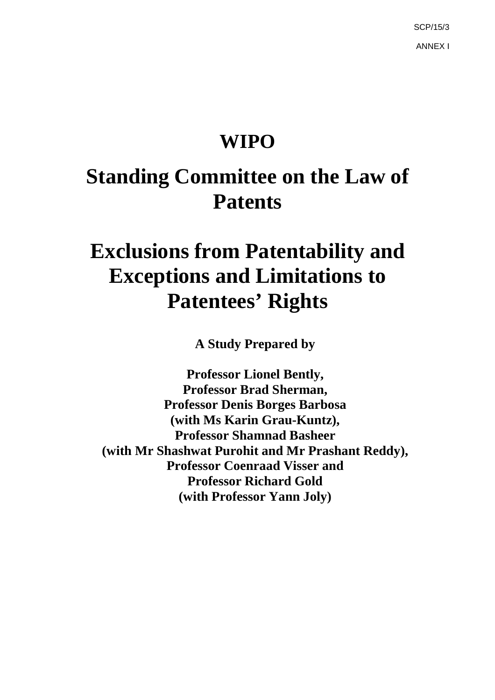SCP/15/3 ANNEX I

## **WIPO**

## **Standing Committee on the Law of Patents**

# **Exclusions from Patentability and Exceptions and Limitations to Patentees' Rights**

**A Study Prepared by**

**Professor Lionel Bently, Professor Brad Sherman, Professor Denis Borges Barbosa (with Ms Karin Grau-Kuntz), Professor Shamnad Basheer (with Mr Shashwat Purohit and Mr Prashant Reddy), Professor Coenraad Visser and Professor Richard Gold (with Professor Yann Joly)**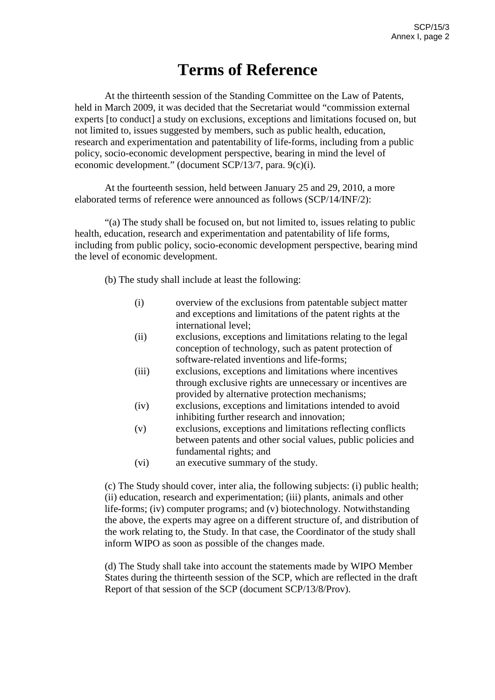### **Terms of Reference**

At the thirteenth session of the Standing Committee on the Law of Patents, held in March 2009, it was decided that the Secretariat would "commission external experts [to conduct] a study on exclusions, exceptions and limitations focused on, but not limited to, issues suggested by members, such as public health, education, research and experimentation and patentability of life-forms, including from a public policy, socio-economic development perspective, bearing in mind the level of economic development." (document SCP/13/7, para. 9(c)(i).

At the fourteenth session, held between January 25 and 29, 2010, a more elaborated terms of reference were announced as follows (SCP/14/INF/2):

"(a) The study shall be focused on, but not limited to, issues relating to public health, education, research and experimentation and patentability of life forms, including from public policy, socio-economic development perspective, bearing mind the level of economic development.

(b) The study shall include at least the following:

- (i) overview of the exclusions from patentable subject matter and exceptions and limitations of the patent rights at the international level;
- (ii) exclusions, exceptions and limitations relating to the legal conception of technology, such as patent protection of software-related inventions and life-forms;
- (iii) exclusions, exceptions and limitations where incentives through exclusive rights are unnecessary or incentives are provided by alternative protection mechanisms;
- (iv) exclusions, exceptions and limitations intended to avoid inhibiting further research and innovation;
- (v) exclusions, exceptions and limitations reflecting conflicts between patents and other social values, public policies and fundamental rights; and
- (vi) an executive summary of the study.

(c) The Study should cover, inter alia, the following subjects: (i) public health; (ii) education, research and experimentation; (iii) plants, animals and other life-forms; (iv) computer programs; and (v) biotechnology. Notwithstanding the above, the experts may agree on a different structure of, and distribution of the work relating to, the Study. In that case, the Coordinator of the study shall inform WIPO as soon as possible of the changes made.

(d) The Study shall take into account the statements made by WIPO Member States during the thirteenth session of the SCP, which are reflected in the draft Report of that session of the SCP (document SCP/13/8/Prov).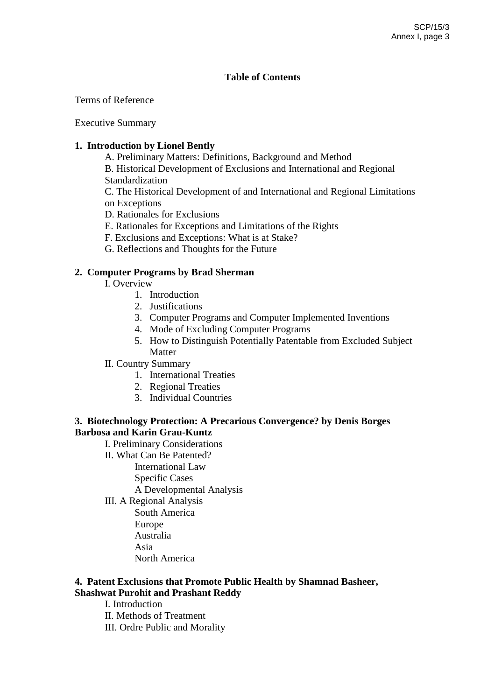#### **Table of Contents**

Terms of Reference

Executive Summary

#### **1. Introduction by Lionel Bently**

A. Preliminary Matters: Definitions, Background and Method

B. Historical Development of Exclusions and International and Regional Standardization

C. The Historical Development of and International and Regional Limitations on Exceptions

- D. Rationales for Exclusions
- E. Rationales for Exceptions and Limitations of the Rights
- F. Exclusions and Exceptions: What is at Stake?
- G. Reflections and Thoughts for the Future

#### **2. Computer Programs by Brad Sherman**

- I. Overview
	- 1. Introduction
	- 2. Justifications
	- 3. Computer Programs and Computer Implemented Inventions
	- 4. Mode of Excluding Computer Programs
	- 5. How to Distinguish Potentially Patentable from Excluded Subject Matter

#### II. Country Summary

- 1. International Treaties
- 2. Regional Treaties
- 3. Individual Countries

#### **3. Biotechnology Protection: A Precarious Convergence? by Denis Borges Barbosa and Karin Grau-Kuntz**

- I. Preliminary Considerations
- II. What Can Be Patented?

International Law

Specific Cases

- A Developmental Analysis
- III. A Regional Analysis South America Europe Australia Asia North America

#### **4. Patent Exclusions that Promote Public Health by Shamnad Basheer, Shashwat Purohit and Prashant Reddy**

- I. Introduction
- II. Methods of Treatment
- III. Ordre Public and Morality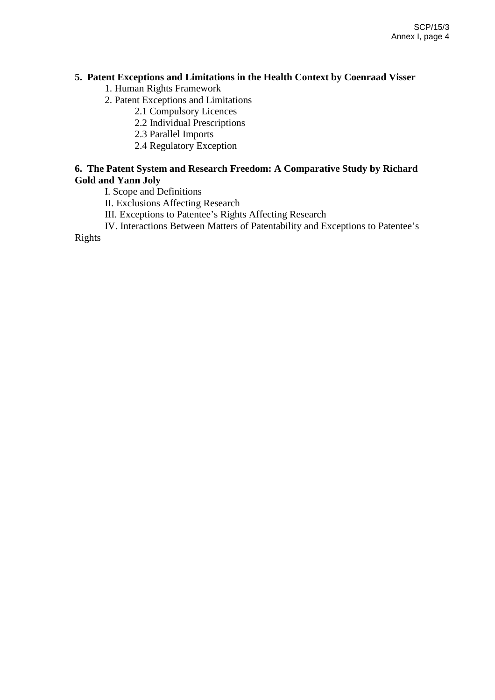#### **5. Patent Exceptions and Limitations in the Health Context by Coenraad Visser**

- 1. Human Rights Framework
- 2. Patent Exceptions and Limitations
	- 2.1 Compulsory Licences
		- 2.2 Individual Prescriptions
		- 2.3 Parallel Imports
		- 2.4 Regulatory Exception

#### **6. The Patent System and Research Freedom: A Comparative Study by Richard Gold and Yann Joly**

I. Scope and Definitions

- II. Exclusions Affecting Research
- III. Exceptions to Patentee's Rights Affecting Research

IV. Interactions Between Matters of Patentability and Exceptions to Patentee's

Rights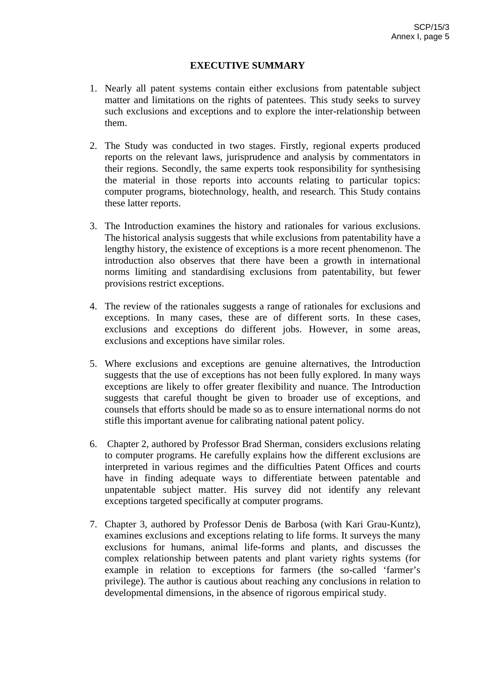#### **EXECUTIVE SUMMARY**

- 1. Nearly all patent systems contain either exclusions from patentable subject matter and limitations on the rights of patentees. This study seeks to survey such exclusions and exceptions and to explore the inter-relationship between them.
- 2. The Study was conducted in two stages. Firstly, regional experts produced reports on the relevant laws, jurisprudence and analysis by commentators in their regions. Secondly, the same experts took responsibility for synthesising the material in those reports into accounts relating to particular topics: computer programs, biotechnology, health, and research. This Study contains these latter reports.
- 3. The Introduction examines the history and rationales for various exclusions. The historical analysis suggests that while exclusions from patentability have a lengthy history, the existence of exceptions is a more recent phenomenon. The introduction also observes that there have been a growth in international norms limiting and standardising exclusions from patentability, but fewer provisions restrict exceptions.
- 4. The review of the rationales suggests a range of rationales for exclusions and exceptions. In many cases, these are of different sorts. In these cases, exclusions and exceptions do different jobs. However, in some areas, exclusions and exceptions have similar roles.
- 5. Where exclusions and exceptions are genuine alternatives, the Introduction suggests that the use of exceptions has not been fully explored. In many ways exceptions are likely to offer greater flexibility and nuance. The Introduction suggests that careful thought be given to broader use of exceptions, and counsels that efforts should be made so as to ensure international norms do not stifle this important avenue for calibrating national patent policy.
- 6. Chapter 2, authored by Professor Brad Sherman, considers exclusions relating to computer programs. He carefully explains how the different exclusions are interpreted in various regimes and the difficulties Patent Offices and courts have in finding adequate ways to differentiate between patentable and unpatentable subject matter. His survey did not identify any relevant exceptions targeted specifically at computer programs.
- 7. Chapter 3, authored by Professor Denis de Barbosa (with Kari Grau-Kuntz), examines exclusions and exceptions relating to life forms. It surveys the many exclusions for humans, animal life-forms and plants, and discusses the complex relationship between patents and plant variety rights systems (for example in relation to exceptions for farmers (the so-called 'farmer's privilege). The author is cautious about reaching any conclusions in relation to developmental dimensions, in the absence of rigorous empirical study.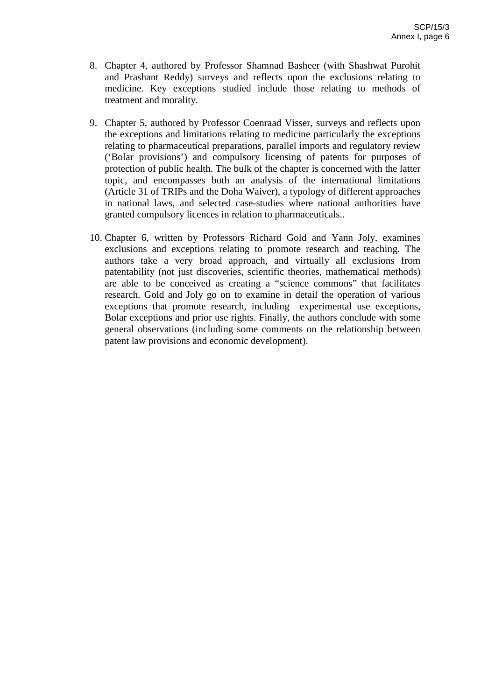- 8. Chapter 4, authored by Professor Shamnad Basheer (with Shashwat Purohit and Prashant Reddy) surveys and reflects upon the exclusions relating to medicine. Key exceptions studied include those relating to methods of treatment and morality.
- 9. Chapter 5, authored by Professor Coenraad Visser, surveys and reflects upon the exceptions and limitations relating to medicine particularly the exceptions relating to pharmaceutical preparations, parallel imports and regulatory review ('Bolar provisions') and compulsory licensing of patents for purposes of protection of public health. The bulk of the chapter is concerned with the latter topic, and encompasses both an analysis of the international limitations (Article 31 of TRIPs and the Doha Waiver), a typology of different approaches in national laws, and selected case-studies where national authorities have granted compulsory licences in relation to pharmaceuticals..
- 10. Chapter 6, written by Professors Richard Gold and Yann Joly, examines exclusions and exceptions relating to promote research and teaching. The authors take a very broad approach, and virtually all exclusions from patentability (not just discoveries, scientific theories, mathematical methods) are able to be conceived as creating a "science commons" that facilitates research. Gold and Joly go on to examine in detail the operation of various exceptions that promote research, including experimental use exceptions, Bolar exceptions and prior use rights. Finally, the authors conclude with some general observations (including some comments on the relationship between patent law provisions and economic development).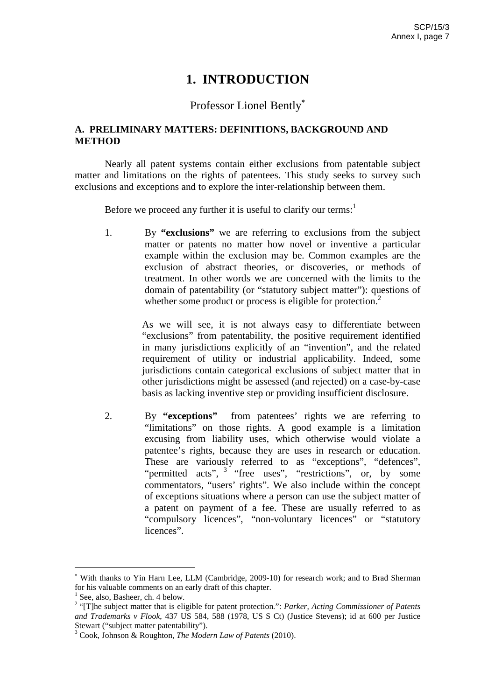### **1. INTRODUCTION**

#### Professor Lionel Bently

#### **A. PRELIMINARY MATTERS: DEFINITIONS, BACKGROUND AND METHOD**

Nearly all patent systems contain either exclusions from patentable subject matter and limitations on the rights of patentees. This study seeks to survey such exclusions and exceptions and to explore the inter-relationship between them.

Before we proceed any further it is useful to clarify our terms:<sup>1</sup>

1. By **"exclusions"** we are referring to exclusions from the subject matter or patents no matter how novel or inventive a particular example within the exclusion may be. Common examples are the exclusion of abstract theories, or discoveries, or methods of treatment. In other words we are concerned with the limits to the domain of patentability (or "statutory subject matter"): questions of whether some product or process is eligible for protection.<sup>2</sup>

> As we will see, it is not always easy to differentiate between "exclusions" from patentability, the positive requirement identified in many jurisdictions explicitly of an "invention", and the related requirement of utility or industrial applicability. Indeed, some jurisdictions contain categorical exclusions of subject matter that in other jurisdictions might be assessed (and rejected) on a case-by-case basis as lacking inventive step or providing insufficient disclosure.

2. By **"exceptions"** from patentees' rights we are referring to "limitations" on those rights. A good example is a limitation excusing from liability uses, which otherwise would violate a patentee's rights, because they are uses in research or education. These are variously referred to as "exceptions", "defences", "permitted acts", <sup>3</sup> "free uses", "restrictions", or, by some commentators, "users' rights". We also include within the concept of exceptions situations where a person can use the subject matter of a patent on payment of a fee. These are usually referred to as "compulsory licences", "non-voluntary licences" or "statutory licences".

With thanks to Yin Harn Lee, LLM (Cambridge, 2009-10) for research work; and to Brad Sherman

<sup>&</sup>lt;sup>1</sup> See, also, Basheer, ch. 4 below.<br><sup>2</sup> "The subject matter that is eligible for patent protection.": *Parker*, *Acting Commissioner of Patents and Trademarks v Flook*, 437 US 584, 588 (1978, US S Ct) (Justice Stevens); id at 600 per Justice Stewart ("subject matter patentability"). <sup>3</sup> Cook, Johnson & Roughton, *The Modern Law of Patents* (2010).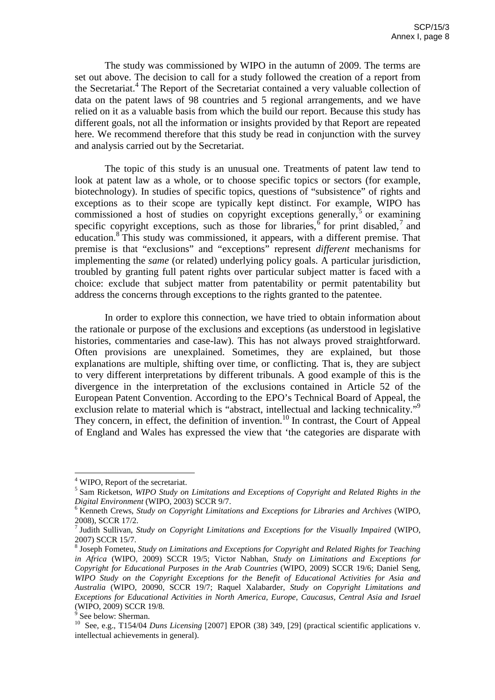The study was commissioned by WIPO in the autumn of 2009. The terms are set out above. The decision to call for a study followed the creation of a report from the Secretariat. <sup>4</sup> The Report of the Secretariat contained a very valuable collection of data on the patent laws of 98 countries and 5 regional arrangements, and we have relied on it as a valuable basis from which the build our report. Because this study has different goals, not all the information or insights provided by that Report are repeated here. We recommend therefore that this study be read in conjunction with the survey and analysis carried out by the Secretariat.

The topic of this study is an unusual one. Treatments of patent law tend to look at patent law as a whole, or to choose specific topics or sectors (for example, biotechnology). In studies of specific topics, questions of "subsistence" of rights and exceptions as to their scope are typically kept distinct. For example, WIPO has commissioned a host of studies on copyright exceptions generally,<sup>5</sup> or examining specific copyright exceptions, such as those for libraries,  $\delta$  for print disabled,  $\delta$  and education.<sup>8</sup> This study was commissioned, it appears, with a different premise. That premise is that "exclusions" and "exceptions" represent *different* mechanisms for implementing the *same* (or related) underlying policy goals. A particular jurisdiction, troubled by granting full patent rights over particular subject matter is faced with a choice: exclude that subject matter from patentability or permit patentability but address the concerns through exceptions to the rights granted to the patentee.

In order to explore this connection, we have tried to obtain information about the rationale or purpose of the exclusions and exceptions (as understood in legislative histories, commentaries and case-law). This has not always proved straightforward. Often provisions are unexplained. Sometimes, they are explained, but those explanations are multiple, shifting over time, or conflicting. That is, they are subject to very different interpretations by different tribunals. A good example of this is the divergence in the interpretation of the exclusions contained in Article 52 of the European Patent Convention. According to the EPO's Technical Board of Appeal, the exclusion relate to material which is "abstract, intellectual and lacking technicality."<sup>9</sup> They concern, in effect, the definition of invention.<sup>10</sup> In contrast, the Court of Appeal of England and Wales has expressed the view that 'the categories are disparate with

<sup>4</sup> WIPO, Report of the secretariat. <sup>5</sup> Sam Ricketson, *WIPO Study on Limitations and Exceptions of Copyright and Related Rights in the Digital Environment* (WIPO, 2003) SCCR 9/7. <sup>6</sup> Kenneth Crews, *Study on Copyright Limitations and Exceptions for Libraries and Archives* (WIPO,

<sup>2008),</sup> SCCR 17/2. <sup>7</sup> Judith Sullivan, *Study on Copyright Limitations and Exceptions for the Visually Impaired* (WIPO,

<sup>2007)</sup> SCCR 15/7. <sup>8</sup> Joseph Fometeu, *Study on Limitations and Exceptions for Copyright and Related Rights for Teaching in Africa* (WIPO, 2009) SCCR 19/5; Victor Nabhan, *Study on Limitations and Exceptions for Copyright for Educational Purposes in the Arab Countries* (WIPO, 2009) SCCR 19/6; Daniel Seng, *WIPO Study on the Copyright Exceptions for the Benefit of Educational Activities for Asia and Australia* (WIPO, 20090, SCCR 19/7; Raquel Xalabarder, *Study on Copyright Limitations and Exceptions for Educational Activities in North America, Europe, Caucasus, Central Asia and Israel*

<sup>&</sup>lt;sup>9</sup> See below: Sherman.<br><sup>10</sup> See, e.g., T154/04 *Duns Licensing* [2007] EPOR (38) 349, [29] (practical scientific applications v. intellectual achievements in general).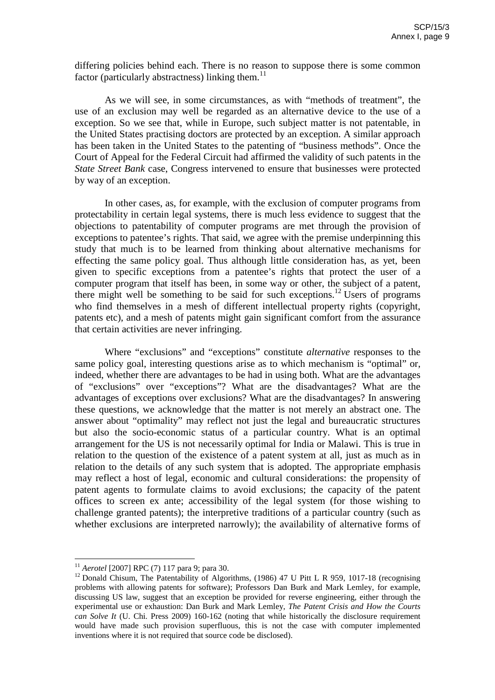differing policies behind each. There is no reason to suppose there is some common factor (particularly abstractness) linking them.<sup>11</sup>

As we will see, in some circumstances, as with "methods of treatment", the use of an exclusion may well be regarded as an alternative device to the use of a exception. So we see that, while in Europe, such subject matter is not patentable, in the United States practising doctors are protected by an exception. A similar approach has been taken in the United States to the patenting of "business methods". Once the Court of Appeal for the Federal Circuit had affirmed the validity of such patents in the *State Street Bank* case, Congress intervened to ensure that businesses were protected by way of an exception.

In other cases, as, for example, with the exclusion of computer programs from protectability in certain legal systems, there is much less evidence to suggest that the objections to patentability of computer programs are met through the provision of exceptions to patentee's rights. That said, we agree with the premise underpinning this study that much is to be learned from thinking about alternative mechanisms for effecting the same policy goal. Thus although little consideration has, as yet, been given to specific exceptions from a patentee's rights that protect the user of a computer program that itself has been, in some way or other, the subject of a patent, there might well be something to be said for such exceptions.<sup>12</sup> Users of programs who find themselves in a mesh of different intellectual property rights (copyright, patents etc), and a mesh of patents might gain significant comfort from the assurance that certain activities are never infringing.

Where "exclusions" and "exceptions" constitute *alternative* responses to the same policy goal, interesting questions arise as to which mechanism is "optimal" or, indeed, whether there are advantages to be had in using both. What are the advantages of "exclusions" over "exceptions"? What are the disadvantages? What are the advantages of exceptions over exclusions? What are the disadvantages? In answering these questions, we acknowledge that the matter is not merely an abstract one. The answer about "optimality" may reflect not just the legal and bureaucratic structures but also the socio-economic status of a particular country. What is an optimal arrangement for the US is not necessarily optimal for India or Malawi. This is true in relation to the question of the existence of a patent system at all, just as much as in relation to the details of any such system that is adopted. The appropriate emphasis may reflect a host of legal, economic and cultural considerations: the propensity of patent agents to formulate claims to avoid exclusions; the capacity of the patent offices to screen ex ante; accessibility of the legal system (for those wishing to challenge granted patents); the interpretive traditions of a particular country (such as whether exclusions are interpreted narrowly); the availability of alternative forms of

<sup>&</sup>lt;sup>11</sup> *Aerotel* [2007] RPC (7) 117 para 9; para 30.<br><sup>12</sup> Donald Chisum, The Patentability of Algorithms, (1986) 47 U Pitt L R 959, 1017-18 (recognising problems with allowing patents for software); Professors Dan Burk and Mark Lemley, for example, discussing US law, suggest that an exception be provided for reverse engineering, either through the experimental use or exhaustion: Dan Burk and Mark Lemley, *The Patent Crisis and How the Courts can Solve It* (U. Chi. Press 2009) 160-162 (noting that while historically the disclosure requirement would have made such provision superfluous, this is not the case with computer implemented inventions where it is not required that source code be disclosed).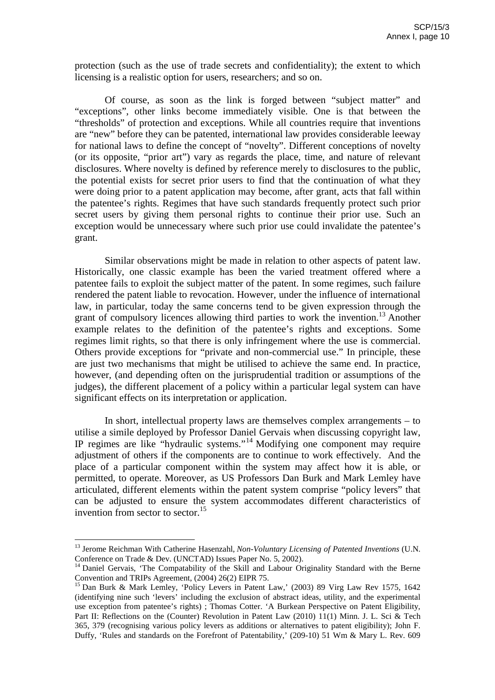protection (such as the use of trade secrets and confidentiality); the extent to which licensing is a realistic option for users, researchers; and so on.

Of course, as soon as the link is forged between "subject matter" and "exceptions", other links become immediately visible. One is that between the "thresholds" of protection and exceptions. While all countries require that inventions are "new" before they can be patented, international law provides considerable leeway for national laws to define the concept of "novelty". Different conceptions of novelty (or its opposite, "prior art") vary as regards the place, time, and nature of relevant disclosures. Where novelty is defined by reference merely to disclosures to the public, the potential exists for secret prior users to find that the continuation of what they were doing prior to a patent application may become, after grant, acts that fall within the patentee's rights. Regimes that have such standards frequently protect such prior secret users by giving them personal rights to continue their prior use. Such an exception would be unnecessary where such prior use could invalidate the patentee's grant.

Similar observations might be made in relation to other aspects of patent law. Historically, one classic example has been the varied treatment offered where a patentee fails to exploit the subject matter of the patent. In some regimes, such failure rendered the patent liable to revocation. However, under the influence of international law, in particular, today the same concerns tend to be given expression through the grant of compulsory licences allowing third parties to work the invention. <sup>13</sup> Another example relates to the definition of the patentee's rights and exceptions. Some regimes limit rights, so that there is only infringement where the use is commercial. Others provide exceptions for "private and non-commercial use." In principle, these are just two mechanisms that might be utilised to achieve the same end. In practice, however, (and depending often on the jurisprudential tradition or assumptions of the judges), the different placement of a policy within a particular legal system can have significant effects on its interpretation or application.

In short, intellectual property laws are themselves complex arrangements – to utilise a simile deployed by Professor Daniel Gervais when discussing copyright law, IP regimes are like "hydraulic systems."<sup>14</sup> Modifying one component may require adjustment of others if the components are to continue to work effectively. And the place of a particular component within the system may affect how it is able, or permitted, to operate. Moreover, as US Professors Dan Burk and Mark Lemley have articulated, different elements within the patent system comprise "policy levers" that can be adjusted to ensure the system accommodates different characteristics of invention from sector to sector.<sup>15</sup>

<sup>13</sup> Jerome Reichman With Catherine Hasenzahl, *Non-Voluntary Licensing of Patented Inventions* (U.N.

<sup>&</sup>lt;sup>14</sup> Daniel Gervais, 'The Compatability of the Skill and Labour Originality Standard with the Berne Convention and TRIPs Agreement,  $(2004) 26(2)$  EIPR 75.

 $^{15}$  Dan Burk & Mark Lemley, 'Policy Levers in Patent Law,' (2003) 89 Virg Law Rev 1575, 1642 (identifying nine such 'levers' including the exclusion of abstract ideas, utility, and the experimental use exception from patentee's rights) ; Thomas Cotter. 'A Burkean Perspective on Patent Eligibility, Part II: Reflections on the (Counter) Revolution in Patent Law (2010) 11(1) Minn. J. L. Sci & Tech 365, 379 (recognising various policy levers as additions or alternatives to patent eligibility); John F. Duffy, 'Rules and standards on the Forefront of Patentability,' (209-10) 51 Wm & Mary L. Rev. 609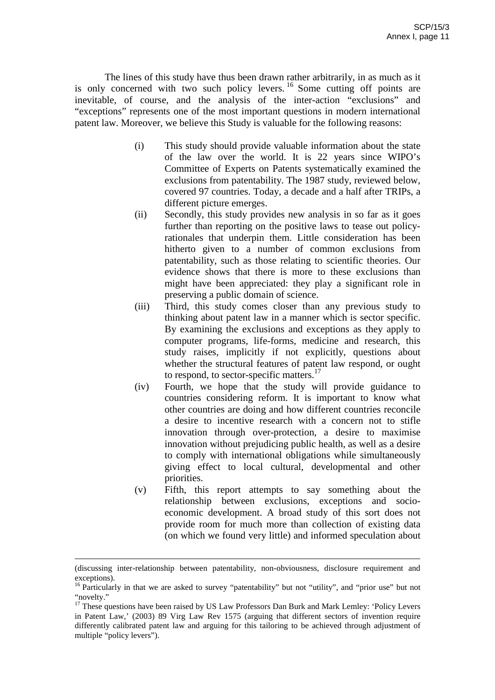The lines of this study have thus been drawn rather arbitrarily, in as much as it is only concerned with two such policy levers.<sup>16</sup> Some cutting off points are inevitable, of course, and the analysis of the inter-action "exclusions" and "exceptions" represents one of the most important questions in modern international patent law. Moreover, we believe this Study is valuable for the following reasons:

- (i) This study should provide valuable information about the state of the law over the world. It is 22 years since WIPO's Committee of Experts on Patents systematically examined the exclusions from patentability. The 1987 study, reviewed below, covered 97 countries. Today, a decade and a half after TRIPs, a different picture emerges.
- (ii) Secondly, this study provides new analysis in so far as it goes further than reporting on the positive laws to tease out policyrationales that underpin them. Little consideration has been hitherto given to a number of common exclusions from patentability, such as those relating to scientific theories. Our evidence shows that there is more to these exclusions than might have been appreciated: they play a significant role in preserving a public domain of science.
- (iii) Third, this study comes closer than any previous study to thinking about patent law in a manner which is sector specific. By examining the exclusions and exceptions as they apply to computer programs, life-forms, medicine and research, this study raises, implicitly if not explicitly, questions about whether the structural features of patent law respond, or ought to respond, to sector-specific matters.<sup>17</sup>
- (iv) Fourth, we hope that the study will provide guidance to countries considering reform. It is important to know what other countries are doing and how different countries reconcile a desire to incentive research with a concern not to stifle innovation through over-protection, a desire to maximise innovation without prejudicing public health, as well as a desire to comply with international obligations while simultaneously giving effect to local cultural, developmental and other priorities.
- (v) Fifth, this report attempts to say something about the relationship between exclusions, exceptions and socioeconomic development. A broad study of this sort does not provide room for much more than collection of existing data (on which we found very little) and informed speculation about

<sup>(</sup>discussing inter-relationship between patentability, non-obviousness, disclosure requirement and

exceptions).<br><sup>16</sup> Particularly in that we are asked to survey "patentability" but not "utility", and "prior use" but not "novelty."

<sup>&</sup>lt;sup>17</sup> These questions have been raised by US Law Professors Dan Burk and Mark Lemley: 'Policy Levers in Patent Law,' (2003) 89 Virg Law Rev 1575 (arguing that different sectors of invention require differently calibrated patent law and arguing for this tailoring to be achieved through adjustment of multiple "policy levers").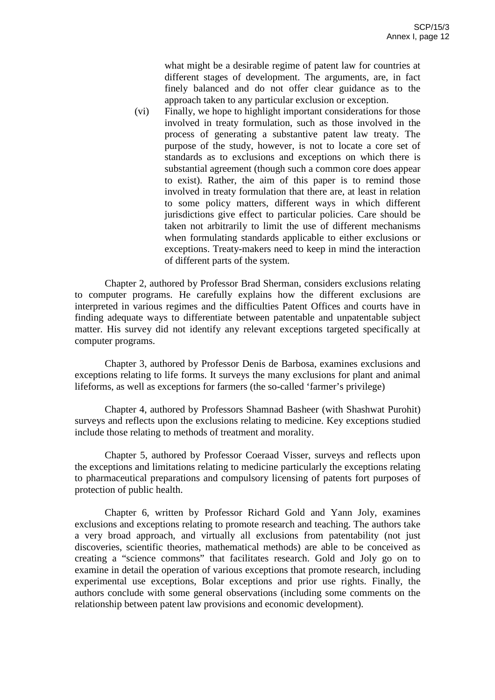what might be a desirable regime of patent law for countries at different stages of development. The arguments, are, in fact finely balanced and do not offer clear guidance as to the approach taken to any particular exclusion or exception.

(vi) Finally, we hope to highlight important considerations for those involved in treaty formulation, such as those involved in the process of generating a substantive patent law treaty. The purpose of the study, however, is not to locate a core set of standards as to exclusions and exceptions on which there is substantial agreement (though such a common core does appear to exist). Rather, the aim of this paper is to remind those involved in treaty formulation that there are, at least in relation to some policy matters, different ways in which different jurisdictions give effect to particular policies. Care should be taken not arbitrarily to limit the use of different mechanisms when formulating standards applicable to either exclusions or exceptions. Treaty-makers need to keep in mind the interaction of different parts of the system.

Chapter 2, authored by Professor Brad Sherman, considers exclusions relating to computer programs. He carefully explains how the different exclusions are interpreted in various regimes and the difficulties Patent Offices and courts have in finding adequate ways to differentiate between patentable and unpatentable subject matter. His survey did not identify any relevant exceptions targeted specifically at computer programs.

Chapter 3, authored by Professor Denis de Barbosa, examines exclusions and exceptions relating to life forms. It surveys the many exclusions for plant and animal lifeforms, as well as exceptions for farmers (the so-called 'farmer's privilege)

Chapter 4, authored by Professors Shamnad Basheer (with Shashwat Purohit) surveys and reflects upon the exclusions relating to medicine. Key exceptions studied include those relating to methods of treatment and morality.

Chapter 5, authored by Professor Coeraad Visser, surveys and reflects upon the exceptions and limitations relating to medicine particularly the exceptions relating to pharmaceutical preparations and compulsory licensing of patents fort purposes of protection of public health.

Chapter 6, written by Professor Richard Gold and Yann Joly, examines exclusions and exceptions relating to promote research and teaching. The authors take a very broad approach, and virtually all exclusions from patentability (not just discoveries, scientific theories, mathematical methods) are able to be conceived as creating a "science commons" that facilitates research. Gold and Joly go on to examine in detail the operation of various exceptions that promote research, including experimental use exceptions, Bolar exceptions and prior use rights. Finally, the authors conclude with some general observations (including some comments on the relationship between patent law provisions and economic development).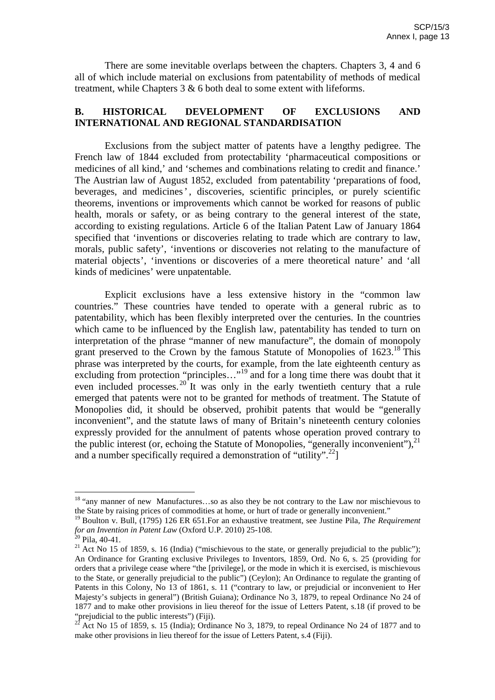There are some inevitable overlaps between the chapters. Chapters 3, 4 and 6 all of which include material on exclusions from patentability of methods of medical treatment, while Chapters 3 & 6 both deal to some extent with lifeforms.

#### **B. HISTORICAL DEVELOPMENT OF EXCLUSIONS AND INTERNATIONAL AND REGIONAL STANDARDISATION**

Exclusions from the subject matter of patents have a lengthy pedigree. The French law of 1844 excluded from protectability 'pharmaceutical compositions or medicines of all kind,' and 'schemes and combinations relating to credit and finance.' The Austrian law of August 1852, excluded from patentability 'preparations of food, beverages, and medicines', discoveries, scientific principles, or purely scientific theorems, inventions or improvements which cannot be worked for reasons of public health, morals or safety, or as being contrary to the general interest of the state, according to existing regulations. Article 6 of the Italian Patent Law of January 1864 specified that 'inventions or discoveries relating to trade which are contrary to law, morals, public safety', 'inventions or discoveries not relating to the manufacture of material objects', 'inventions or discoveries of a mere theoretical nature' and 'all kinds of medicines' were unpatentable.

Explicit exclusions have a less extensive history in the "common law countries." These countries have tended to operate with a general rubric as to patentability, which has been flexibly interpreted over the centuries. In the countries which came to be influenced by the English law, patentability has tended to turn on interpretation of the phrase "manner of new manufacture", the domain of monopoly grant preserved to the Crown by the famous Statute of Monopolies of 1623.<sup>18</sup> This phrase was interpreted by the courts, for example, from the late eighteenth century as excluding from protection "principles..."<sup>19</sup> and for a long time there was doubt that it even included processes.<sup>20</sup> It was only in the early twentieth century that a rule emerged that patents were not to be granted for methods of treatment. The Statute of Monopolies did, it should be observed, prohibit patents that would be "generally inconvenient", and the statute laws of many of Britain's nineteenth century colonies expressly provided for the annulment of patents whose operation proved contrary to the public interest (or, echoing the Statute of Monopolies, "generally inconvenient"),<sup>21</sup> and a number specifically required a demonstration of "utility".<sup>22</sup>]

<sup>&</sup>lt;sup>18</sup> "any manner of new Manufactures...so as also they be not contrary to the Law nor mischievous to

the State by raising prices of commodities at home, or hurt of trade or generally inconvenient."<br><sup>19</sup> Boulton v. Bull, (1795) 126 ER 651.For an exhaustive treatment, see Justine Pila, *The Requirement*<br>*for an Invention in* 

<sup>&</sup>lt;sup>21</sup> Act No 15 of 1859, s. 16 (India) ("mischievous to the state, or generally prejudicial to the public"); An Ordinance for Granting exclusive Privileges to Inventors, 1859, Ord. No 6, s. 25 (providing for orders that a privilege cease where "the [privilege], or the mode in which it is exercised, is mischievous to the State, or generally prejudicial to the public") (Ceylon); An Ordinance to regulate the granting of Patents in this Colony, No 13 of 1861, s. 11 ("contrary to law, or prejudicial or inconvenient to Her Majesty's subjects in general") (British Guiana); Ordinance No 3, 1879, to repeal Ordinance No 24 of 1877 and to make other provisions in lieu thereof for the issue of Letters Patent, s.18 (if proved to be "prejudicial to the public interests") (Fiji).

Act No 15 of 1859, s. 15 (India); Ordinance No 3, 1879, to repeal Ordinance No 24 of 1877 and to make other provisions in lieu thereof for the issue of Letters Patent, s.4 (Fiji).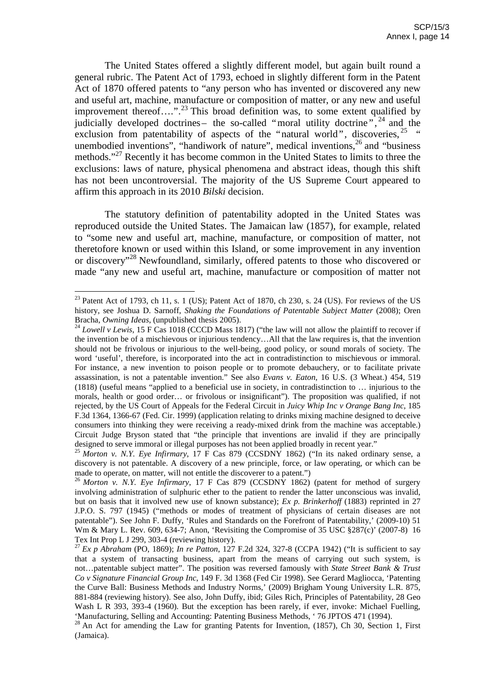The United States offered a slightly different model, but again built round a general rubric. The Patent Act of 1793, echoed in slightly different form in the Patent Act of 1870 offered patents to "any person who has invented or discovered any new and useful art, machine, manufacture or composition of matter, or any new and useful improvement thereof....".<sup>23</sup> This broad definition was, to some extent qualified by judicially developed doctrines – the so-called "moral utility doctrine",  $24$  and the exclusion from patentability of aspects of the "natural world", discoveries,  $25$  " unembodied inventions", "handiwork of nature", medical inventions, <sup>26</sup> and "business methods."<sup>27</sup> Recently it has become common in the United States to limits to three the exclusions: laws of nature, physical phenomena and abstract ideas, though this shift has not been uncontroversial. The majority of the US Supreme Court appeared to affirm this approach in its 2010 *Bilski* decision.

The statutory definition of patentability adopted in the United States was reproduced outside the United States. The Jamaican law (1857), for example, related to "some new and useful art, machine, manufacture, or composition of matter, not theretofore known or used within this Island, or some improvement in any invention or discovery"<sup>28</sup> Newfoundland, similarly, offered patents to those who discovered or made "any new and useful art, machine, manufacture or composition of matter not

 $^{23}$  Patent Act of 1793, ch 11, s. 1 (US); Patent Act of 1870, ch 230, s. 24 (US). For reviews of the US history, see Joshua D. Sarnoff, *Shaking the Foundations of Patentable Subject Matter* (2008); Oren

Bracha, *Owning Ideas*, (unpublished thesis 2005).<br><sup>24</sup> *Lowell v Lewis*, 15 F Cas 1018 (CCCD Mass 1817) ("the law will not allow the plaintiff to recover if the invention be of a mischievous or injurious tendency…All that the law requires is, that the invention should not be frivolous or injurious to the well-being, good policy, or sound morals of society. The word 'useful', therefore, is incorporated into the act in contradistinction to mischievous or immoral. For instance, a new invention to poison people or to promote debauchery, or to facilitate private assassination, is not a patentable invention." See also *Evans v. Eaton*, 16 U.S. (3 Wheat.) 454, 519 (1818) (useful means "applied to a beneficial use in society, in contradistinction to … injurious to the morals, health or good order… or frivolous or insignificant"). The proposition was qualified, if not rejected, by the US Court of Appeals for the Federal Circuit in *Juicy Whip Inc v Orange Bang Inc*, 185 F.3d 1364, 1366-67 (Fed. Cir. 1999) (application relating to drinks mixing machine designed to deceive consumers into thinking they were receiving a ready-mixed drink from the machine was acceptable.) Circuit Judge Bryson stated that "the principle that inventions are invalid if they are principally designed to serve immoral or illegal purposes has not been applied broadly in recent year."<br><sup>25</sup> *Morton v. N.Y. Eye Infirmary*, 17 F Cas 879 (CCSDNY 1862) ("In its naked ordinary sense, a

discovery is not patentable. A discovery of a new principle, force, or law operating, or which can be made to operate, on matter, will not entitle the discoverer to a patent.")<br><sup>26</sup> *Morton v. N.Y. Eye Infirmary*, 17 F Cas 879 (CCSDNY 1862) (patent for method of surgery

involving administration of sulphuric ether to the patient to render the latter unconscious was invalid, but on basis that it involved new use of known substance); *Ex p. Brinkerhoff* (1883) reprinted in 27 J.P.O. S. 797 (1945) ("methods or modes of treatment of physicians of certain diseases are not patentable"). See John F. Duffy, 'Rules and Standards on the Forefront of Patentability,' (2009-10) 51 Wm & Mary L. Rev. 609, 634-7; Anon, 'Revisiting the Compromise of 35 USC §287(c)' (2007-8) 16 Tex Int Prop <sup>L</sup> <sup>J</sup> 299, 303-4 (reviewing history). <sup>27</sup> *Ex <sup>p</sup> Abraham* (PO, 1869); *In re Patton*, <sup>127</sup> F.2d 324, 327-8 (CCPA 1942) ("It is sufficient to say

that a system of transacting business, apart from the means of carrying out such system, is not…patentable subject matter". The position was reversed famously with *State Street Bank & Trust Co v Signature Financial Group Inc*, 149 F. 3d 1368 (Fed Cir 1998). See Gerard Magliocca, 'Patenting the Curve Ball: Business Methods and Industry Norms,' (2009) Brigham Young University L.R. 875, 881-884 (reviewing history). See also, John Duffy, ibid; Giles Rich, Principles of Patentability, 28 Geo Wash L R 393, 393-4 (1960). But the exception has been rarely, if ever, invoke: Michael Fuelling, 'Manufacturing, Selling and Accounting: Patenting Business Methods, '76 JPTOS 471 (1994).

<sup>&</sup>lt;sup>28</sup> An Act for amending the Law for granting Patents for Invention,  $(1857)$ , Ch 30, Section 1, First (Jamaica).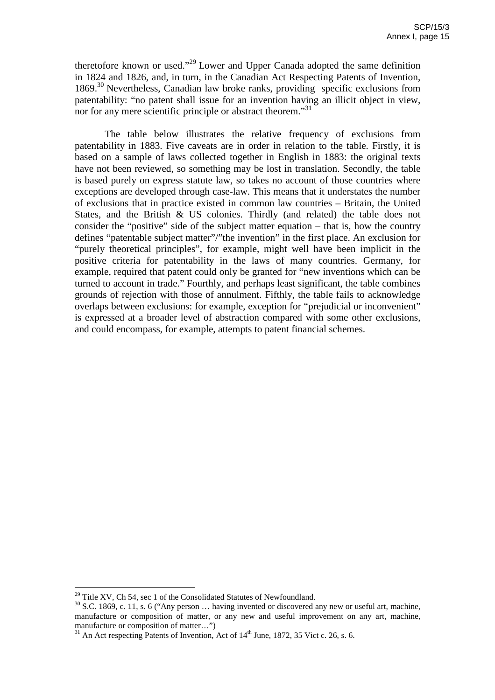theretofore known or used."<sup>29</sup> Lower and Upper Canada adopted the same definition in 1824 and 1826, and, in turn, in the Canadian Act Respecting Patents of Invention, 1869. <sup>30</sup> Nevertheless, Canadian law broke ranks, providing specific exclusions from patentability: "no patent shall issue for an invention having an illicit object in view, nor for any mere scientific principle or abstract theorem."<sup>31</sup>

The table below illustrates the relative frequency of exclusions from patentability in 1883. Five caveats are in order in relation to the table. Firstly, it is based on a sample of laws collected together in English in 1883: the original texts have not been reviewed, so something may be lost in translation. Secondly, the table is based purely on express statute law, so takes no account of those countries where exceptions are developed through case-law. This means that it understates the number of exclusions that in practice existed in common law countries – Britain, the United States, and the British & US colonies. Thirdly (and related) the table does not consider the "positive" side of the subject matter equation – that is, how the country defines "patentable subject matter"/"the invention" in the first place. An exclusion for "purely theoretical principles", for example, might well have been implicit in the positive criteria for patentability in the laws of many countries. Germany, for example, required that patent could only be granted for "new inventions which can be turned to account in trade." Fourthly, and perhaps least significant, the table combines grounds of rejection with those of annulment. Fifthly, the table fails to acknowledge overlaps between exclusions: for example, exception for "prejudicial or inconvenient" is expressed at a broader level of abstraction compared with some other exclusions, and could encompass, for example, attempts to patent financial schemes.

<sup>&</sup>lt;sup>29</sup> Title XV, Ch 54, sec 1 of the Consolidated Statutes of Newfoundland.<br><sup>30</sup> S.C. 1869, c. 11, s. 6 ("Any person ... having invented or discovered any new or useful art, machine, manufacture or composition of matter, or any new and useful improvement on any art, machine, manufacture or composition of matter...")

manufacture or composition of matterial  $\frac{31}{21}$  An Act respecting Patents of Invention, Act of  $14<sup>th</sup>$  June, 1872, 35 Vict c. 26, s. 6.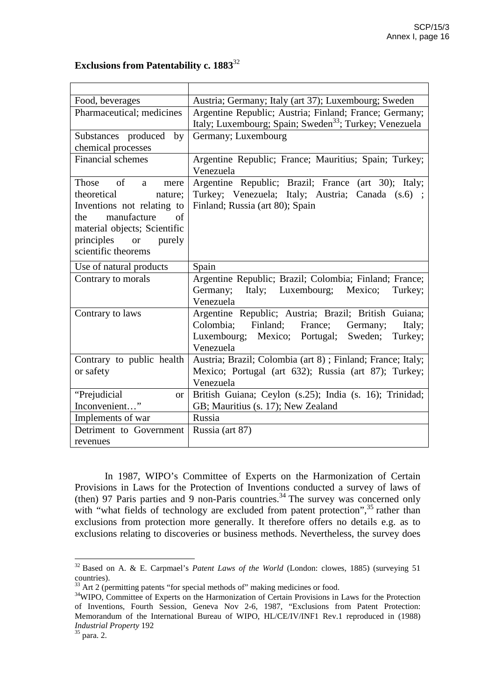| Food, beverages              | Austria; Germany; Italy (art 37); Luxembourg; Sweden               |
|------------------------------|--------------------------------------------------------------------|
| Pharmaceutical; medicines    | Argentine Republic; Austria; Finland; France; Germany;             |
|                              | Italy; Luxembourg; Spain; Sweden <sup>33</sup> ; Turkey; Venezuela |
| Substances produced<br>by    | Germany; Luxembourg                                                |
| chemical processes           |                                                                    |
| Financial schemes            | Argentine Republic; France; Mauritius; Spain; Turkey;<br>Venezuela |
| Those of<br>a<br>mere        | Argentine Republic; Brazil; France (art 30); Italy;                |
| theoretical<br>nature;       | Turkey; Venezuela; Italy; Austria; Canada (s.6) ;                  |
| Inventions not relating to   | Finland; Russia (art 80); Spain                                    |
| manufacture<br>of<br>the     |                                                                    |
| material objects; Scientific |                                                                    |
| principles or purely         |                                                                    |
| scientific theorems          |                                                                    |
| Use of natural products      | Spain                                                              |
| Contrary to morals           | Argentine Republic; Brazil; Colombia; Finland; France;             |
|                              | Italy; Luxembourg; Mexico;<br>Germany;<br>Turkey;                  |
|                              | Venezuela                                                          |
| Contrary to laws             | Argentine Republic; Austria; Brazil; British Guiana;               |
|                              | Finland:<br>France;<br>Colombia;<br>Germany;<br>Italy;             |
|                              | Luxembourg; Mexico; Portugal;<br>Sweden;<br>Turkey;                |
|                              | Venezuela                                                          |
| Contrary to public health    | Austria; Brazil; Colombia (art 8); Finland; France; Italy;         |
| or safety                    | Mexico; Portugal (art 632); Russia (art 87); Turkey;               |
|                              | Venezuela                                                          |
| "Prejudicial<br>or           | British Guiana; Ceylon (s.25); India (s. 16); Trinidad;            |
| Inconvenient"                | GB; Mauritius (s. 17); New Zealand                                 |
| Implements of war            | Russia                                                             |
| Detriment to Government      | Russia (art 87)                                                    |
| revenues                     |                                                                    |

#### **Exclusions from Patentability c. 1883**<sup>32</sup>

In 1987, WIPO's Committee of Experts on the Harmonization of Certain Provisions in Laws for the Protection of Inventions conducted a survey of laws of (then) 97 Paris parties and 9 non-Paris countries.<sup>34</sup> The survey was concerned only with "what fields of technology are excluded from patent protection",<sup>35</sup> rather than exclusions from protection more generally. It therefore offers no details e.g. as to exclusions relating to discoveries or business methods. Nevertheless, the survey does

<sup>32</sup> Based on A. & E. Carpmael's *Patent Laws of the World* (London: clowes, 1885) (surveying 51

 $33$  Art 2 (permitting patents "for special methods of" making medicines or food.

<sup>&</sup>lt;sup>34</sup>WIPO, Committee of Experts on the Harmonization of Certain Provisions in Laws for the Protection of Inventions, Fourth Session, Geneva Nov 2-6, 1987, "Exclusions from Patent Protection: Memorandum of the International Bureau of WIPO, HL/CE/IV/INF1 Rev.1 reproduced in (1988) *Industrial Property* <sup>192</sup> <sup>35</sup> para. 2.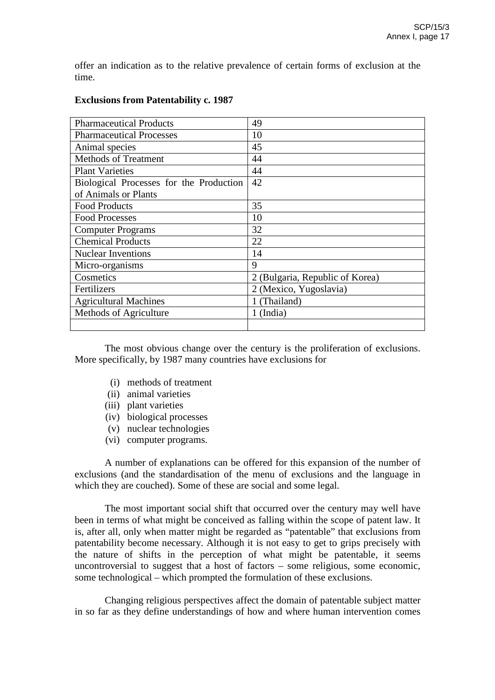offer an indication as to the relative prevalence of certain forms of exclusion at the time.

| <b>Pharmaceutical Products</b>          | 49                              |
|-----------------------------------------|---------------------------------|
| <b>Pharmaceutical Processes</b>         | 10                              |
| Animal species                          | 45                              |
| <b>Methods of Treatment</b>             | 44                              |
| <b>Plant Varieties</b>                  | 44                              |
| Biological Processes for the Production | 42                              |
| of Animals or Plants                    |                                 |
| <b>Food Products</b>                    | 35                              |
| <b>Food Processes</b>                   | 10                              |
| <b>Computer Programs</b>                | 32                              |
| <b>Chemical Products</b>                | 22                              |
| <b>Nuclear Inventions</b>               | 14                              |
| Micro-organisms                         | 9                               |
| Cosmetics                               | 2 (Bulgaria, Republic of Korea) |
| Fertilizers                             | 2 (Mexico, Yugoslavia)          |
| <b>Agricultural Machines</b>            | 1 (Thailand)                    |
| Methods of Agriculture                  | $1$ (India)                     |
|                                         |                                 |

#### **Exclusions from Patentability c. 1987**

The most obvious change over the century is the proliferation of exclusions. More specifically, by 1987 many countries have exclusions for

- (i) methods of treatment
- (ii) animal varieties
- (iii) plant varieties
- (iv) biological processes
- (v) nuclear technologies
- (vi) computer programs.

A number of explanations can be offered for this expansion of the number of exclusions (and the standardisation of the menu of exclusions and the language in which they are couched). Some of these are social and some legal.

The most important social shift that occurred over the century may well have been in terms of what might be conceived as falling within the scope of patent law. It is, after all, only when matter might be regarded as "patentable" that exclusions from patentability become necessary. Although it is not easy to get to grips precisely with the nature of shifts in the perception of what might be patentable, it seems uncontroversial to suggest that a host of factors – some religious, some economic, some technological – which prompted the formulation of these exclusions.

Changing religious perspectives affect the domain of patentable subject matter in so far as they define understandings of how and where human intervention comes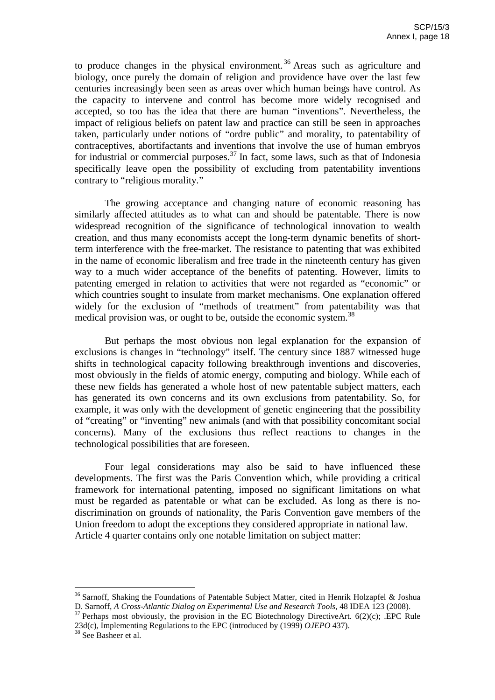to produce changes in the physical environment.<sup>36</sup> Areas such as agriculture and biology, once purely the domain of religion and providence have over the last few centuries increasingly been seen as areas over which human beings have control. As the capacity to intervene and control has become more widely recognised and accepted, so too has the idea that there are human "inventions". Nevertheless, the impact of religious beliefs on patent law and practice can still be seen in approaches taken, particularly under notions of "ordre public" and morality, to patentability of contraceptives, abortifactants and inventions that involve the use of human embryos for industrial or commercial purposes.<sup>37</sup> In fact, some laws, such as that of Indonesia specifically leave open the possibility of excluding from patentability inventions contrary to "religious morality."

The growing acceptance and changing nature of economic reasoning has similarly affected attitudes as to what can and should be patentable. There is now widespread recognition of the significance of technological innovation to wealth creation, and thus many economists accept the long-term dynamic benefits of shortterm interference with the free-market. The resistance to patenting that was exhibited in the name of economic liberalism and free trade in the nineteenth century has given way to a much wider acceptance of the benefits of patenting. However, limits to patenting emerged in relation to activities that were not regarded as "economic" or which countries sought to insulate from market mechanisms. One explanation offered widely for the exclusion of "methods of treatment" from patentability was that medical provision was, or ought to be, outside the economic system.<sup>38</sup>

But perhaps the most obvious non legal explanation for the expansion of exclusions is changes in "technology" itself. The century since 1887 witnessed huge shifts in technological capacity following breakthrough inventions and discoveries, most obviously in the fields of atomic energy, computing and biology. While each of these new fields has generated a whole host of new patentable subject matters, each has generated its own concerns and its own exclusions from patentability. So, for example, it was only with the development of genetic engineering that the possibility of "creating" or "inventing" new animals (and with that possibility concomitant social concerns). Many of the exclusions thus reflect reactions to changes in the technological possibilities that are foreseen.

Four legal considerations may also be said to have influenced these developments. The first was the Paris Convention which, while providing a critical framework for international patenting, imposed no significant limitations on what must be regarded as patentable or what can be excluded. As long as there is nodiscrimination on grounds of nationality, the Paris Convention gave members of the Union freedom to adopt the exceptions they considered appropriate in national law. Article 4 quarter contains only one notable limitation on subject matter:

<sup>&</sup>lt;sup>36</sup> Sarnoff, Shaking the Foundations of Patentable Subject Matter, cited in Henrik Holzapfel & Joshua<br>D. Sarnoff, A Cross-Atlantic Dialog on Experimental Use and Research Tools, 48 IDEA 123 (2008).

 $37$  Perhaps most obviously, the provision in the EC Biotechnology DirectiveArt. 6(2)(c); .EPC Rule 23d(c), Implementing Regulations to the EPC (introduced by (1999) *OJEPO* 437). <sup>38</sup> See Basheer et al.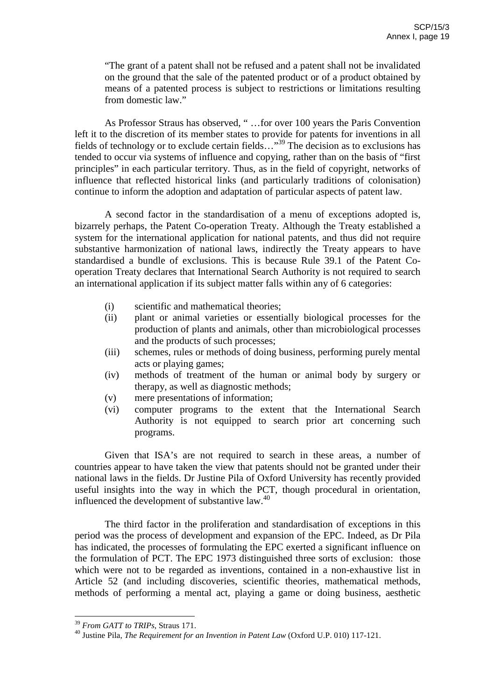"The grant of a patent shall not be refused and a patent shall not be invalidated on the ground that the sale of the patented product or of a product obtained by means of a patented process is subject to restrictions or limitations resulting from domestic law."

As Professor Straus has observed, " …for over 100 years the Paris Convention left it to the discretion of its member states to provide for patents for inventions in all fields of technology or to exclude certain fields..."<sup>39</sup> The decision as to exclusions has tended to occur via systems of influence and copying, rather than on the basis of "first principles" in each particular territory. Thus, as in the field of copyright, networks of influence that reflected historical links (and particularly traditions of colonisation) continue to inform the adoption and adaptation of particular aspects of patent law.

A second factor in the standardisation of a menu of exceptions adopted is, bizarrely perhaps, the Patent Co-operation Treaty. Although the Treaty established a system for the international application for national patents, and thus did not require substantive harmonization of national laws, indirectly the Treaty appears to have standardised a bundle of exclusions. This is because Rule 39.1 of the Patent Cooperation Treaty declares that International Search Authority is not required to search an international application if its subject matter falls within any of 6 categories:

- (i) scientific and mathematical theories;
- (ii) plant or animal varieties or essentially biological processes for the production of plants and animals, other than microbiological processes and the products of such processes;
- (iii) schemes, rules or methods of doing business, performing purely mental acts or playing games;
- (iv) methods of treatment of the human or animal body by surgery or therapy, as well as diagnostic methods;
- (v) mere presentations of information;
- (vi) computer programs to the extent that the International Search Authority is not equipped to search prior art concerning such programs.

Given that ISA's are not required to search in these areas, a number of countries appear to have taken the view that patents should not be granted under their national laws in the fields. Dr Justine Pila of Oxford University has recently provided useful insights into the way in which the PCT, though procedural in orientation, influenced the development of substantive law.<sup>40</sup>

The third factor in the proliferation and standardisation of exceptions in this period was the process of development and expansion of the EPC. Indeed, as Dr Pila has indicated, the processes of formulating the EPC exerted a significant influence on the formulation of PCT. The EPC 1973 distinguished three sorts of exclusion: those which were not to be regarded as inventions, contained in a non-exhaustive list in Article 52 (and including discoveries, scientific theories, mathematical methods, methods of performing a mental act, playing a game or doing business, aesthetic

<sup>39</sup> *From GATT to TRIPs*, Straus 171. <sup>40</sup> Justine Pila, *The Requirement for an Invention in Patent Law* (Oxford U.P. 010) 117-121.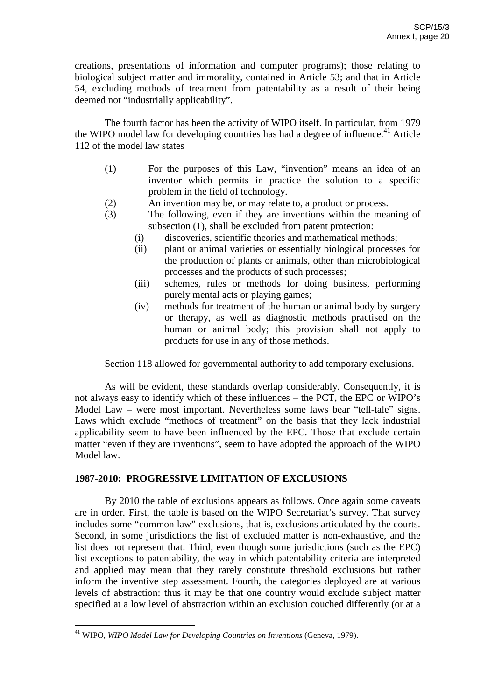creations, presentations of information and computer programs); those relating to biological subject matter and immorality, contained in Article 53; and that in Article 54, excluding methods of treatment from patentability as a result of their being deemed not "industrially applicability".

The fourth factor has been the activity of WIPO itself. In particular, from 1979 the WIPO model law for developing countries has had a degree of influence.<sup>41</sup> Article 112 of the model law states

- (1) For the purposes of this Law, "invention" means an idea of an inventor which permits in practice the solution to a specific problem in the field of technology.
- (2) An invention may be, or may relate to, a product or process.
- (3) The following, even if they are inventions within the meaning of subsection (1), shall be excluded from patent protection:
	- (i) discoveries, scientific theories and mathematical methods;
	- (ii) plant or animal varieties or essentially biological processes for the production of plants or animals, other than microbiological processes and the products of such processes;
	- (iii) schemes, rules or methods for doing business, performing purely mental acts or playing games;
	- (iv) methods for treatment of the human or animal body by surgery or therapy, as well as diagnostic methods practised on the human or animal body; this provision shall not apply to products for use in any of those methods.

Section 118 allowed for governmental authority to add temporary exclusions.

As will be evident, these standards overlap considerably. Consequently, it is not always easy to identify which of these influences – the PCT, the EPC or WIPO's Model Law – were most important. Nevertheless some laws bear "tell-tale" signs. Laws which exclude "methods of treatment" on the basis that they lack industrial applicability seem to have been influenced by the EPC. Those that exclude certain matter "even if they are inventions", seem to have adopted the approach of the WIPO Model law.

#### **1987-2010: PROGRESSIVE LIMITATION OF EXCLUSIONS**

By 2010 the table of exclusions appears as follows. Once again some caveats are in order. First, the table is based on the WIPO Secretariat's survey. That survey includes some "common law" exclusions, that is, exclusions articulated by the courts. Second, in some jurisdictions the list of excluded matter is non-exhaustive, and the list does not represent that. Third, even though some jurisdictions (such as the EPC) list exceptions to patentability, the way in which patentability criteria are interpreted and applied may mean that they rarely constitute threshold exclusions but rather inform the inventive step assessment. Fourth, the categories deployed are at various levels of abstraction: thus it may be that one country would exclude subject matter specified at a low level of abstraction within an exclusion couched differently (or at a

<sup>41</sup> WIPO, *WIPO Model Law for Developing Countries on Inventions* (Geneva, 1979).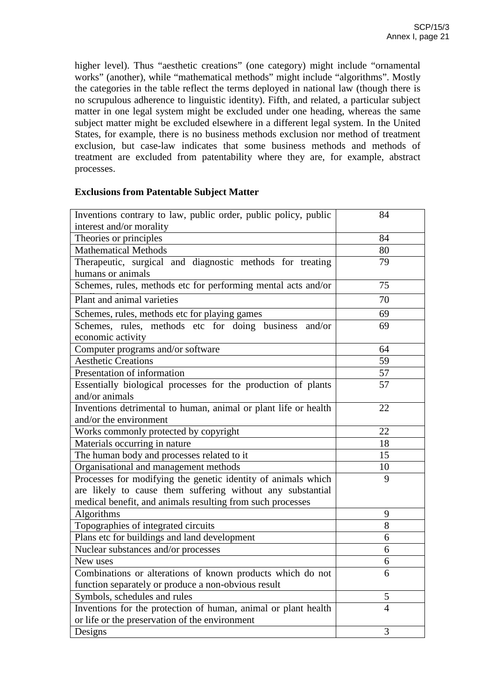higher level). Thus "aesthetic creations" (one category) might include "ornamental works" (another), while "mathematical methods" might include "algorithms". Mostly the categories in the table reflect the terms deployed in national law (though there is no scrupulous adherence to linguistic identity). Fifth, and related, a particular subject matter in one legal system might be excluded under one heading, whereas the same subject matter might be excluded elsewhere in a different legal system. In the United States, for example, there is no business methods exclusion nor method of treatment exclusion, but case-law indicates that some business methods and methods of treatment are excluded from patentability where they are, for example, abstract processes.

| Inventions contrary to law, public order, public policy, public               | 84             |
|-------------------------------------------------------------------------------|----------------|
| interest and/or morality                                                      |                |
| Theories or principles                                                        | 84             |
| <b>Mathematical Methods</b>                                                   | 80             |
| Therapeutic, surgical and diagnostic methods for treating                     | 79             |
| humans or animals                                                             |                |
| Schemes, rules, methods etc for performing mental acts and/or                 | 75             |
| Plant and animal varieties                                                    | 70             |
| Schemes, rules, methods etc for playing games                                 | 69             |
| Schemes, rules, methods etc for doing business<br>and/or<br>economic activity | 69             |
| Computer programs and/or software                                             | 64             |
| <b>Aesthetic Creations</b>                                                    | 59             |
| Presentation of information                                                   | 57             |
| Essentially biological processes for the production of plants                 | 57             |
| and/or animals                                                                |                |
| Inventions detrimental to human, animal or plant life or health               | 22             |
| and/or the environment                                                        |                |
| Works commonly protected by copyright                                         | 22             |
| Materials occurring in nature                                                 | 18             |
| The human body and processes related to it                                    | 15             |
| Organisational and management methods                                         | 10             |
| Processes for modifying the genetic identity of animals which                 | 9              |
| are likely to cause them suffering without any substantial                    |                |
| medical benefit, and animals resulting from such processes                    |                |
| Algorithms                                                                    | 9              |
| Topographies of integrated circuits                                           | 8              |
| Plans etc for buildings and land development                                  | 6              |
| Nuclear substances and/or processes                                           | 6              |
| New uses                                                                      | 6              |
| Combinations or alterations of known products which do not                    | 6              |
| function separately or produce a non-obvious result                           |                |
| Symbols, schedules and rules                                                  | 5              |
| Inventions for the protection of human, animal or plant health                | $\overline{4}$ |
| or life or the preservation of the environment                                |                |
| Designs                                                                       | 3              |

#### **Exclusions from Patentable Subject Matter**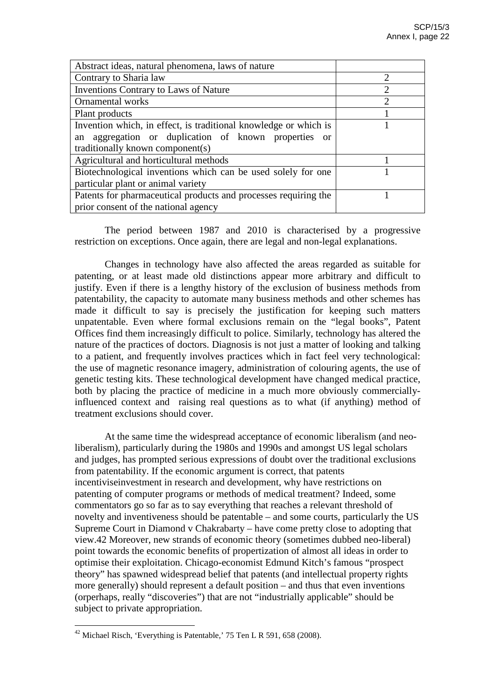| Abstract ideas, natural phenomena, laws of nature                |                             |
|------------------------------------------------------------------|-----------------------------|
| Contrary to Sharia law                                           | 2                           |
| <b>Inventions Contrary to Laws of Nature</b>                     | $\mathfrak{D}$              |
| Ornamental works                                                 | $\mathcal{D}_{\mathcal{A}}$ |
| Plant products                                                   |                             |
| Invention which, in effect, is traditional knowledge or which is |                             |
| an aggregation or duplication of known properties or             |                             |
| traditionally known component(s)                                 |                             |
| Agricultural and horticultural methods                           |                             |
| Biotechnological inventions which can be used solely for one     |                             |
| particular plant or animal variety                               |                             |
| Patents for pharmaceutical products and processes requiring the  |                             |
| prior consent of the national agency                             |                             |

The period between 1987 and 2010 is characterised by a progressive restriction on exceptions. Once again, there are legal and non-legal explanations.

Changes in technology have also affected the areas regarded as suitable for patenting, or at least made old distinctions appear more arbitrary and difficult to justify. Even if there is a lengthy history of the exclusion of business methods from patentability, the capacity to automate many business methods and other schemes has made it difficult to say is precisely the justification for keeping such matters unpatentable. Even where formal exclusions remain on the "legal books", Patent Offices find them increasingly difficult to police. Similarly, technology has altered the nature of the practices of doctors. Diagnosis is not just a matter of looking and talking to a patient, and frequently involves practices which in fact feel very technological: the use of magnetic resonance imagery, administration of colouring agents, the use of genetic testing kits. These technological development have changed medical practice, both by placing the practice of medicine in a much more obviously commerciallyinfluenced context and raising real questions as to what (if anything) method of treatment exclusions should cover.

At the same time the widespread acceptance of economic liberalism (and neoliberalism), particularly during the 1980s and 1990s and amongst US legal scholars and judges, has prompted serious expressions of doubt over the traditional exclusions from patentability. If the economic argument is correct, that patents incentiviseinvestment in research and development, why have restrictions on patenting of computer programs or methods of medical treatment? Indeed, some commentators go so far as to say everything that reaches a relevant threshold of novelty and inventiveness should be patentable – and some courts, particularly the US Supreme Court in Diamond v Chakrabarty – have come pretty close to adopting that view.42 Moreover, new strands of economic theory (sometimes dubbed neo-liberal) point towards the economic benefits of propertization of almost all ideas in order to optimise their exploitation. Chicago-economist Edmund Kitch's famous "prospect theory" has spawned widespread belief that patents (and intellectual property rights more generally) should represent a default position – and thus that even inventions (orperhaps, really "discoveries") that are not "industrially applicable" should be subject to private appropriation.

<sup>42</sup> Michael Risch, 'Everything is Patentable,' 75 Ten L R 591, 658 (2008).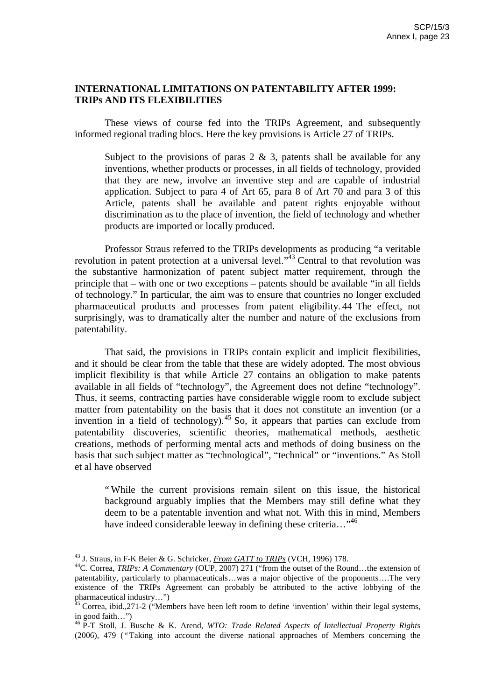#### **INTERNATIONAL LIMITATIONS ON PATENTABILITY AFTER 1999: TRIPs AND ITS FLEXIBILITIES**

These views of course fed into the TRIPs Agreement, and subsequently informed regional trading blocs. Here the key provisions is Article 27 of TRIPs.

Subject to the provisions of paras  $2 \& 3$ , patents shall be available for any inventions, whether products or processes, in all fields of technology, provided that they are new, involve an inventive step and are capable of industrial application. Subject to para 4 of Art 65, para 8 of Art 70 and para 3 of this Article, patents shall be available and patent rights enjoyable without discrimination as to the place of invention, the field of technology and whether products are imported or locally produced.

Professor Straus referred to the TRIPs developments as producing "a veritable revolution in patent protection at a universal level."<sup>43</sup> Central to that revolution was the substantive harmonization of patent subject matter requirement, through the principle that – with one or two exceptions – patents should be available "in all fields of technology." In particular, the aim was to ensure that countries no longer excluded pharmaceutical products and processes from patent eligibility. 44 The effect, not surprisingly, was to dramatically alter the number and nature of the exclusions from patentability.

That said, the provisions in TRIPs contain explicit and implicit flexibilities, and it should be clear from the table that these are widely adopted. The most obvious implicit flexibility is that while Article 27 contains an obligation to make patents available in all fields of "technology", the Agreement does not define "technology". Thus, it seems, contracting parties have considerable wiggle room to exclude subject matter from patentability on the basis that it does not constitute an invention (or a invention in a field of technology).<sup>45</sup> So, it appears that parties can exclude from patentability discoveries, scientific theories, mathematical methods, aesthetic creations, methods of performing mental acts and methods of doing business on the basis that such subject matter as "technological", "technical" or "inventions." As Stoll et al have observed

" While the current provisions remain silent on this issue, the historical background arguably implies that the Members may still define what they deem to be a patentable invention and what not. With this in mind, Members have indeed considerable leeway in defining these criteria..."<sup>46</sup>

<sup>43</sup> J. Straus, in F-K Beier & G. Schricker, *From GATT to TRIPs* (VCH, 1996) 178. <sup>44</sup>

C. Correa, *TRIPs: A Commentary* (OUP, 2007) 271 ("from the outset of the Round…the extension of patentability, particularly to pharmaceuticals…was a major objective of the proponents….The very existence of the TRIPs Agreement can probably be attributed to the active lobbying of the pharmaceutical industry…")<br><sup>45</sup> Correa, ibid.,271-2 ("Members have been left room to define 'invention' within their legal systems,

in good faith…") <sup>46</sup> P-T Stoll, J. Busche & K. Arend, *WTO: Trade Related Aspects of Intellectual Property Rights*

<sup>(2006),</sup> 479 ( "Taking into account the diverse national approaches of Members concerning the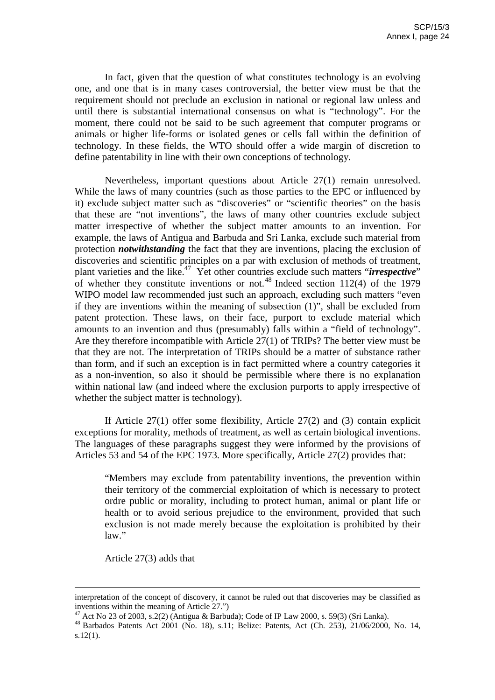In fact, given that the question of what constitutes technology is an evolving one, and one that is in many cases controversial, the better view must be that the requirement should not preclude an exclusion in national or regional law unless and until there is substantial international consensus on what is "technology". For the moment, there could not be said to be such agreement that computer programs or animals or higher life-forms or isolated genes or cells fall within the definition of technology. In these fields, the WTO should offer a wide margin of discretion to define patentability in line with their own conceptions of technology.

Nevertheless, important questions about Article 27(1) remain unresolved. While the laws of many countries (such as those parties to the EPC or influenced by it) exclude subject matter such as "discoveries" or "scientific theories" on the basis that these are "not inventions", the laws of many other countries exclude subject matter irrespective of whether the subject matter amounts to an invention. For example, the laws of Antigua and Barbuda and Sri Lanka, exclude such material from protection *notwithstanding* the fact that they are inventions, placing the exclusion of discoveries and scientific principles on a par with exclusion of methods of treatment, plant varieties and the like. <sup>47</sup> Yet other countries exclude such matters "*irrespective*" of whether they constitute inventions or not.<sup>48</sup> Indeed section 112(4) of the 1979 WIPO model law recommended just such an approach, excluding such matters "even if they are inventions within the meaning of subsection (1)", shall be excluded from patent protection. These laws, on their face, purport to exclude material which amounts to an invention and thus (presumably) falls within a "field of technology". Are they therefore incompatible with Article 27(1) of TRIPs? The better view must be that they are not. The interpretation of TRIPs should be a matter of substance rather than form, and if such an exception is in fact permitted where a country categories it as a non-invention, so also it should be permissible where there is no explanation within national law (and indeed where the exclusion purports to apply irrespective of whether the subject matter is technology).

If Article 27(1) offer some flexibility, Article 27(2) and (3) contain explicit exceptions for morality, methods of treatment, as well as certain biological inventions. The languages of these paragraphs suggest they were informed by the provisions of Articles 53 and 54 of the EPC 1973. More specifically, Article 27(2) provides that:

"Members may exclude from patentability inventions, the prevention within their territory of the commercial exploitation of which is necessary to protect ordre public or morality, including to protect human, animal or plant life or health or to avoid serious prejudice to the environment, provided that such exclusion is not made merely because the exploitation is prohibited by their law."

Article 27(3) adds that

interpretation of the concept of discovery, it cannot be ruled out that discoveries may be classified as inventions within the meaning of Article 27.")<br><sup>47</sup> Act No 23 of 2003, s.2(2) (Antigua & Barbuda); Code of IP Law 2000, s. 59(3) (Sri Lanka).<br><sup>48</sup> Barbados Patents Act 2001 (No. 18), s.11; Belize: Patents, Act (Ch. 253), 2

 $s.12(1)$ .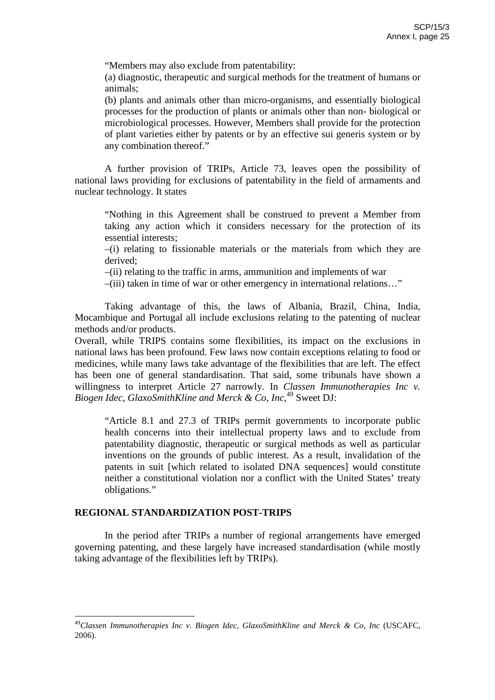"Members may also exclude from patentability:

(a) diagnostic, therapeutic and surgical methods for the treatment of humans or animals;

(b) plants and animals other than micro-organisms, and essentially biological processes for the production of plants or animals other than non- biological or microbiological processes. However, Members shall provide for the protection of plant varieties either by patents or by an effective sui generis system or by any combination thereof."

A further provision of TRIPs, Article 73, leaves open the possibility of national laws providing for exclusions of patentability in the field of armaments and nuclear technology. It states

"Nothing in this Agreement shall be construed to prevent a Member from taking any action which it considers necessary for the protection of its essential interests;

–(i) relating to fissionable materials or the materials from which they are derived;

 $-(ii)$  relating to the traffic in arms, ammunition and implements of war

–(iii) taken in time of war or other emergency in international relations…"

Taking advantage of this, the laws of Albania, Brazil, China, India, Mocambique and Portugal all include exclusions relating to the patenting of nuclear methods and/or products.

Overall, while TRIPS contains some flexibilities, its impact on the exclusions in national laws has been profound. Few laws now contain exceptions relating to food or medicines, while many laws take advantage of the flexibilities that are left. The effect has been one of general standardisation. That said, some tribunals have shown a willingness to interpret Article 27 narrowly. In *Classen Immunotherapies Inc v. Biogen Idec, GlaxoSmithKline and Merck & Co, Inc*, <sup>49</sup> Sweet DJ:

"Article 8.1 and 27.3 of TRIPs permit governments to incorporate public health concerns into their intellectual property laws and to exclude from patentability diagnostic, therapeutic or surgical methods as well as particular inventions on the grounds of public interest. As a result, invalidation of the patents in suit [which related to isolated DNA sequences] would constitute neither a constitutional violation nor a conflict with the United States' treaty obligations."

#### **REGIONAL STANDARDIZATION POST-TRIPS**

In the period after TRIPs a number of regional arrangements have emerged governing patenting, and these largely have increased standardisation (while mostly taking advantage of the flexibilities left by TRIPs).

<sup>49</sup> *Classen Immunotherapies Inc v. Biogen Idec, GlaxoSmithKline and Merck & Co, Inc* (USCAFC, 2006).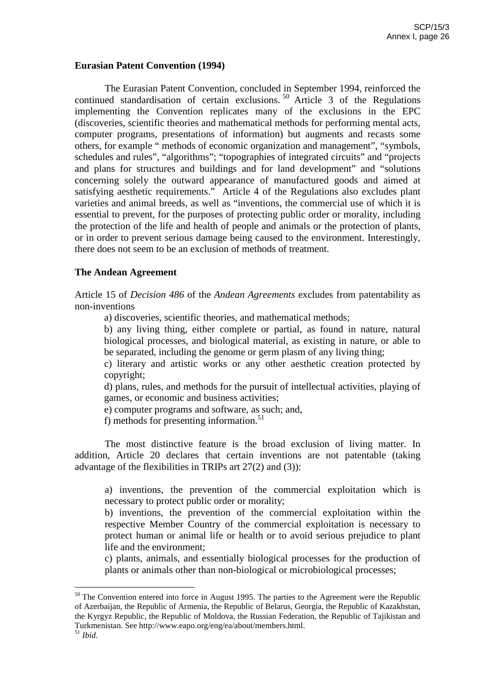#### **Eurasian Patent Convention (1994)**

The Eurasian Patent Convention, concluded in September 1994, reinforced the continued standardisation of certain exclusions.<sup>50</sup> Article 3 of the Regulations implementing the Convention replicates many of the exclusions in the EPC (discoveries, scientific theories and mathematical methods for performing mental acts, computer programs, presentations of information) but augments and recasts some others, for example " methods of economic organization and management", "symbols, schedules and rules", "algorithms"; "topographies of integrated circuits" and "projects and plans for structures and buildings and for land development" and "solutions concerning solely the outward appearance of manufactured goods and aimed at satisfying aesthetic requirements." Article 4 of the Regulations also excludes plant varieties and animal breeds, as well as "inventions, the commercial use of which it is essential to prevent, for the purposes of protecting public order or morality, including the protection of the life and health of people and animals or the protection of plants, or in order to prevent serious damage being caused to the environment. Interestingly, there does not seem to be an exclusion of methods of treatment.

#### **The Andean Agreement**

Article 15 of *Decision 486* of the *Andean Agreements* excludes from patentability as non-inventions

a) discoveries, scientific theories, and mathematical methods;

b) any living thing, either complete or partial, as found in nature, natural biological processes, and biological material, as existing in nature, or able to be separated, including the genome or germ plasm of any living thing;

c) literary and artistic works or any other aesthetic creation protected by copyright;

d) plans, rules, and methods for the pursuit of intellectual activities, playing of games, or economic and business activities;

e) computer programs and software, as such; and,

f) methods for presenting information. 51

The most distinctive feature is the broad exclusion of living matter. In addition, Article 20 declares that certain inventions are not patentable (taking advantage of the flexibilities in TRIPs art 27(2) and (3)):

a) inventions, the prevention of the commercial exploitation which is necessary to protect public order or morality;

b) inventions, the prevention of the commercial exploitation within the respective Member Country of the commercial exploitation is necessary to protect human or animal life or health or to avoid serious prejudice to plant life and the environment;

c) plants, animals, and essentially biological processes for the production of plants or animals other than non-biological or microbiological processes;

<sup>&</sup>lt;sup>50</sup> The Convention entered into force in August 1995. The parties to the Agreement were the Republic of Azerbaijan, the Republic of Armenia, the Republic of Belarus, Georgia, the Republic of Kazakhstan, the Kyrgyz Republic, the Republic of Moldova, the Russian Federation, the Republic of Tajikistan and Turkmenistan. See http://www.eapo.org/eng/ea/about/members.html. <sup>51</sup> *Ibid.*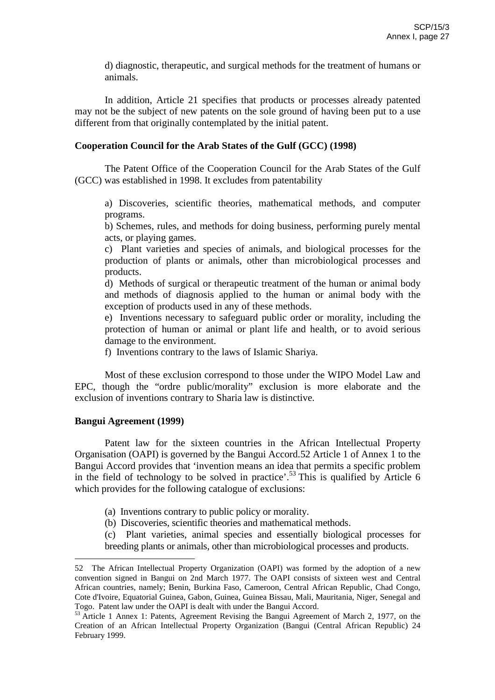d) diagnostic, therapeutic, and surgical methods for the treatment of humans or animals.

In addition, Article 21 specifies that products or processes already patented may not be the subject of new patents on the sole ground of having been put to a use different from that originally contemplated by the initial patent.

#### **Cooperation Council for the Arab States of the Gulf (GCC) (1998)**

The Patent Office of the Cooperation Council for the Arab States of the Gulf (GCC) was established in 1998. It excludes from patentability

a) Discoveries, scientific theories, mathematical methods, and computer programs.

b) Schemes, rules, and methods for doing business, performing purely mental acts, or playing games.

c) Plant varieties and species of animals, and biological processes for the production of plants or animals, other than microbiological processes and products.

d) Methods of surgical or therapeutic treatment of the human or animal body and methods of diagnosis applied to the human or animal body with the exception of products used in any of these methods.

e) Inventions necessary to safeguard public order or morality, including the protection of human or animal or plant life and health, or to avoid serious damage to the environment.

f) Inventions contrary to the laws of Islamic Shariya.

Most of these exclusion correspond to those under the WIPO Model Law and EPC, though the "ordre public/morality" exclusion is more elaborate and the exclusion of inventions contrary to Sharia law is distinctive.

#### **Bangui Agreement (1999)**

Patent law for the sixteen countries in the African Intellectual Property Organisation (OAPI) is governed by the Bangui Accord.52 Article 1 of Annex 1 to the Bangui Accord provides that 'invention means an idea that permits a specific problem in the field of technology to be solved in practice'. <sup>53</sup> This is qualified by Article 6 which provides for the following catalogue of exclusions:

- (a) Inventions contrary to public policy or morality.
- (b) Discoveries, scientific theories and mathematical methods.

(c) Plant varieties, animal species and essentially biological processes for breeding plants or animals, other than microbiological processes and products.

<sup>52</sup> The African Intellectual Property Organization (OAPI) was formed by the adoption of a new convention signed in Bangui on 2nd March 1977. The OAPI consists of sixteen west and Central African countries, namely; Benin, Burkina Faso, Cameroon, Central African Republic, Chad Congo, Cote d'Ivoire, Equatorial Guinea, Gabon, Guinea, Guinea Bissau, Mali, Mauritania, Niger, Senegal and Togo. Patent law under the OAPI is dealt with under the Bangui Accord. <sup>53</sup> Article <sup>1</sup> Annex 1: Patents, Agreement Revising the Bangui Agreement of March 2, 1977, on the

Creation of an African Intellectual Property Organization (Bangui (Central African Republic) 24 February 1999.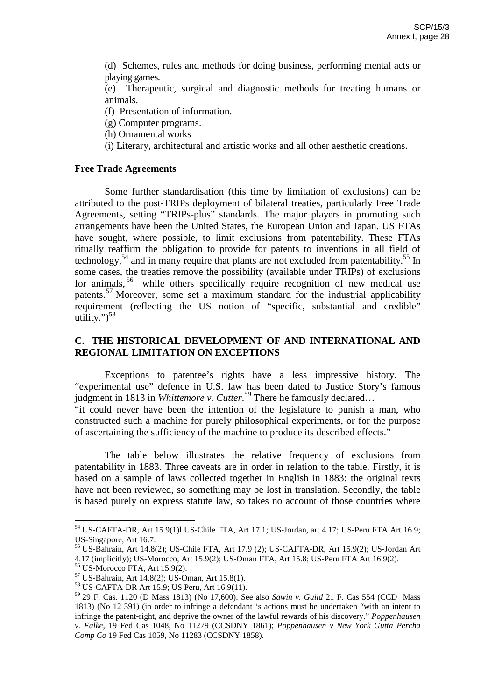(d) Schemes, rules and methods for doing business, performing mental acts or playing games.

(e) Therapeutic, surgical and diagnostic methods for treating humans or animals.

(f) Presentation of information.

(g) Computer programs.

(h) Ornamental works

(i) Literary, architectural and artistic works and all other aesthetic creations.

#### **Free Trade Agreements**

Some further standardisation (this time by limitation of exclusions) can be attributed to the post-TRIPs deployment of bilateral treaties, particularly Free Trade Agreements, setting "TRIPs-plus" standards. The major players in promoting such arrangements have been the United States, the European Union and Japan. US FTAs have sought, where possible, to limit exclusions from patentability. These FTAs ritually reaffirm the obligation to provide for patents to inventions in all field of technology,<sup>54</sup> and in many require that plants are not excluded from patentability.<sup>55</sup> In some cases, the treaties remove the possibility (available under TRIPs) of exclusions for animals,<sup>56</sup> while others specifically require recognition of new medical use patents.<sup>57</sup> Moreover, some set a maximum standard for the industrial applicability requirement (reflecting the US notion of "specific, substantial and credible" utility.") 58

#### **C. THE HISTORICAL DEVELOPMENT OF AND INTERNATIONAL AND REGIONAL LIMITATION ON EXCEPTIONS**

Exceptions to patentee's rights have a less impressive history. The "experimental use" defence in U.S. law has been dated to Justice Story's famous judgment in 1813 in *Whittemore v. Cutter*. <sup>59</sup> There he famously declared…

"it could never have been the intention of the legislature to punish a man, who constructed such a machine for purely philosophical experiments, or for the purpose of ascertaining the sufficiency of the machine to produce its described effects."

The table below illustrates the relative frequency of exclusions from patentability in 1883. Three caveats are in order in relation to the table. Firstly, it is based on a sample of laws collected together in English in 1883: the original texts have not been reviewed, so something may be lost in translation. Secondly, the table is based purely on express statute law, so takes no account of those countries where

<sup>54</sup> US-CAFTA-DR, Art 15.9(1)l US-Chile FTA, Art 17.1; US-Jordan, art 4.17; US-Peru FTA Art 16.9;

US-Singapore, Art 16.7.<br><sup>55</sup> US-Bahrain, Art 14.8(2); US-Chile FTA, Art 17.9 (2); US-CAFTA-DR, Art 15.9(2); US-Jordan Art<br>4.17 (implicitly); US-Morocco, Art 15.9(2); US-Oman FTA, Art 15.8; US-Peru FTA Art 16.9(2).

<sup>&</sup>lt;sup>56</sup> US-Morocco FTA, Art 15.9(2).<br><sup>57</sup> US-Bahrain, Art 14.8(2); US-Oman, Art 15.8(1).<br><sup>58</sup> US-CAFTA-DR Art 15.9; US Peru, Art 16.9(11).<br><sup>58</sup> 29 F. Cas. 1120 (D Mass 1813) (No 17,600). See also *Sawin v. Guild* 21 F. Cas 5 1813) (No 12 391) (in order to infringe a defendant 's actions must be undertaken "with an intent to infringe the patent-right, and deprive the owner of the lawful rewards of his discovery." *Poppenhausen v. Falke*, 19 Fed Cas 1048, No 11279 (CCSDNY 1861); *Poppenhausen v New York Gutta Percha Comp Co* 19 Fed Cas 1059, No 11283 (CCSDNY 1858).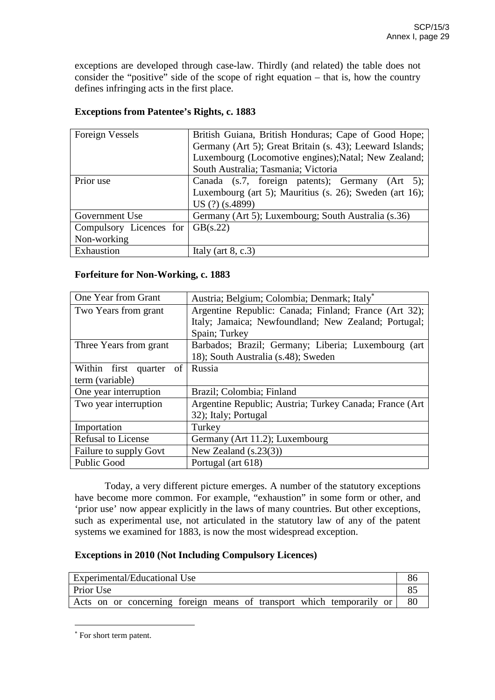exceptions are developed through case-law. Thirdly (and related) the table does not consider the "positive" side of the scope of right equation – that is, how the country defines infringing acts in the first place.

| Foreign Vessels         | British Guiana, British Honduras; Cape of Good Hope;     |  |
|-------------------------|----------------------------------------------------------|--|
|                         | Germany (Art 5); Great Britain (s. 43); Leeward Islands; |  |
|                         | Luxembourg (Locomotive engines); Natal; New Zealand;     |  |
|                         | South Australia; Tasmania; Victoria                      |  |
| Prior use               | Canada (s.7, foreign patents); Germany (Art 5);          |  |
|                         | Luxembourg (art 5); Mauritius (s. 26); Sweden (art 16);  |  |
|                         | US (?) (s.4899)                                          |  |
| Government Use          | Germany (Art 5); Luxembourg; South Australia (s.36)      |  |
| Compulsory Licences for | GB(s.22)                                                 |  |
| Non-working             |                                                          |  |
| Exhaustion              | Italy (art $8, c.3$ )                                    |  |

#### **Exceptions from Patentee's Rights, c. 1883**

#### **Forfeiture for Non-Working, c. 1883**

| One Year from Grant        | Austria; Belgium; Colombia; Denmark; Italy*              |
|----------------------------|----------------------------------------------------------|
| Two Years from grant       | Argentine Republic: Canada; Finland; France (Art 32);    |
|                            | Italy; Jamaica; Newfoundland; New Zealand; Portugal;     |
|                            | Spain; Turkey                                            |
| Three Years from grant     | Barbados; Brazil; Germany; Liberia; Luxembourg (art      |
|                            | 18); South Australia (s.48); Sweden                      |
| Within first quarter<br>of | Russia                                                   |
| term (variable)            |                                                          |
| One year interruption      | Brazil; Colombia; Finland                                |
| Two year interruption      | Argentine Republic; Austria; Turkey Canada; France (Art) |
|                            | 32); Italy; Portugal                                     |
| Importation                | Turkey                                                   |
| <b>Refusal to License</b>  | Germany (Art 11.2); Luxembourg                           |
| Failure to supply Govt     | New Zealand $(s.23(3))$                                  |
| <b>Public Good</b>         | Portugal (art 618)                                       |

Today, a very different picture emerges. A number of the statutory exceptions have become more common. For example, "exhaustion" in some form or other, and 'prior use' now appear explicitly in the laws of many countries. But other exceptions, such as experimental use, not articulated in the statutory law of any of the patent systems we examined for 1883, is now the most widespread exception.

#### **Exceptions in 2010 (Not Including Compulsory Licences)**

| Experimental/Educational Use                                          |    |
|-----------------------------------------------------------------------|----|
| Prior Use                                                             |    |
| Acts on or concerning foreign means of transport which temporarily or | 80 |

For short term patent.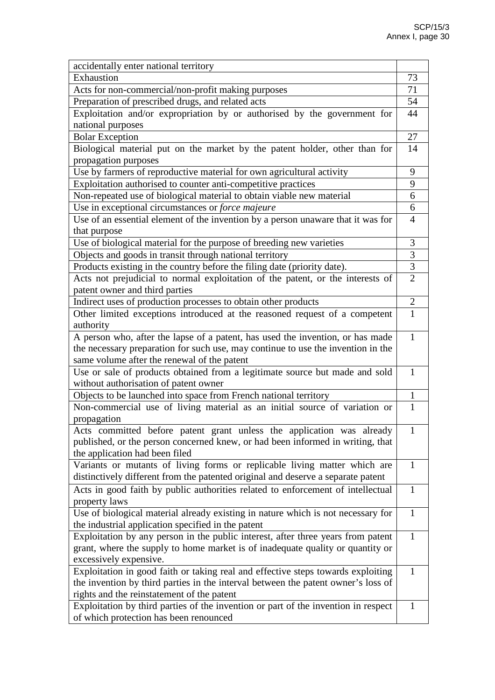| accidentally enter national territory                                              |                |
|------------------------------------------------------------------------------------|----------------|
| Exhaustion                                                                         | 73             |
| Acts for non-commercial/non-profit making purposes                                 | 71             |
| Preparation of prescribed drugs, and related acts                                  | 54             |
| Exploitation and/or expropriation by or authorised by the government for           | 44             |
| national purposes                                                                  |                |
| <b>Bolar Exception</b>                                                             | 27             |
| Biological material put on the market by the patent holder, other than for         | 14             |
| propagation purposes                                                               |                |
| Use by farmers of reproductive material for own agricultural activity              | 9              |
| Exploitation authorised to counter anti-competitive practices                      | 9              |
| Non-repeated use of biological material to obtain viable new material              | 6              |
| Use in exceptional circumstances or <i>force majeure</i>                           | 6              |
| Use of an essential element of the invention by a person unaware that it was for   | $\overline{4}$ |
| that purpose                                                                       |                |
| Use of biological material for the purpose of breeding new varieties               | 3              |
| Objects and goods in transit through national territory                            | 3              |
| Products existing in the country before the filing date (priority date).           | 3              |
| Acts not prejudicial to normal exploitation of the patent, or the interests of     | $\overline{2}$ |
| patent owner and third parties                                                     |                |
| Indirect uses of production processes to obtain other products                     | $\overline{2}$ |
| Other limited exceptions introduced at the reasoned request of a competent         | 1              |
| authority                                                                          |                |
| A person who, after the lapse of a patent, has used the invention, or has made     | 1              |
| the necessary preparation for such use, may continue to use the invention in the   |                |
| same volume after the renewal of the patent                                        |                |
| Use or sale of products obtained from a legitimate source but made and sold        | 1              |
| without authorisation of patent owner                                              |                |
| Objects to be launched into space from French national territory                   | 1              |
| Non-commercial use of living material as an initial source of variation or         | 1              |
| propagation                                                                        |                |
| Acts committed before patent grant unless the application was already              |                |
| published, or the person concerned knew, or had been informed in writing, that     |                |
| the application had been filed                                                     |                |
| Variants or mutants of living forms or replicable living matter which are          | 1              |
| distinctively different from the patented original and deserve a separate patent   |                |
| Acts in good faith by public authorities related to enforcement of intellectual    | 1              |
| property laws                                                                      |                |
| Use of biological material already existing in nature which is not necessary for   | 1              |
| the industrial application specified in the patent                                 |                |
| Exploitation by any person in the public interest, after three years from patent   | 1              |
| grant, where the supply to home market is of inadequate quality or quantity or     |                |
| excessively expensive.                                                             |                |
| Exploitation in good faith or taking real and effective steps towards exploiting   | $\mathbf{1}$   |
| the invention by third parties in the interval between the patent owner's loss of  |                |
| rights and the reinstatement of the patent                                         |                |
| Exploitation by third parties of the invention or part of the invention in respect | 1              |
| of which protection has been renounced                                             |                |
|                                                                                    |                |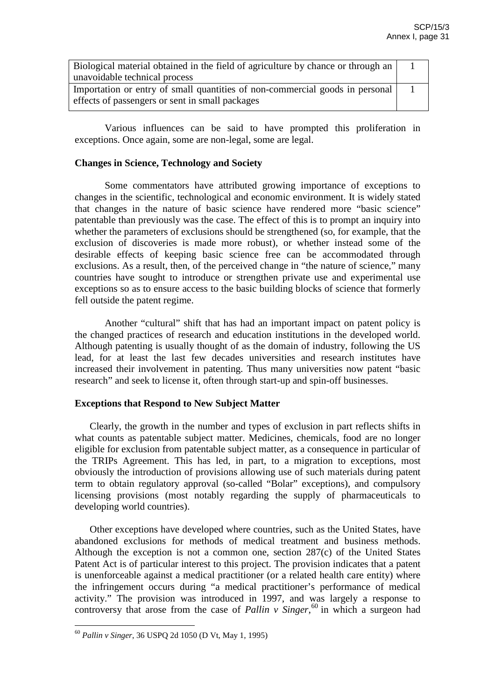| Biological material obtained in the field of agriculture by chance or through an |  |
|----------------------------------------------------------------------------------|--|
| unavoidable technical process                                                    |  |
| Importation or entry of small quantities of non-commercial goods in personal     |  |
| effects of passengers or sent in small packages                                  |  |

Various influences can be said to have prompted this proliferation in exceptions. Once again, some are non-legal, some are legal.

#### **Changes in Science, Technology and Society**

Some commentators have attributed growing importance of exceptions to changes in the scientific, technological and economic environment. It is widely stated that changes in the nature of basic science have rendered more "basic science" patentable than previously was the case. The effect of this is to prompt an inquiry into whether the parameters of exclusions should be strengthened (so, for example, that the exclusion of discoveries is made more robust), or whether instead some of the desirable effects of keeping basic science free can be accommodated through exclusions. As a result, then, of the perceived change in "the nature of science," many countries have sought to introduce or strengthen private use and experimental use exceptions so as to ensure access to the basic building blocks of science that formerly fell outside the patent regime.

Another "cultural" shift that has had an important impact on patent policy is the changed practices of research and education institutions in the developed world. Although patenting is usually thought of as the domain of industry, following the US lead, for at least the last few decades universities and research institutes have increased their involvement in patenting. Thus many universities now patent "basic research" and seek to license it, often through start-up and spin-off businesses.

#### **Exceptions that Respond to New Subject Matter**

Clearly, the growth in the number and types of exclusion in part reflects shifts in what counts as patentable subject matter. Medicines, chemicals, food are no longer eligible for exclusion from patentable subject matter, as a consequence in particular of the TRIPs Agreement. This has led, in part, to a migration to exceptions, most obviously the introduction of provisions allowing use of such materials during patent term to obtain regulatory approval (so-called "Bolar" exceptions), and compulsory licensing provisions (most notably regarding the supply of pharmaceuticals to developing world countries).

Other exceptions have developed where countries, such as the United States, have abandoned exclusions for methods of medical treatment and business methods. Although the exception is not a common one, section 287(c) of the United States Patent Act is of particular interest to this project. The provision indicates that a patent is unenforceable against a medical practitioner (or a related health care entity) where the infringement occurs during "a medical practitioner's performance of medical activity." The provision was introduced in 1997, and was largely a response to controversy that arose from the case of *Pallin v Singer*, <sup>60</sup> in which a surgeon had

<sup>60</sup> *Pallin v Singer*, 36 USPQ 2d 1050 (D Vt, May 1, 1995)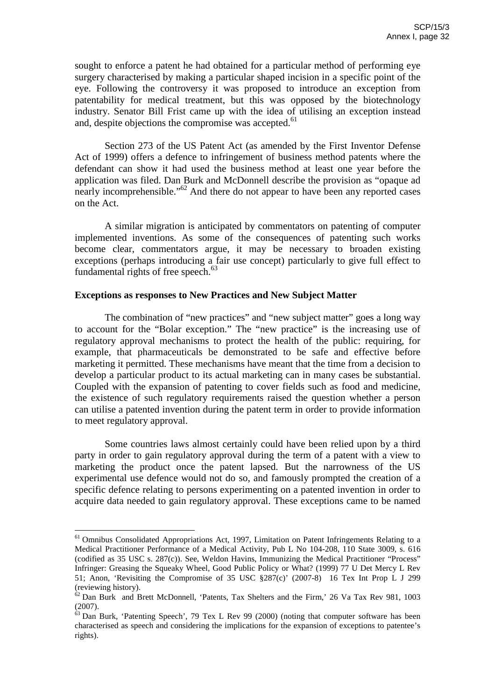sought to enforce a patent he had obtained for a particular method of performing eye surgery characterised by making a particular shaped incision in a specific point of the eye. Following the controversy it was proposed to introduce an exception from patentability for medical treatment, but this was opposed by the biotechnology industry. Senator Bill Frist came up with the idea of utilising an exception instead and, despite objections the compromise was accepted.<sup>61</sup>

Section 273 of the US Patent Act (as amended by the First Inventor Defense Act of 1999) offers a defence to infringement of business method patents where the defendant can show it had used the business method at least one year before the application was filed. Dan Burk and McDonnell describe the provision as "opaque ad nearly incomprehensible."<sup>62</sup> And there do not appear to have been any reported cases on the Act.

A similar migration is anticipated by commentators on patenting of computer implemented inventions. As some of the consequences of patenting such works become clear, commentators argue, it may be necessary to broaden existing exceptions (perhaps introducing a fair use concept) particularly to give full effect to fundamental rights of free speech.<sup>63</sup>

#### **Exceptions as responses to New Practices and New Subject Matter**

The combination of "new practices" and "new subject matter" goes a long way to account for the "Bolar exception." The "new practice" is the increasing use of regulatory approval mechanisms to protect the health of the public: requiring, for example, that pharmaceuticals be demonstrated to be safe and effective before marketing it permitted. These mechanisms have meant that the time from a decision to develop a particular product to its actual marketing can in many cases be substantial. Coupled with the expansion of patenting to cover fields such as food and medicine, the existence of such regulatory requirements raised the question whether a person can utilise a patented invention during the patent term in order to provide information to meet regulatory approval.

Some countries laws almost certainly could have been relied upon by a third party in order to gain regulatory approval during the term of a patent with a view to marketing the product once the patent lapsed. But the narrowness of the US experimental use defence would not do so, and famously prompted the creation of a specific defence relating to persons experimenting on a patented invention in order to acquire data needed to gain regulatory approval. These exceptions came to be named

<sup>&</sup>lt;sup>61</sup> Omnibus Consolidated Appropriations Act, 1997, Limitation on Patent Infringements Relating to a Medical Practitioner Performance of a Medical Activity, Pub L No 104-208, 110 State 3009, s. 616 (codified as 35 USC s. 287(c)). See, Weldon Havins, Immunizing the Medical Practitioner "Process" Infringer: Greasing the Squeaky Wheel, Good Public Policy or What? (1999) 77 U Det Mercy L Rev 51; Anon, 'Revisiting the Compromise of 35 USC  $\S 287(c)$ ' (2007-8) 16 Tex Int Prop L J 299 (reviewing history).<br><sup>62</sup> Dan Burk and Brett McDonnell, 'Patents, Tax Shelters and the Firm,' 26 Va Tax Rev 981, 1003

<sup>(2007).</sup> <sup>63</sup> Dan Burk, 'Patenting Speech', <sup>79</sup> Tex <sup>L</sup> Rev <sup>99</sup> (2000) (noting that computer software has been characterised as speech and considering the implications for the expansion of exceptions to patentee's rights).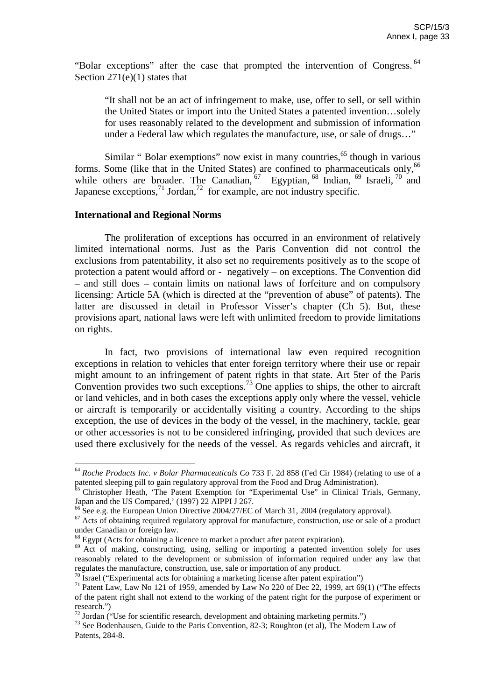"Bolar exceptions" after the case that prompted the intervention of Congress.<sup>64</sup> Section  $271(e)(1)$  states that

"It shall not be an act of infringement to make, use, offer to sell, or sell within the United States or import into the United States a patented invention…solely for uses reasonably related to the development and submission of information under a Federal law which regulates the manufacture, use, or sale of drugs…"

Similar "Bolar exemptions" now exist in many countries,<sup>65</sup> though in various forms. Some (like that in the United States) are confined to pharmaceuticals only,<sup>66</sup> while others are broader. The Canadian,  $67$  Egyptian,  $68$  Indian,  $69$  Israeli,  $70$  and Japanese exceptions, $^{71}$  Jordan, $^{72}$  for example, are not industry specific.

#### **International and Regional Norms**

The proliferation of exceptions has occurred in an environment of relatively limited international norms. Just as the Paris Convention did not control the exclusions from patentability, it also set no requirements positively as to the scope of protection a patent would afford or - negatively – on exceptions. The Convention did – and still does – contain limits on national laws of forfeiture and on compulsory licensing: Article 5A (which is directed at the "prevention of abuse" of patents). The latter are discussed in detail in Professor Visser's chapter (Ch 5). But, these provisions apart, national laws were left with unlimited freedom to provide limitations on rights.

In fact, two provisions of international law even required recognition exceptions in relation to vehicles that enter foreign territory where their use or repair might amount to an infringement of patent rights in that state. Art 5ter of the Paris Convention provides two such exceptions.<sup>73</sup> One applies to ships, the other to aircraft or land vehicles, and in both cases the exceptions apply only where the vessel, vehicle or aircraft is temporarily or accidentally visiting a country. According to the ships exception, the use of devices in the body of the vessel, in the machinery, tackle, gear or other accessories is not to be considered infringing, provided that such devices are used there exclusively for the needs of the vessel. As regards vehicles and aircraft, it

<sup>64</sup> *Roche Products Inc. v Bolar Pharmaceuticals Co* 733 F. 2d 858 (Fed Cir 1984) (relating to use of a patented sleeping pill to gain regulatory approval from the Food and Drug Administration).<br><sup>65</sup> Christopher Heath, 'The Patent Exemption for "Experimental Use" in Clinical Trials, Germany,

Japan and the US Compared,' (1997) 22 AIPPI J 267.<br><sup>66</sup> See e.g. the European Union Directive 2004/27/EC of March 31, 2004 (regulatory approval).<br><sup>67</sup> Acts of obtaining required regulatory approval for manufacture, constr

 $^{68}$  Egypt (Acts for obtaining a licence to market a product after patent expiration).<br><sup>69</sup> Act of making, constructing, using, selling or importing a patented invention solely for uses reasonably related to the development or submission of information required under any law that regulates the manufacture, construction, use, sale or importation of any product.

 $^{70}$  Israel ("Experimental acts for obtaining a marketing license after patent expiration")<br><sup>71</sup> Patent Law, Law No 121 of 1959, amended by Law No 220 of Dec 22, 1999, art 69(1) ("The effects of the patent right shall not extend to the working of the patent right for the purpose of experiment or research.")<br><sup>72</sup> Jordan ("Use for scientific research, development and obtaining marketing permits.")<br><sup>73</sup> See Bodenhausen, Guide to the Paris Convention, 82-3; Roughton (et al), The Modern Law of

Patents, 284-8.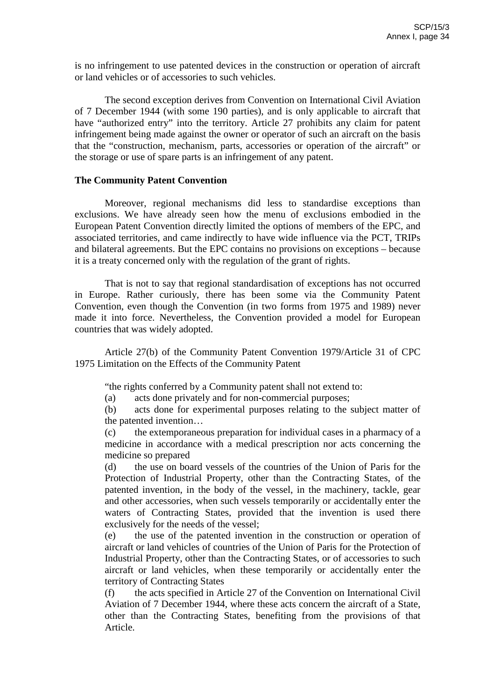is no infringement to use patented devices in the construction or operation of aircraft or land vehicles or of accessories to such vehicles.

The second exception derives from Convention on International Civil Aviation of 7 December 1944 (with some 190 parties), and is only applicable to aircraft that have "authorized entry" into the territory. Article 27 prohibits any claim for patent infringement being made against the owner or operator of such an aircraft on the basis that the "construction, mechanism, parts, accessories or operation of the aircraft" or the storage or use of spare parts is an infringement of any patent.

#### **The Community Patent Convention**

Moreover, regional mechanisms did less to standardise exceptions than exclusions. We have already seen how the menu of exclusions embodied in the European Patent Convention directly limited the options of members of the EPC, and associated territories, and came indirectly to have wide influence via the PCT, TRIPs and bilateral agreements. But the EPC contains no provisions on exceptions – because it is a treaty concerned only with the regulation of the grant of rights.

That is not to say that regional standardisation of exceptions has not occurred in Europe. Rather curiously, there has been some via the Community Patent Convention, even though the Convention (in two forms from 1975 and 1989) never made it into force. Nevertheless, the Convention provided a model for European countries that was widely adopted.

Article 27(b) of the Community Patent Convention 1979/Article 31 of CPC 1975 Limitation on the Effects of the Community Patent

"the rights conferred by a Community patent shall not extend to:

(a) acts done privately and for non-commercial purposes;

(b) acts done for experimental purposes relating to the subject matter of the patented invention…

(c) the extemporaneous preparation for individual cases in a pharmacy of a medicine in accordance with a medical prescription nor acts concerning the medicine so prepared

(d) the use on board vessels of the countries of the Union of Paris for the Protection of Industrial Property, other than the Contracting States, of the patented invention, in the body of the vessel, in the machinery, tackle, gear and other accessories, when such vessels temporarily or accidentally enter the waters of Contracting States, provided that the invention is used there exclusively for the needs of the vessel;

(e) the use of the patented invention in the construction or operation of aircraft or land vehicles of countries of the Union of Paris for the Protection of Industrial Property, other than the Contracting States, or of accessories to such aircraft or land vehicles, when these temporarily or accidentally enter the territory of Contracting States

(f) the acts specified in Article 27 of the Convention on International Civil Aviation of 7 December 1944, where these acts concern the aircraft of a State, other than the Contracting States, benefiting from the provisions of that Article.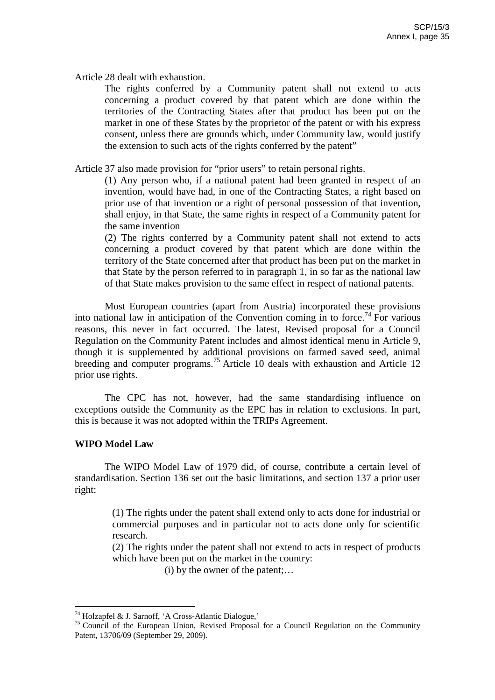Article 28 dealt with exhaustion.

The rights conferred by a Community patent shall not extend to acts concerning a product covered by that patent which are done within the territories of the Contracting States after that product has been put on the market in one of these States by the proprietor of the patent or with his express consent, unless there are grounds which, under Community law, would justify the extension to such acts of the rights conferred by the patent"

Article 37 also made provision for "prior users" to retain personal rights.

(1) Any person who, if a national patent had been granted in respect of an invention, would have had, in one of the Contracting States, a right based on prior use of that invention or a right of personal possession of that invention, shall enjoy, in that State, the same rights in respect of a Community patent for the same invention

(2) The rights conferred by a Community patent shall not extend to acts concerning a product covered by that patent which are done within the territory of the State concerned after that product has been put on the market in that State by the person referred to in paragraph 1, in so far as the national law of that State makes provision to the same effect in respect of national patents.

Most European countries (apart from Austria) incorporated these provisions into national law in anticipation of the Convention coming in to force.<sup>74</sup> For various reasons, this never in fact occurred. The latest, Revised proposal for a Council Regulation on the Community Patent includes and almost identical menu in Article 9, though it is supplemented by additional provisions on farmed saved seed, animal breeding and computer programs.<sup>75</sup> Article 10 deals with exhaustion and Article 12 prior use rights.

The CPC has not, however, had the same standardising influence on exceptions outside the Community as the EPC has in relation to exclusions. In part, this is because it was not adopted within the TRIPs Agreement.

#### **WIPO Model Law**

The WIPO Model Law of 1979 did, of course, contribute a certain level of standardisation. Section 136 set out the basic limitations, and section 137 a prior user right:

> (1) The rights under the patent shall extend only to acts done for industrial or commercial purposes and in particular not to acts done only for scientific research.

> (2) The rights under the patent shall not extend to acts in respect of products which have been put on the market in the country:

> > (i) by the owner of the patent;…

<sup>&</sup>lt;sup>74</sup> Holzapfel & J. Sarnoff, 'A Cross-Atlantic Dialogue,' <sup>75</sup> Council Regulation on the Community <sup>75</sup> Council of the European Union, Revised Proposal for a Council Regulation on the Community Patent, 13706/09 (September 29, 2009).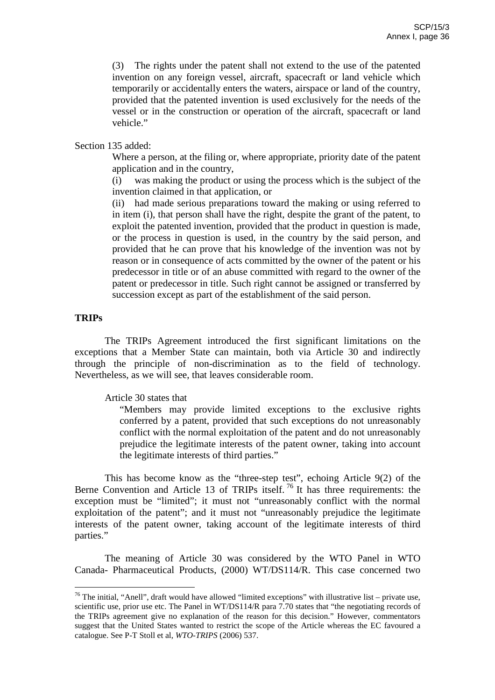(3) The rights under the patent shall not extend to the use of the patented invention on any foreign vessel, aircraft, spacecraft or land vehicle which temporarily or accidentally enters the waters, airspace or land of the country, provided that the patented invention is used exclusively for the needs of the vessel or in the construction or operation of the aircraft, spacecraft or land vehicle."

Section 135 added:

Where a person, at the filing or, where appropriate, priority date of the patent application and in the country,

(i) was making the product or using the process which is the subject of the invention claimed in that application, or

(ii) had made serious preparations toward the making or using referred to in item (i), that person shall have the right, despite the grant of the patent, to exploit the patented invention, provided that the product in question is made, or the process in question is used, in the country by the said person, and provided that he can prove that his knowledge of the invention was not by reason or in consequence of acts committed by the owner of the patent or his predecessor in title or of an abuse committed with regard to the owner of the patent or predecessor in title. Such right cannot be assigned or transferred by succession except as part of the establishment of the said person.

#### **TRIPs**

The TRIPs Agreement introduced the first significant limitations on the exceptions that a Member State can maintain, both via Article 30 and indirectly through the principle of non-discrimination as to the field of technology. Nevertheless, as we will see, that leaves considerable room.

#### Article 30 states that

"Members may provide limited exceptions to the exclusive rights conferred by a patent, provided that such exceptions do not unreasonably conflict with the normal exploitation of the patent and do not unreasonably prejudice the legitimate interests of the patent owner, taking into account the legitimate interests of third parties."

This has become know as the "three-step test", echoing Article 9(2) of the Berne Convention and Article 13 of TRIPs itself.<sup>76</sup> It has three requirements: the exception must be "limited"; it must not "unreasonably conflict with the normal exploitation of the patent"; and it must not "unreasonably prejudice the legitimate interests of the patent owner, taking account of the legitimate interests of third parties."

The meaning of Article 30 was considered by the WTO Panel in WTO Canada- Pharmaceutical Products, (2000) WT/DS114/R. This case concerned two

 $76$  The initial, "Anell", draft would have allowed "limited exceptions" with illustrative list – private use, scientific use, prior use etc. The Panel in WT/DS114/R para 7.70 states that "the negotiating records of the TRIPs agreement give no explanation of the reason for this decision." However, commentators suggest that the United States wanted to restrict the scope of the Article whereas the EC favoured a catalogue. See P-T Stoll et al, *WTO-TRIPS* (2006) 537.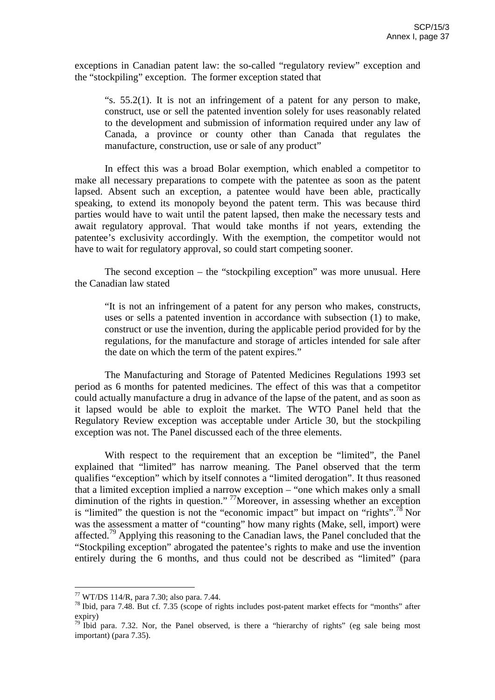exceptions in Canadian patent law: the so-called "regulatory review" exception and the "stockpiling" exception. The former exception stated that

"s. 55.2(1). It is not an infringement of a patent for any person to make, construct, use or sell the patented invention solely for uses reasonably related to the development and submission of information required under any law of Canada, a province or county other than Canada that regulates the manufacture, construction, use or sale of any product"

In effect this was a broad Bolar exemption, which enabled a competitor to make all necessary preparations to compete with the patentee as soon as the patent lapsed. Absent such an exception, a patentee would have been able, practically speaking, to extend its monopoly beyond the patent term. This was because third parties would have to wait until the patent lapsed, then make the necessary tests and await regulatory approval. That would take months if not years, extending the patentee's exclusivity accordingly. With the exemption, the competitor would not have to wait for regulatory approval, so could start competing sooner.

The second exception – the "stockpiling exception" was more unusual. Here the Canadian law stated

"It is not an infringement of a patent for any person who makes, constructs, uses or sells a patented invention in accordance with subsection (1) to make, construct or use the invention, during the applicable period provided for by the regulations, for the manufacture and storage of articles intended for sale after the date on which the term of the patent expires."

The Manufacturing and Storage of Patented Medicines Regulations 1993 set period as 6 months for patented medicines. The effect of this was that a competitor could actually manufacture a drug in advance of the lapse of the patent, and as soon as it lapsed would be able to exploit the market. The WTO Panel held that the Regulatory Review exception was acceptable under Article 30, but the stockpiling exception was not. The Panel discussed each of the three elements.

With respect to the requirement that an exception be "limited", the Panel explained that "limited" has narrow meaning. The Panel observed that the term qualifies "exception" which by itself connotes a "limited derogation". It thus reasoned that a limited exception implied a narrow exception – "one which makes only a small diminution of the rights in question."<sup>77</sup>Moreover, in assessing whether an exception is "limited" the question is not the "economic impact" but impact on "rights".<sup>78</sup> Nor was the assessment a matter of "counting" how many rights (Make, sell, import) were affected.<sup>79</sup> Applying this reasoning to the Canadian laws, the Panel concluded that the "Stockpiling exception" abrogated the patentee's rights to make and use the invention entirely during the 6 months, and thus could not be described as "limited" (para

 $^{77}$  WT/DS 114/R, para 7.30; also para. 7.44.<br> $^{78}$  Ibid, para 7.48. But cf. 7.35 (scope of rights includes post-patent market effects for "months" after expiry)<br><sup>79</sup> Ibid para. 7.32. Nor, the Panel observed, is there a "hierarchy of rights" (eg sale being most

important) (para 7.35).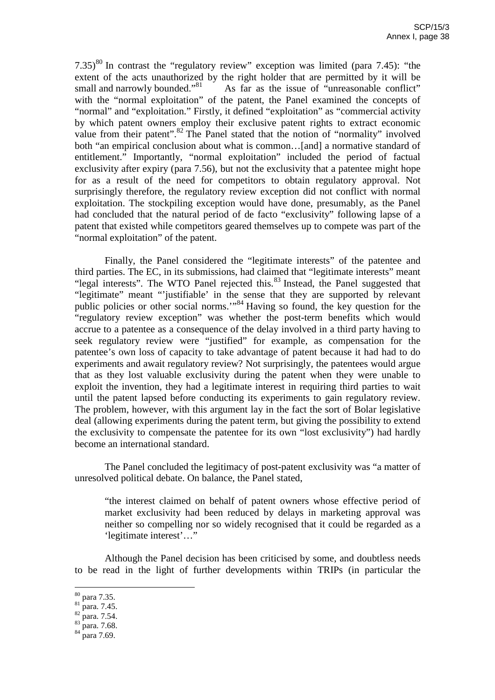7.35)<sup>80</sup> In contrast the "regulatory review" exception was limited (para 7.45): "the extent of the acts unauthorized by the right holder that are permitted by it will be small and narrowly bounded."<sup>81</sup> As far as the issue of "unreasonable conflict" with the "normal exploitation" of the patent, the Panel examined the concepts of "normal" and "exploitation." Firstly, it defined "exploitation" as "commercial activity by which patent owners employ their exclusive patent rights to extract economic value from their patent".<sup>82</sup> The Panel stated that the notion of "normality" involved both "an empirical conclusion about what is common…[and] a normative standard of entitlement." Importantly, "normal exploitation" included the period of factual exclusivity after expiry (para 7.56), but not the exclusivity that a patentee might hope for as a result of the need for competitors to obtain regulatory approval. Not surprisingly therefore, the regulatory review exception did not conflict with normal exploitation. The stockpiling exception would have done, presumably, as the Panel had concluded that the natural period of de facto "exclusivity" following lapse of a patent that existed while competitors geared themselves up to compete was part of the "normal exploitation" of the patent.

Finally, the Panel considered the "legitimate interests" of the patentee and third parties. The EC, in its submissions, had claimed that "legitimate interests" meant "legal interests". The WTO Panel rejected this.<sup>83</sup> Instead, the Panel suggested that "legitimate" meant "'justifiable' in the sense that they are supported by relevant public policies or other social norms."<sup>84</sup> Having so found, the key question for the "regulatory review exception" was whether the post-term benefits which would accrue to a patentee as a consequence of the delay involved in a third party having to seek regulatory review were "justified" for example, as compensation for the patentee's own loss of capacity to take advantage of patent because it had had to do experiments and await regulatory review? Not surprisingly, the patentees would argue that as they lost valuable exclusivity during the patent when they were unable to exploit the invention, they had a legitimate interest in requiring third parties to wait until the patent lapsed before conducting its experiments to gain regulatory review. The problem, however, with this argument lay in the fact the sort of Bolar legislative deal (allowing experiments during the patent term, but giving the possibility to extend the exclusivity to compensate the patentee for its own "lost exclusivity") had hardly become an international standard.

The Panel concluded the legitimacy of post-patent exclusivity was "a matter of unresolved political debate. On balance, the Panel stated,

"the interest claimed on behalf of patent owners whose effective period of market exclusivity had been reduced by delays in marketing approval was neither so compelling nor so widely recognised that it could be regarded as a 'legitimate interest'…"

Although the Panel decision has been criticised by some, and doubtless needs to be read in the light of further developments within TRIPs (in particular the

<sup>80</sup> para 7.35.<br>
<sup>81</sup> para. 7.45.<br>
<sup>82</sup> para. 7.54.<br>
<sup>83</sup> para. 7.68.<br>
<sup>84</sup> para 7.69.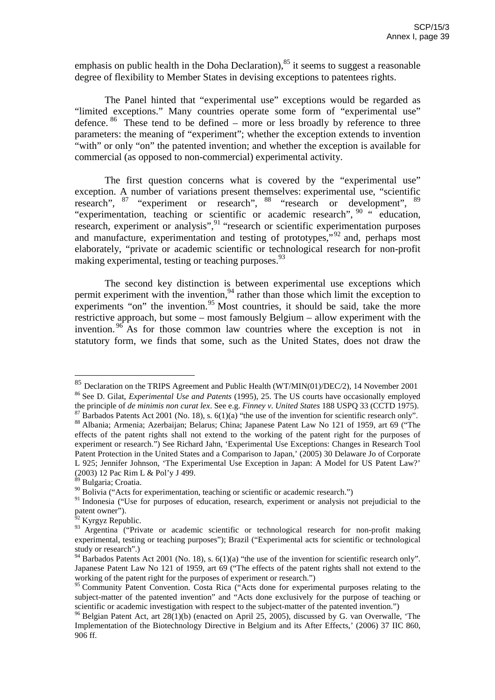emphasis on public health in the Doha Declaration),<sup>85</sup> it seems to suggest a reasonable degree of flexibility to Member States in devising exceptions to patentees rights.

The Panel hinted that "experimental use" exceptions would be regarded as "limited exceptions." Many countries operate some form of "experimental use" defence. <sup>86</sup> These tend to be defined – more or less broadly by reference to three parameters: the meaning of "experiment"; whether the exception extends to invention "with" or only "on" the patented invention; and whether the exception is available for commercial (as opposed to non-commercial) experimental activity.

The first question concerns what is covered by the "experimental use" exception. A number of variations present themselves: experimental use, "scientific research", <sup>87</sup> "experiment or research", <sup>88</sup> "research or development", <sup>89</sup> "experimentation, teaching or scientific or academic research", <sup>90</sup> " education, research, experiment or analysis",<sup>91</sup> "research or scientific experimentation purposes and manufacture, experimentation and testing of prototypes,"<sup>92</sup> and, perhaps most elaborately, "private or academic scientific or technological research for non-profit making experimental, testing or teaching purposes.<sup>93</sup>

The second key distinction is between experimental use exceptions which permit experiment with the invention,<sup>94</sup> rather than those which limit the exception to experiments "on" the invention.<sup>95</sup> Most countries, it should be said, take the more restrictive approach, but some – most famously Belgium – allow experiment with the invention.<sup>96</sup> As for those common law countries where the exception is not in statutory form, we finds that some, such as the United States, does not draw the

<sup>85</sup> Declaration on the TRIPS Agreement and Public Health (WT/MIN(01)/DEC/2), 14 November 2001 <sup>86</sup> See D. Gilat, *Experimental Use and Patents* (1995), 25. The US courts have occasionally employed

the principle of *de minimis non curat lex.* See e.g. *Finney v. United States* 188 USPQ 33 (CCTD 1975).<br><sup>87</sup> Barbados Patents Act 2001 (No. 18), s. 6(1)(a) "the use of the invention for scientific research only".<br><sup>87</sup> Alb

effects of the patent rights shall not extend to the working of the patent right for the purposes of experiment or research.") See Richard Jahn, 'Experimental Use Exceptions: Changes in Research Tool Patent Protection in the United States and a Comparison to Japan,' (2005) 30 Delaware Jo of Corporate L 925; Jennifer Johnson, 'The Experimental Use Exception in Japan: A Model for US Patent Law?'<br>(2003) 12 Pac Rim L & Pol'y J 499.

<sup>&</sup>lt;sup>89</sup> Bulgaria; Croatia.<br><sup>90</sup> Bolivia ("Acts for experimentation, teaching or scientific or academic research.")<br><sup>91</sup> Indonesia ("Use for purposes of education, research, experiment or analysis not prejudicial to the<br>paten

<sup>&</sup>lt;sup>93</sup> Argentina ("Private or academic scientific or technological research for non-profit making experimental, testing or teaching purposes"); Brazil ("Experimental acts for scientific or technological

<sup>&</sup>lt;sup>94</sup> Barbados Patents Act 2001 (No. 18), s.  $6(1)(a)$  "the use of the invention for scientific research only". Japanese Patent Law No 121 of 1959, art 69 ("The effects of the patent rights shall not extend to the working of the patent right for the purposes of experiment or research.")

 $^{95}$  Community Patent Convention. Costa Rica ("Acts done for experimental purposes relating to the subject-matter of the patented invention" and "Acts done exclusively for the purpose of teaching or scientific or academic investigation with respect to the subject-matter of the patented invention.") <sup>96</sup> Belgian Patent Act, art  $28(1)(b)$  (enacted on April 25, 2005), discussed by G. van Overwalle, 'The

Implementation of the Biotechnology Directive in Belgium and its After Effects,' (2006) 37 IIC 860, 906 ff.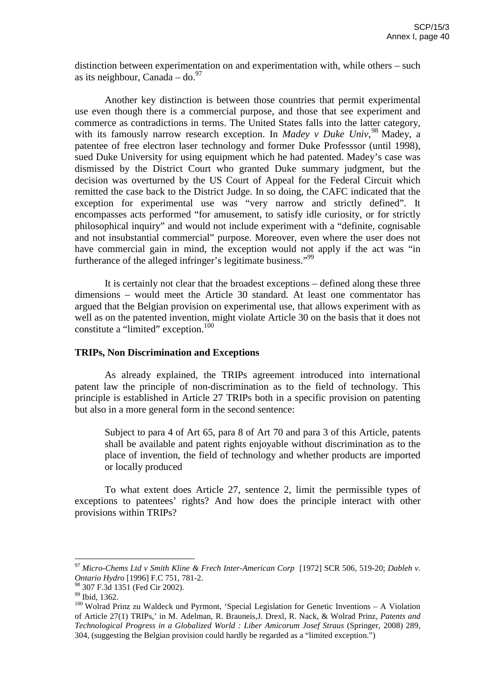distinction between experimentation on and experimentation with, while others – such as its neighbour, Canada  $-$  do.<sup>97</sup>

Another key distinction is between those countries that permit experimental use even though there is a commercial purpose, and those that see experiment and commerce as contradictions in terms. The United States falls into the latter category, with its famously narrow research exception. In *Madey v Duke Univ*, <sup>98</sup> Madey, a patentee of free electron laser technology and former Duke Professsor (until 1998), sued Duke University for using equipment which he had patented. Madey's case was dismissed by the District Court who granted Duke summary judgment, but the decision was overturned by the US Court of Appeal for the Federal Circuit which remitted the case back to the District Judge. In so doing, the CAFC indicated that the exception for experimental use was "very narrow and strictly defined". It encompasses acts performed "for amusement, to satisfy idle curiosity, or for strictly philosophical inquiry" and would not include experiment with a "definite, cognisable and not insubstantial commercial" purpose. Moreover, even where the user does not have commercial gain in mind, the exception would not apply if the act was "in furtherance of the alleged infringer's legitimate business."<sup>99</sup>

It is certainly not clear that the broadest exceptions – defined along these three dimensions – would meet the Article 30 standard. At least one commentator has argued that the Belgian provision on experimental use, that allows experiment with as well as on the patented invention, might violate Article 30 on the basis that it does not constitute a "limited" exception.<sup>100</sup>

### **TRIPs, Non Discrimination and Exceptions**

As already explained, the TRIPs agreement introduced into international patent law the principle of non-discrimination as to the field of technology. This principle is established in Article 27 TRIPs both in a specific provision on patenting but also in a more general form in the second sentence:

Subject to para 4 of Art 65, para 8 of Art 70 and para 3 of this Article, patents shall be available and patent rights enjoyable without discrimination as to the place of invention, the field of technology and whether products are imported or locally produced

To what extent does Article 27, sentence 2, limit the permissible types of exceptions to patentees' rights? And how does the principle interact with other provisions within TRIPs?

<sup>97</sup> *Micro-Chems Ltd v Smith Kline & Frech Inter-American Corp* [1972] SCR 506, 519-20; *Dableh v.*

<sup>&</sup>lt;sup>98</sup> 307 F.3d 1351 (Fed Cir 2002).<br><sup>99</sup> Ibid, 1362. 100 Wolrad Prinz zu Waldeck und Pyrmont, 'Special Legislation for Genetic Inventions – A Violation of Article 27(1) TRIPs,' in M. Adelman, R. Brauneis,J. Drexl, R. Nack, & Wolrad Prinz, *Patents and Technological Progress in a Globalized World : Liber Amicorum Josef Straus* (Springer, 2008) 289, 304, (suggesting the Belgian provision could hardly be regarded as a "limited exception.")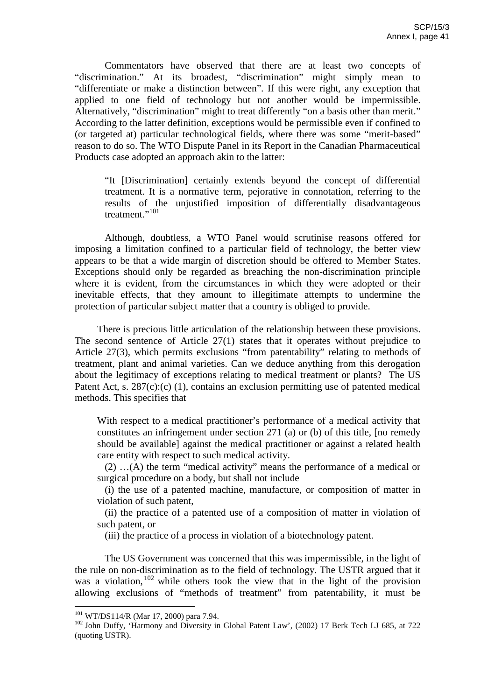Commentators have observed that there are at least two concepts of "discrimination." At its broadest, "discrimination" might simply mean to "differentiate or make a distinction between". If this were right, any exception that applied to one field of technology but not another would be impermissible. Alternatively, "discrimination" might to treat differently "on a basis other than merit." According to the latter definition, exceptions would be permissible even if confined to (or targeted at) particular technological fields, where there was some "merit-based" reason to do so. The WTO Dispute Panel in its Report in the Canadian Pharmaceutical Products case adopted an approach akin to the latter:

"It [Discrimination] certainly extends beyond the concept of differential treatment. It is a normative term, pejorative in connotation, referring to the results of the unjustified imposition of differentially disadvantageous treatment."<sup>101</sup>

Although, doubtless, a WTO Panel would scrutinise reasons offered for imposing a limitation confined to a particular field of technology, the better view appears to be that a wide margin of discretion should be offered to Member States. Exceptions should only be regarded as breaching the non-discrimination principle where it is evident, from the circumstances in which they were adopted or their inevitable effects, that they amount to illegitimate attempts to undermine the protection of particular subject matter that a country is obliged to provide.

There is precious little articulation of the relationship between these provisions. The second sentence of Article 27(1) states that it operates without prejudice to Article 27(3), which permits exclusions "from patentability" relating to methods of treatment, plant and animal varieties. Can we deduce anything from this derogation about the legitimacy of exceptions relating to medical treatment or plants? The US Patent Act, s. 287(c):(c) (1), contains an exclusion permitting use of patented medical methods. This specifies that

With respect to a medical practitioner's performance of a medical activity that constitutes an infringement under section 271 (a) or (b) of this title, [no remedy should be available] against the medical practitioner or against a related health care entity with respect to such medical activity.

(2) …(A) the term "medical activity" means the performance of a medical or surgical procedure on a body, but shall not include

(i) the use of a patented machine, manufacture, or composition of matter in violation of such patent,

(ii) the practice of a patented use of a composition of matter in violation of such patent, or

(iii) the practice of a process in violation of a biotechnology patent.

The US Government was concerned that this was impermissible, in the light of the rule on non-discrimination as to the field of technology. The USTR argued that it was a violation, <sup>102</sup> while others took the view that in the light of the provision allowing exclusions of "methods of treatment" from patentability, it must be

<sup>&</sup>lt;sup>101</sup> WT/DS114/R (Mar 17, 2000) para 7.94.<br><sup>102</sup> John Duffy, 'Harmony and Diversity in Global Patent Law', (2002) 17 Berk Tech LJ 685, at 722 (quoting USTR).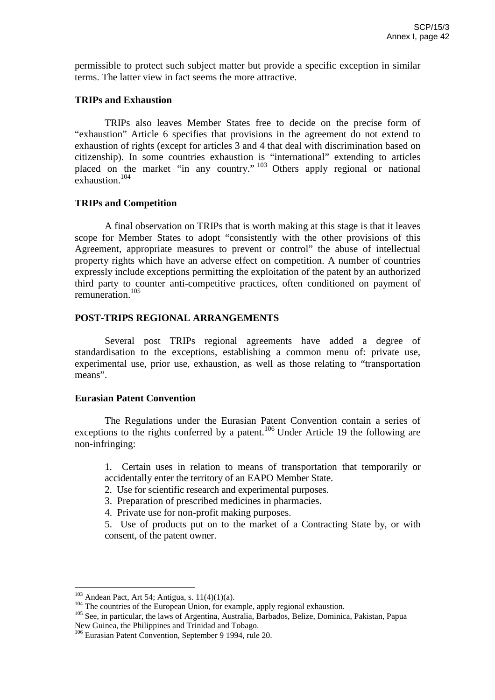permissible to protect such subject matter but provide a specific exception in similar terms. The latter view in fact seems the more attractive.

### **TRIPs and Exhaustion**

TRIPs also leaves Member States free to decide on the precise form of "exhaustion" Article 6 specifies that provisions in the agreement do not extend to exhaustion of rights (except for articles 3 and 4 that deal with discrimination based on citizenship). In some countries exhaustion is "international" extending to articles placed on the market "in any country." <sup>103</sup> Others apply regional or national exhaustion. 104

#### **TRIPs and Competition**

A final observation on TRIPs that is worth making at this stage is that it leaves scope for Member States to adopt "consistently with the other provisions of this Agreement, appropriate measures to prevent or control" the abuse of intellectual property rights which have an adverse effect on competition. A number of countries expressly include exceptions permitting the exploitation of the patent by an authorized third party to counter anti-competitive practices, often conditioned on payment of remuneration. 105

# **POST-TRIPS REGIONAL ARRANGEMENTS**

Several post TRIPs regional agreements have added a degree of standardisation to the exceptions, establishing a common menu of: private use, experimental use, prior use, exhaustion, as well as those relating to "transportation means".

## **Eurasian Patent Convention**

The Regulations under the Eurasian Patent Convention contain a series of exceptions to the rights conferred by a patent.<sup>106</sup> Under Article 19 the following are non-infringing:

1. Certain uses in relation to means of transportation that temporarily or accidentally enter the territory of an EAPO Member State.

- 2. Use for scientific research and experimental purposes.
- 3. Preparation of prescribed medicines in pharmacies.
- 4. Private use for non-profit making purposes.

5. Use of products put on to the market of a Contracting State by, or with consent, of the patent owner.

<sup>&</sup>lt;sup>103</sup> Andean Pact, Art 54; Antigua, s.  $11(4)(1)(a)$ .<br><sup>104</sup> The countries of the European Union, for example, apply regional exhaustion.<br><sup>105</sup> See, in particular, the laws of Argentina, Australia, Barbados, Belize, Dominica

<sup>&</sup>lt;sup>106</sup> Eurasian Patent Convention, September 9 1994, rule 20.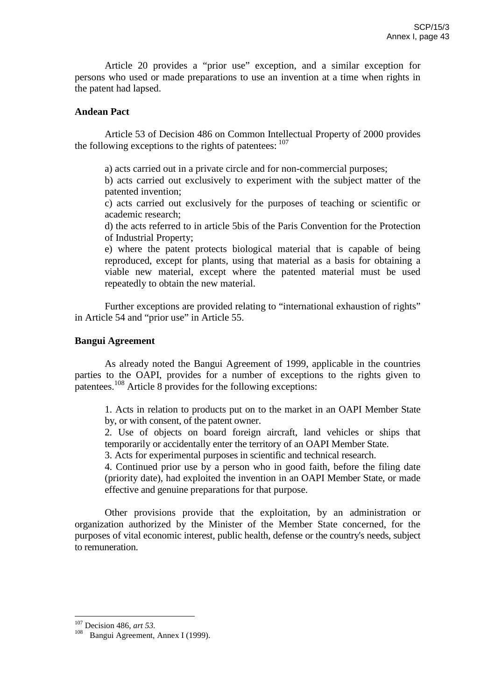Article 20 provides a "prior use" exception, and a similar exception for persons who used or made preparations to use an invention at a time when rights in the patent had lapsed.

### **Andean Pact**

Article 53 of Decision 486 on Common Intellectual Property of 2000 provides the following exceptions to the rights of patentees:  $107$ 

a) acts carried out in a private circle and for non-commercial purposes;

b) acts carried out exclusively to experiment with the subject matter of the patented invention;

c) acts carried out exclusively for the purposes of teaching or scientific or academic research;

d) the acts referred to in article 5bis of the Paris Convention for the Protection of Industrial Property;

e) where the patent protects biological material that is capable of being reproduced, except for plants, using that material as a basis for obtaining a viable new material, except where the patented material must be used repeatedly to obtain the new material.

Further exceptions are provided relating to "international exhaustion of rights" in Article 54 and "prior use" in Article 55.

#### **Bangui Agreement**

As already noted the Bangui Agreement of 1999, applicable in the countries parties to the OAPI, provides for a number of exceptions to the rights given to patentees.<sup>108</sup> Article 8 provides for the following exceptions:

1. Acts in relation to products put on to the market in an OAPI Member State by, or with consent, of the patent owner.

2. Use of objects on board foreign aircraft, land vehicles or ships that temporarily or accidentally enter the territory of an OAPI Member State.

3. Acts for experimental purposes in scientific and technical research.

4. Continued prior use by a person who in good faith, before the filing date (priority date), had exploited the invention in an OAPI Member State, or made effective and genuine preparations for that purpose.

Other provisions provide that the exploitation, by an administration or organization authorized by the Minister of the Member State concerned, for the purposes of vital economic interest, public health, defense or the country's needs, subject to remuneration.

<sup>&</sup>lt;sup>107</sup> Decision 486, *art* 53.<br><sup>108</sup> Bangui Agreement, Annex I (1999).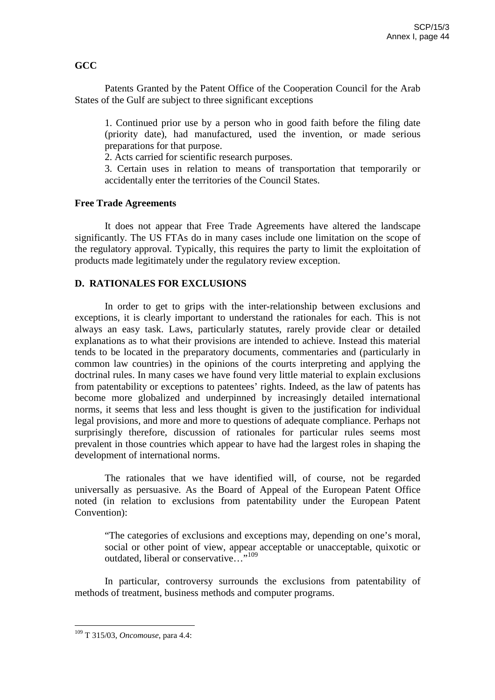# **GCC**

Patents Granted by the Patent Office of the Cooperation Council for the Arab States of the Gulf are subject to three significant exceptions

1. Continued prior use by a person who in good faith before the filing date (priority date), had manufactured, used the invention, or made serious preparations for that purpose.

2. Acts carried for scientific research purposes.

3. Certain uses in relation to means of transportation that temporarily or accidentally enter the territories of the Council States.

# **Free Trade Agreements**

It does not appear that Free Trade Agreements have altered the landscape significantly. The US FTAs do in many cases include one limitation on the scope of the regulatory approval. Typically, this requires the party to limit the exploitation of products made legitimately under the regulatory review exception.

# **D. RATIONALES FOR EXCLUSIONS**

In order to get to grips with the inter-relationship between exclusions and exceptions, it is clearly important to understand the rationales for each. This is not always an easy task. Laws, particularly statutes, rarely provide clear or detailed explanations as to what their provisions are intended to achieve. Instead this material tends to be located in the preparatory documents, commentaries and (particularly in common law countries) in the opinions of the courts interpreting and applying the doctrinal rules. In many cases we have found very little material to explain exclusions from patentability or exceptions to patentees' rights. Indeed, as the law of patents has become more globalized and underpinned by increasingly detailed international norms, it seems that less and less thought is given to the justification for individual legal provisions, and more and more to questions of adequate compliance. Perhaps not surprisingly therefore, discussion of rationales for particular rules seems most prevalent in those countries which appear to have had the largest roles in shaping the development of international norms.

The rationales that we have identified will, of course, not be regarded universally as persuasive. As the Board of Appeal of the European Patent Office noted (in relation to exclusions from patentability under the European Patent Convention):

"The categories of exclusions and exceptions may, depending on one's moral, social or other point of view, appear acceptable or unacceptable, quixotic or outdated, liberal or conservative..."<sup>109</sup>

In particular, controversy surrounds the exclusions from patentability of methods of treatment, business methods and computer programs.

<sup>109</sup> T 315/03, *Oncomouse*, para 4.4: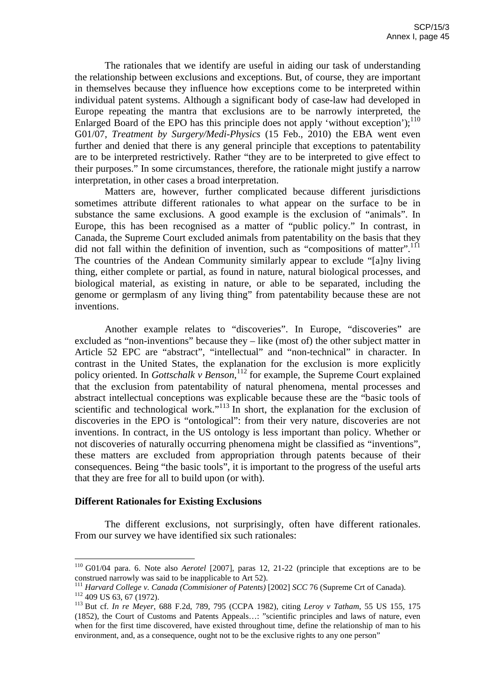The rationales that we identify are useful in aiding our task of understanding the relationship between exclusions and exceptions. But, of course, they are important in themselves because they influence how exceptions come to be interpreted within individual patent systems. Although a significant body of case-law had developed in Europe repeating the mantra that exclusions are to be narrowly interpreted, the Enlarged Board of the EPO has this principle does not apply 'without exception');  $^{110}$ G01/07, *Treatment by Surgery/Medi-Physics* (15 Feb., 2010) the EBA went even further and denied that there is any general principle that exceptions to patentability are to be interpreted restrictively. Rather "they are to be interpreted to give effect to their purposes." In some circumstances, therefore, the rationale might justify a narrow interpretation, in other cases a broad interpretation.

Matters are, however, further complicated because different jurisdictions sometimes attribute different rationales to what appear on the surface to be in substance the same exclusions. A good example is the exclusion of "animals". In Europe, this has been recognised as a matter of "public policy." In contrast, in Canada, the Supreme Court excluded animals from patentability on the basis that they did not fall within the definition of invention, such as "compositions of matter".<sup>111</sup> The countries of the Andean Community similarly appear to exclude "[a]ny living thing, either complete or partial, as found in nature, natural biological processes, and biological material, as existing in nature, or able to be separated, including the genome or germplasm of any living thing" from patentability because these are not inventions.

Another example relates to "discoveries". In Europe, "discoveries" are excluded as "non-inventions" because they – like (most of) the other subject matter in Article 52 EPC are "abstract", "intellectual" and "non-technical" in character. In contrast in the United States, the explanation for the exclusion is more explicitly policy oriented. In *Gottschalk v Benson*, <sup>112</sup> for example, the Supreme Court explained that the exclusion from patentability of natural phenomena, mental processes and abstract intellectual conceptions was explicable because these are the "basic tools of scientific and technological work."<sup>113</sup> In short, the explanation for the exclusion of discoveries in the EPO is "ontological": from their very nature, discoveries are not inventions. In contract, in the US ontology is less important than policy. Whether or not discoveries of naturally occurring phenomena might be classified as "inventions", these matters are excluded from appropriation through patents because of their consequences. Being "the basic tools", it is important to the progress of the useful arts that they are free for all to build upon (or with).

### **Different Rationales for Existing Exclusions**

The different exclusions, not surprisingly, often have different rationales. From our survey we have identified six such rationales:

<sup>&</sup>lt;sup>110</sup> G01/04 para. 6. Note also *Aerotel* [2007], paras 12, 21-22 (principle that exceptions are to be construed narrowly was said to be inapplicable to Art 52).

<sup>&</sup>lt;sup>111</sup> Harvard College v. Canada (Commisioner of Patents) [2002] SCC 76 (Supreme Crt of Canada).<br><sup>112</sup> 409 US 63, 67 (1972).<br><sup>113</sup> But cf. *In re Mever.* 688 F.2d. 789, 795 (CCPA 1982), citing *Lerov v Tatham*, 55 US 155,

<sup>(1852),</sup> the Court of Customs and Patents Appeals…: "scientific principles and laws of nature, even when for the first time discovered, have existed throughout time, define the relationship of man to his environment, and, as a consequence, ought not to be the exclusive rights to any one person"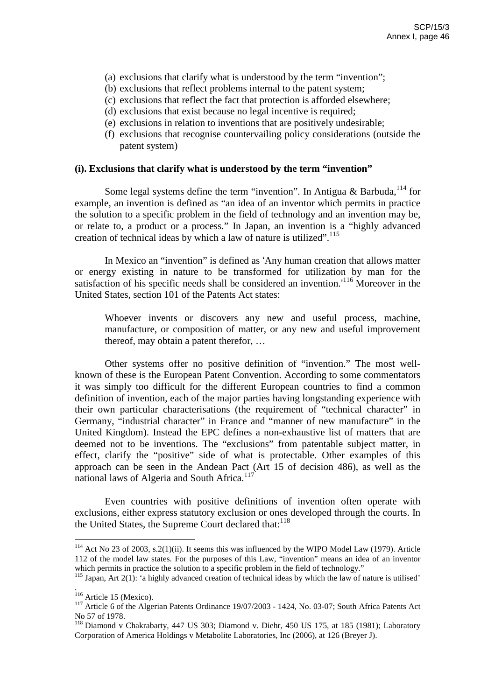- (a) exclusions that clarify what is understood by the term "invention";
- (b) exclusions that reflect problems internal to the patent system;
- (c) exclusions that reflect the fact that protection is afforded elsewhere;
- (d) exclusions that exist because no legal incentive is required;
- (e) exclusions in relation to inventions that are positively undesirable;
- (f) exclusions that recognise countervailing policy considerations (outside the patent system)

### **(i). Exclusions that clarify what is understood by the term "invention"**

Some legal systems define the term "invention". In Antigua & Barbuda,  $114$  for example, an invention is defined as "an idea of an inventor which permits in practice the solution to a specific problem in the field of technology and an invention may be, or relate to, a product or a process." In Japan, an invention is a "highly advanced creation of technical ideas by which a law of nature is utilized".<sup>115</sup>

In Mexico an "invention" is defined as 'Any human creation that allows matter or energy existing in nature to be transformed for utilization by man for the satisfaction of his specific needs shall be considered an invention.<sup>'116</sup> Moreover in the United States, section 101 of the Patents Act states:

Whoever invents or discovers any new and useful process, machine, manufacture, or composition of matter, or any new and useful improvement thereof, may obtain a patent therefor, …

Other systems offer no positive definition of "invention." The most wellknown of these is the European Patent Convention. According to some commentators it was simply too difficult for the different European countries to find a common definition of invention, each of the major parties having longstanding experience with their own particular characterisations (the requirement of "technical character" in Germany, "industrial character" in France and "manner of new manufacture" in the United Kingdom). Instead the EPC defines a non-exhaustive list of matters that are deemed not to be inventions. The "exclusions" from patentable subject matter, in effect, clarify the "positive" side of what is protectable. Other examples of this approach can be seen in the Andean Pact (Art 15 of decision 486), as well as the national laws of Algeria and South Africa. 117

Even countries with positive definitions of invention often operate with exclusions, either express statutory exclusion or ones developed through the courts. In the United States, the Supreme Court declared that:<sup>118</sup>

<sup>114</sup> Act No 23 of 2003, s.2(1)(ii). It seems this was influenced by the WIPO Model Law (1979). Article 112 of the model law states. For the purposes of this Law, "invention" means an idea of an inventor which permits in practice the solution to a specific problem in the field of technology."

<sup>&</sup>lt;sup>115</sup> Japan, Art 2(1): 'a highly advanced creation of technical ideas by which the law of nature is utilised'

 $\frac{116}{116}$  Article 15 (Mexico).

<sup>&</sup>lt;sup>117</sup> Article 6 of the Algerian Patents Ordinance  $19/07/2003 - 1424$ , No. 03-07; South Africa Patents Act No. 57 of 1978.

<sup>&</sup>lt;sup>118</sup> Diamond v Chakrabarty, 447 US 303; Diamond v. Diehr, 450 US 175, at 185 (1981); Laboratory Corporation of America Holdings v Metabolite Laboratories, Inc (2006), at 126 (Breyer J).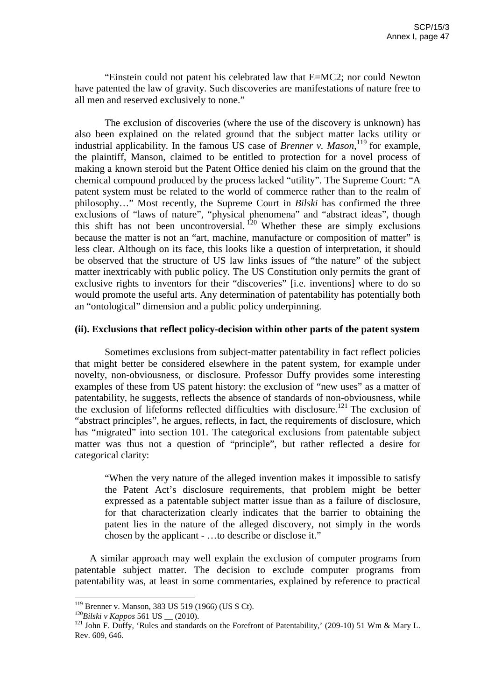"Einstein could not patent his celebrated law that E=MC2; nor could Newton have patented the law of gravity. Such discoveries are manifestations of nature free to all men and reserved exclusively to none."

The exclusion of discoveries (where the use of the discovery is unknown) has also been explained on the related ground that the subject matter lacks utility or industrial applicability. In the famous US case of *Brenner v. Mason*, <sup>119</sup> for example, the plaintiff, Manson, claimed to be entitled to protection for a novel process of making a known steroid but the Patent Office denied his claim on the ground that the chemical compound produced by the process lacked "utility". The Supreme Court: "A patent system must be related to the world of commerce rather than to the realm of philosophy…" Most recently, the Supreme Court in *Bilski* has confirmed the three exclusions of "laws of nature", "physical phenomena" and "abstract ideas", though this shift has not been uncontroversial.<sup>120</sup> Whether these are simply exclusions because the matter is not an "art, machine, manufacture or composition of matter" is less clear. Although on its face, this looks like a question of interpretation, it should be observed that the structure of US law links issues of "the nature" of the subject matter inextricably with public policy. The US Constitution only permits the grant of exclusive rights to inventors for their "discoveries" [i.e. inventions] where to do so would promote the useful arts. Any determination of patentability has potentially both an "ontological" dimension and a public policy underpinning.

### **(ii). Exclusions that reflect policy-decision within other parts of the patent system**

Sometimes exclusions from subject-matter patentability in fact reflect policies that might better be considered elsewhere in the patent system, for example under novelty, non-obviousness, or disclosure. Professor Duffy provides some interesting examples of these from US patent history: the exclusion of "new uses" as a matter of patentability, he suggests, reflects the absence of standards of non-obviousness, while the exclusion of lifeforms reflected difficulties with disclosure. <sup>121</sup> The exclusion of "abstract principles", he argues, reflects, in fact, the requirements of disclosure, which has "migrated" into section 101. The categorical exclusions from patentable subject matter was thus not a question of "principle", but rather reflected a desire for categorical clarity:

"When the very nature of the alleged invention makes it impossible to satisfy the Patent Act's disclosure requirements, that problem might be better expressed as a patentable subject matter issue than as a failure of disclosure, for that characterization clearly indicates that the barrier to obtaining the patent lies in the nature of the alleged discovery, not simply in the words chosen by the applicant - …to describe or disclose it."

A similar approach may well explain the exclusion of computer programs from patentable subject matter. The decision to exclude computer programs from patentability was, at least in some commentaries, explained by reference to practical

<sup>&</sup>lt;sup>119</sup> Brenner v. Manson, 383 US 519 (1966) (US S Ct).<br><sup>120</sup>Bilski v Kappos 561 US \_ (2010).

<sup>&</sup>lt;sup>Bill</sup> John F. Duffy, 'Rules and standards on the Forefront of Patentability,' (209-10) 51 Wm & Mary L. Rev. 609, 646.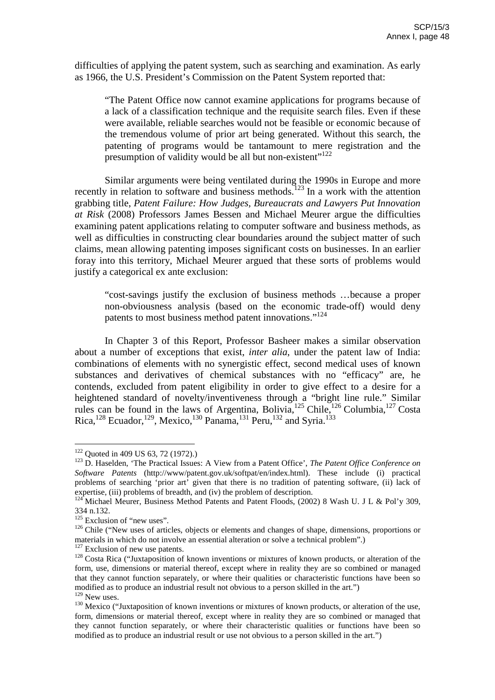difficulties of applying the patent system, such as searching and examination. As early as 1966, the U.S. President's Commission on the Patent System reported that:

"The Patent Office now cannot examine applications for programs because of a lack of a classification technique and the requisite search files. Even if these were available, reliable searches would not be feasible or economic because of the tremendous volume of prior art being generated. Without this search, the patenting of programs would be tantamount to mere registration and the presumption of validity would be all but non-existent"<sup>122</sup>

Similar arguments were being ventilated during the 1990s in Europe and more recently in relation to software and business methods.<sup>123</sup> In a work with the attention grabbing title, *Patent Failure: How Judges, Bureaucrats and Lawyers Put Innovation at Risk* (2008) Professors James Bessen and Michael Meurer argue the difficulties examining patent applications relating to computer software and business methods, as well as difficulties in constructing clear boundaries around the subject matter of such claims, mean allowing patenting imposes significant costs on businesses. In an earlier foray into this territory, Michael Meurer argued that these sorts of problems would justify a categorical ex ante exclusion:

"cost-savings justify the exclusion of business methods …because a proper non-obviousness analysis (based on the economic trade-off) would deny patents to most business method patent innovations."<sup>124</sup>

In Chapter 3 of this Report, Professor Basheer makes a similar observation about a number of exceptions that exist, *inter alia*, under the patent law of India: combinations of elements with no synergistic effect, second medical uses of known substances and derivatives of chemical substances with no "efficacy" are, he contends, excluded from patent eligibility in order to give effect to a desire for a heightened standard of novelty/inventiveness through a "bright line rule." Similar rules can be found in the laws of Argentina, Bolivia,  $^{125}$  Chile,  $^{126}$  Columbia,  $^{127}$  Costa Rica,<sup>128</sup> Ecuador,<sup>129</sup>, Mexico,<sup>130</sup> Panama,<sup>131</sup> Peru,<sup>132</sup> and Syria.<sup>133</sup>

<sup>&</sup>lt;sup>122</sup> Quoted in 409 US 63, 72 (1972).)<br><sup>123</sup> D. Haselden, 'The Practical Issues: A View from a Patent Office', *The Patent Office Conference on Software Patents* (http://www/patent.gov.uk/softpat/en/index.html). These include (i) practical problems of searching 'prior art' given that there is no tradition of patenting software, (ii) lack of expertise, (iii) problems of breadth, and (iv) the problem of description.<br><sup>124</sup> Michael Meurer, Business Method Patents and Patent Floods, (2002) 8 Wash U. J L & Pol'y 309,

<sup>334</sup> n.132.<br><sup>125</sup> Exclusion of "new uses".<br><sup>126</sup> Chile ("New uses of articles, objects or elements and changes of shape, dimensions, proportions or materials in which do not involve an essential alteration or solve a technical problem".)<br><sup>127</sup> Exclusion of new use patents.<br><sup>128</sup> Costa Rica ("Juxtaposition of known inventions or mixtures of known products, or alteratio

form, use, dimensions or material thereof, except where in reality they are so combined or managed that they cannot function separately, or where their qualities or characteristic functions have been so modified as to produce an industrial result not obvious to a person skilled in the art.")<br><sup>129</sup> New uses.<br><sup>130</sup> Mexico ("Juxtaposition of known inventions or mixtures of known products, or alteration of the use,

form, dimensions or material thereof, except where in reality they are so combined or managed that they cannot function separately, or where their characteristic qualities or functions have been so modified as to produce an industrial result or use not obvious to a person skilled in the art.")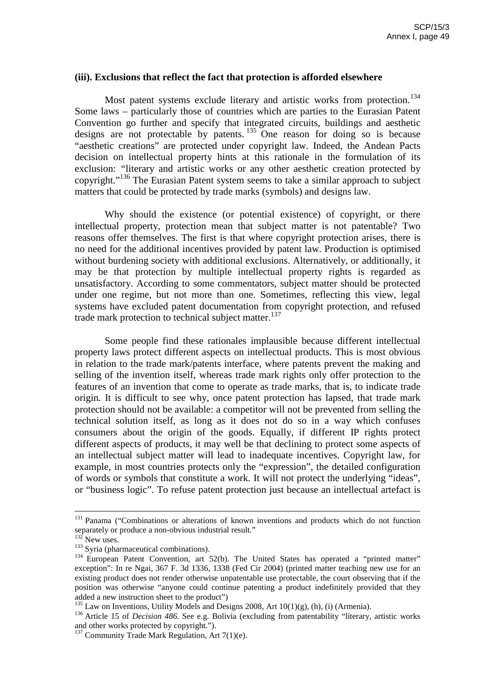### **(iii). Exclusions that reflect the fact that protection is afforded elsewhere**

Most patent systems exclude literary and artistic works from protection.<sup>134</sup> Some laws – particularly those of countries which are parties to the Eurasian Patent Convention go further and specify that integrated circuits, buildings and aesthetic designs are not protectable by patents. <sup>135</sup> One reason for doing so is because "aesthetic creations" are protected under copyright law. Indeed, the Andean Pacts decision on intellectual property hints at this rationale in the formulation of its exclusion: *"*literary and artistic works or any other aesthetic creation protected by copyright."<sup>136</sup> The Eurasian Patent system seems to take a similar approach to subject matters that could be protected by trade marks (symbols) and designs law.

Why should the existence (or potential existence) of copyright, or there intellectual property, protection mean that subject matter is not patentable? Two reasons offer themselves. The first is that where copyright protection arises, there is no need for the additional incentives provided by patent law. Production is optimised without burdening society with additional exclusions. Alternatively, or additionally, it may be that protection by multiple intellectual property rights is regarded as unsatisfactory. According to some commentators, subject matter should be protected under one regime, but not more than one. Sometimes, reflecting this view, legal systems have excluded patent documentation from copyright protection, and refused trade mark protection to technical subject matter.<sup>137</sup>

Some people find these rationales implausible because different intellectual property laws protect different aspects on intellectual products. This is most obvious in relation to the trade mark/patents interface, where patents prevent the making and selling of the invention itself, whereas trade mark rights only offer protection to the features of an invention that come to operate as trade marks, that is, to indicate trade origin. It is difficult to see why, once patent protection has lapsed, that trade mark protection should not be available: a competitor will not be prevented from selling the technical solution itself, as long as it does not do so in a way which confuses consumers about the origin of the goods. Equally, if different IP rights protect different aspects of products, it may well be that declining to protect some aspects of an intellectual subject matter will lead to inadequate incentives. Copyright law, for example, in most countries protects only the "expression", the detailed configuration of words or symbols that constitute a work. It will not protect the underlying "ideas", or "business logic". To refuse patent protection just because an intellectual artefact is

<sup>&</sup>lt;sup>131</sup> Panama ("Combinations or alterations of known inventions and products which do not function separately or produce a non-obvious industrial result."<br><sup>132</sup> Nam uses

<sup>&</sup>lt;sup>132</sup> New uses. <br><sup>133</sup> Syria (pharmaceutical combinations). <sup>134</sup> European Patent Convention, art 52(b). The United States has operated a "printed matter" exception": In re Ngai, 367 F. 3d 1336, 1338 (Fed Cir 2004) (printed matter teaching new use for an existing product does not render otherwise unpatentable use protectable, the court observing that if the position was otherwise "anyone could continue patenting a product indefinitely provided that they

added a new instruction sheet to the product")<br>
<sup>135</sup> Law on Inventions, Utility Models and Designs 2008, Art 10(1)(g), (h), (i) (Armenia).<br>
<sup>136</sup> Article 15 of *Decision 486*. See e.g. Bolivia (excluding from patentabili

<sup>&</sup>lt;sup>137</sup> Community Trade Mark Regulation, Art 7(1)(e).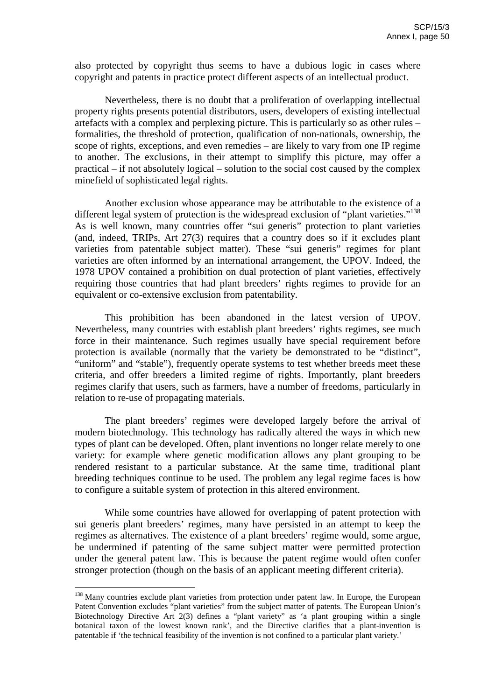also protected by copyright thus seems to have a dubious logic in cases where copyright and patents in practice protect different aspects of an intellectual product.

Nevertheless, there is no doubt that a proliferation of overlapping intellectual property rights presents potential distributors, users, developers of existing intellectual artefacts with a complex and perplexing picture. This is particularly so as other rules – formalities, the threshold of protection, qualification of non-nationals, ownership, the scope of rights, exceptions, and even remedies – are likely to vary from one IP regime to another. The exclusions, in their attempt to simplify this picture, may offer a practical – if not absolutely logical – solution to the social cost caused by the complex minefield of sophisticated legal rights.

Another exclusion whose appearance may be attributable to the existence of a different legal system of protection is the widespread exclusion of "plant varieties."<sup>138</sup> As is well known, many countries offer "sui generis" protection to plant varieties (and, indeed, TRIPs, Art 27(3) requires that a country does so if it excludes plant varieties from patentable subject matter). These "sui generis" regimes for plant varieties are often informed by an international arrangement, the UPOV. Indeed, the 1978 UPOV contained a prohibition on dual protection of plant varieties, effectively requiring those countries that had plant breeders' rights regimes to provide for an equivalent or co-extensive exclusion from patentability.

This prohibition has been abandoned in the latest version of UPOV. Nevertheless, many countries with establish plant breeders' rights regimes, see much force in their maintenance. Such regimes usually have special requirement before protection is available (normally that the variety be demonstrated to be "distinct", "uniform" and "stable"), frequently operate systems to test whether breeds meet these criteria, and offer breeders a limited regime of rights. Importantly, plant breeders regimes clarify that users, such as farmers, have a number of freedoms, particularly in relation to re-use of propagating materials.

The plant breeders' regimes were developed largely before the arrival of modern biotechnology. This technology has radically altered the ways in which new types of plant can be developed. Often, plant inventions no longer relate merely to one variety: for example where genetic modification allows any plant grouping to be rendered resistant to a particular substance. At the same time, traditional plant breeding techniques continue to be used. The problem any legal regime faces is how to configure a suitable system of protection in this altered environment.

While some countries have allowed for overlapping of patent protection with sui generis plant breeders' regimes, many have persisted in an attempt to keep the regimes as alternatives. The existence of a plant breeders' regime would, some argue, be undermined if patenting of the same subject matter were permitted protection under the general patent law. This is because the patent regime would often confer stronger protection (though on the basis of an applicant meeting different criteria).

<sup>&</sup>lt;sup>138</sup> Many countries exclude plant varieties from protection under patent law. In Europe, the European Patent Convention excludes "plant varieties" from the subject matter of patents. The European Union's Biotechnology Directive Art 2(3) defines a "plant variety" as 'a plant grouping within a single botanical taxon of the lowest known rank', and the Directive clarifies that a plant-invention is patentable if 'the technical feasibility of the invention is not confined to a particular plant variety.'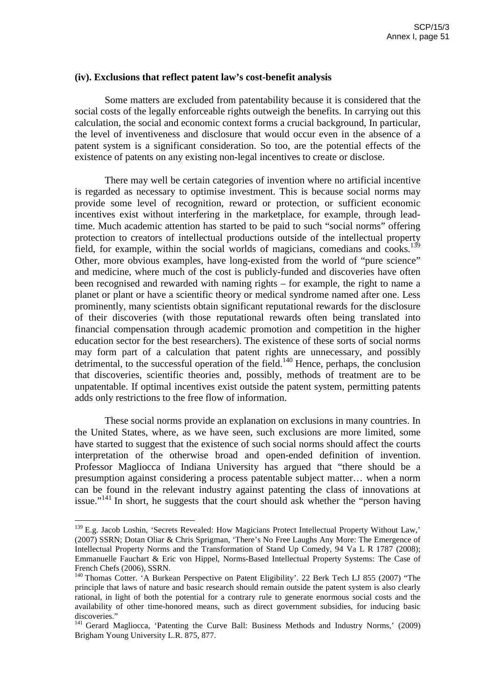# **(iv). Exclusions that reflect patent law's cost-benefit analysis**

Some matters are excluded from patentability because it is considered that the social costs of the legally enforceable rights outweigh the benefits. In carrying out this calculation, the social and economic context forms a crucial background, In particular, the level of inventiveness and disclosure that would occur even in the absence of a patent system is a significant consideration. So too, are the potential effects of the existence of patents on any existing non-legal incentives to create or disclose.

There may well be certain categories of invention where no artificial incentive is regarded as necessary to optimise investment. This is because social norms may provide some level of recognition, reward or protection, or sufficient economic incentives exist without interfering in the marketplace, for example, through leadtime. Much academic attention has started to be paid to such "social norms" offering protection to creators of intellectual productions outside of the intellectual property field, for example, within the social worlds of magicians, comedians and cooks.<sup>139</sup> Other, more obvious examples, have long-existed from the world of "pure science" and medicine, where much of the cost is publicly-funded and discoveries have often been recognised and rewarded with naming rights – for example, the right to name a planet or plant or have a scientific theory or medical syndrome named after one. Less prominently, many scientists obtain significant reputational rewards for the disclosure of their discoveries (with those reputational rewards often being translated into financial compensation through academic promotion and competition in the higher education sector for the best researchers). The existence of these sorts of social norms may form part of a calculation that patent rights are unnecessary, and possibly detrimental, to the successful operation of the field.<sup>140</sup> Hence, perhaps, the conclusion that discoveries, scientific theories and, possibly, methods of treatment are to be unpatentable. If optimal incentives exist outside the patent system, permitting patents adds only restrictions to the free flow of information.

These social norms provide an explanation on exclusions in many countries. In the United States, where, as we have seen, such exclusions are more limited, some have started to suggest that the existence of such social norms should affect the courts interpretation of the otherwise broad and open-ended definition of invention. Professor Magliocca of Indiana University has argued that "there should be a presumption against considering a process patentable subject matter… when a norm can be found in the relevant industry against patenting the class of innovations at issue."<sup>141</sup> In short, he suggests that the court should ask whether the "person having

<sup>&</sup>lt;sup>139</sup> E.g. Jacob Loshin, 'Secrets Revealed: How Magicians Protect Intellectual Property Without Law,' (2007) SSRN; Dotan Oliar & Chris Sprigman, 'There's No Free Laughs Any More: The Emergence of Intellectual Property Norms and the Transformation of Stand Up Comedy, 94 Va L R 1787 (2008); Emmanuelle Fauchart & Eric von Hippel, Norms-Based Intellectual Property Systems: The Case of French Chefs (2006), SSRN.<br><sup>140</sup> Thomas Cotter. 'A Burkean Perspective on Patent Eligibility'. 22 Berk Tech LJ 855 (2007) "The

principle that laws of nature and basic research should remain outside the patent system is also clearly rational, in light of both the potential for a contrary rule to generate enormous social costs and the availability of other time-honored means, such as direct government subsidies, for inducing basic

discoveries." <sup>141</sup> Gerard Magliocca, 'Patenting the Curve Ball: Business Methods and Industry Norms,' (2009) Brigham Young University L.R. 875, 877.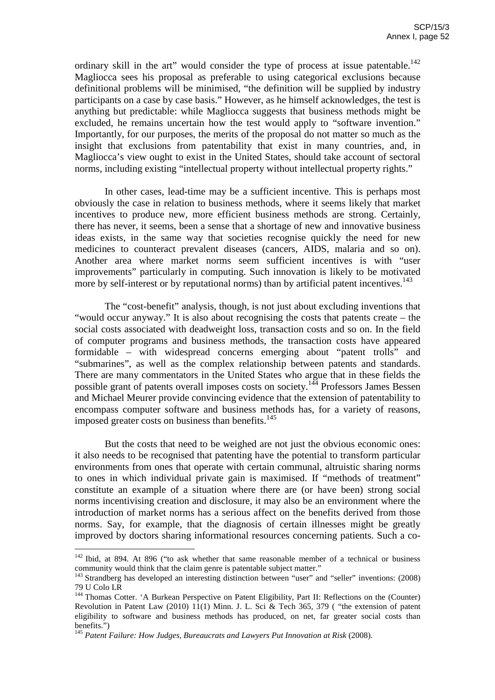ordinary skill in the art" would consider the type of process at issue patentable.<sup>142</sup> Magliocca sees his proposal as preferable to using categorical exclusions because definitional problems will be minimised, "the definition will be supplied by industry participants on a case by case basis." However, as he himself acknowledges, the test is anything but predictable: while Magliocca suggests that business methods might be excluded, he remains uncertain how the test would apply to "software invention." Importantly, for our purposes, the merits of the proposal do not matter so much as the insight that exclusions from patentability that exist in many countries, and, in Magliocca's view ought to exist in the United States, should take account of sectoral norms, including existing "intellectual property without intellectual property rights."

In other cases, lead-time may be a sufficient incentive. This is perhaps most obviously the case in relation to business methods, where it seems likely that market incentives to produce new, more efficient business methods are strong. Certainly, there has never, it seems, been a sense that a shortage of new and innovative business ideas exists, in the same way that societies recognise quickly the need for new medicines to counteract prevalent diseases (cancers, AIDS, malaria and so on). Another area where market norms seem sufficient incentives is with "user improvements" particularly in computing. Such innovation is likely to be motivated more by self-interest or by reputational norms) than by artificial patent incentives.<sup>143</sup>

The "cost-benefit" analysis, though, is not just about excluding inventions that "would occur anyway." It is also about recognising the costs that patents create – the social costs associated with deadweight loss, transaction costs and so on. In the field of computer programs and business methods, the transaction costs have appeared formidable – with widespread concerns emerging about "patent trolls" and "submarines", as well as the complex relationship between patents and standards. There are many commentators in the United States who argue that in these fields the possible grant of patents overall imposes costs on society.<sup>144</sup> Professors James Bessen and Michael Meurer provide convincing evidence that the extension of patentability to encompass computer software and business methods has, for a variety of reasons, imposed greater costs on business than benefits. 145

But the costs that need to be weighed are not just the obvious economic ones: it also needs to be recognised that patenting have the potential to transform particular environments from ones that operate with certain communal, altruistic sharing norms to ones in which individual private gain is maximised. If "methods of treatment" constitute an example of a situation where there are (or have been) strong social norms incentivising creation and disclosure, it may also be an environment where the introduction of market norms has a serious affect on the benefits derived from those norms. Say, for example, that the diagnosis of certain illnesses might be greatly improved by doctors sharing informational resources concerning patients. Such a co-

 $142$  Ibid, at 894. At 896 ("to ask whether that same reasonable member of a technical or business community would think that the claim genre is patentable subject matter."

 $143$  Strandberg has developed an interesting distinction between "user" and "seller" inventions: (2008) <sup>79</sup> <sup>U</sup> Colo LR <sup>144</sup> Thomas Cotter. 'A Burkean Perspective on Patent Eligibility, Part II: Reflections on the (Counter)

Revolution in Patent Law (2010) 11(1) Minn. J. L. Sci & Tech 365, 379 ( "the extension of patent eligibility to software and business methods has produced, on net, far greater social costs than benefits.") <sup>145</sup> *Patent Failure: How Judges, Bureaucrats and Lawyers Put Innovation at Risk* (2008).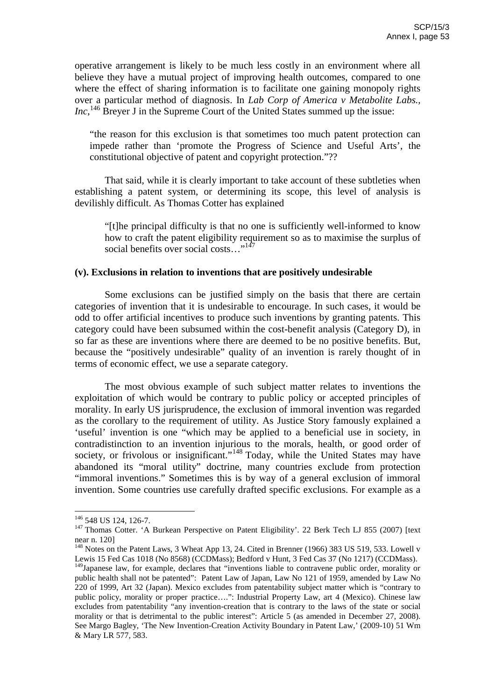operative arrangement is likely to be much less costly in an environment where all believe they have a mutual project of improving health outcomes, compared to one where the effect of sharing information is to facilitate one gaining monopoly rights over a particular method of diagnosis. In *Lab Corp of America v Metabolite Labs., Inc*,<sup>146</sup> Breyer J in the Supreme Court of the United States summed up the issue:

"the reason for this exclusion is that sometimes too much patent protection can impede rather than 'promote the Progress of Science and Useful Arts', the constitutional objective of patent and copyright protection."??

That said, while it is clearly important to take account of these subtleties when establishing a patent system, or determining its scope, this level of analysis is devilishly difficult. As Thomas Cotter has explained

"[t]he principal difficulty is that no one is sufficiently well-informed to know how to craft the patent eligibility requirement so as to maximise the surplus of social benefits over social costs..."<sup>147</sup>

### **(v). Exclusions in relation to inventions that are positively undesirable**

Some exclusions can be justified simply on the basis that there are certain categories of invention that it is undesirable to encourage. In such cases, it would be odd to offer artificial incentives to produce such inventions by granting patents. This category could have been subsumed within the cost-benefit analysis (Category D), in so far as these are inventions where there are deemed to be no positive benefits. But, because the "positively undesirable" quality of an invention is rarely thought of in terms of economic effect, we use a separate category.

The most obvious example of such subject matter relates to inventions the exploitation of which would be contrary to public policy or accepted principles of morality. In early US jurisprudence, the exclusion of immoral invention was regarded as the corollary to the requirement of utility. As Justice Story famously explained a 'useful' invention is one "which may be applied to a beneficial use in society, in contradistinction to an invention injurious to the morals, health, or good order of society, or frivolous or insignificant."<sup>148</sup> Today, while the United States may have abandoned its "moral utility" doctrine, many countries exclude from protection "immoral inventions." Sometimes this is by way of a general exclusion of immoral invention. Some countries use carefully drafted specific exclusions. For example as a

<sup>&</sup>lt;sup>146</sup> 548 US 124, 126-7.<br><sup>147</sup> Thomas Cotter. 'A Burkean Perspective on Patent Eligibility'. 22 Berk Tech LJ 855 (2007) [text near n. 120]

<sup>&</sup>lt;sup>148</sup> Notes on the Patent Laws, 3 Wheat App 13, 24. Cited in Brenner (1966) 383 US 519, 533. Lowell v Lewis 15 Fed Cas 1018 (No 8568) (CCDMass); Bedford v Hunt, 3 Fed Cas 37 (No 1217) (CCDMass).

 $149$ Japanese law, for example, declares that "inventions liable to contravene public order, morality or public health shall not be patented": Patent Law of Japan, Law No 121 of 1959, amended by Law No 220 of 1999, Art 32 (Japan). Mexico excludes from patentability subject matter which is "contrary to public policy, morality or proper practice….": Industrial Property Law, art 4 (Mexico). Chinese law excludes from patentability "any invention-creation that is contrary to the laws of the state or social morality or that is detrimental to the public interest": Article 5 (as amended in December 27, 2008). See Margo Bagley, 'The New Invention-Creation Activity Boundary in Patent Law,' (2009-10) 51 Wm & Mary LR 577, 583.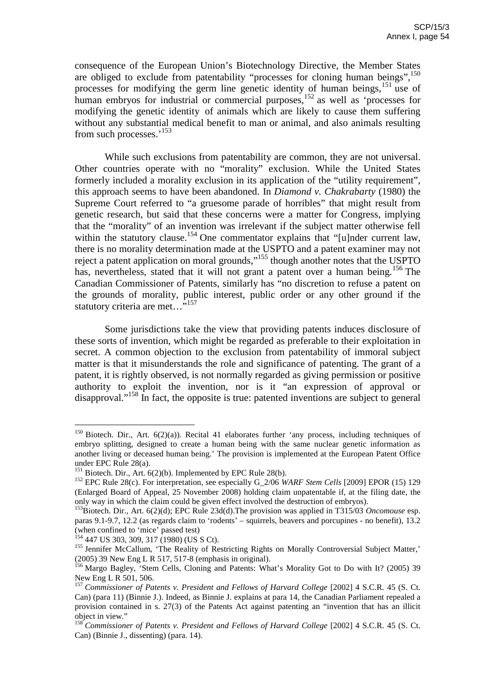consequence of the European Union's Biotechnology Directive, the Member States are obliged to exclude from patentability "processes for cloning human beings",<sup>150</sup> processes for modifying the germ line genetic identity of human beings, <sup>151</sup> use of human embryos for industrial or commercial purposes, 152 as well as 'processes for modifying the genetic identity of animals which are likely to cause them suffering without any substantial medical benefit to man or animal, and also animals resulting from such processes.'<sup>153</sup>

While such exclusions from patentability are common, they are not universal. Other countries operate with no "morality" exclusion. While the United States formerly included a morality exclusion in its application of the "utility requirement", this approach seems to have been abandoned. In *Diamond v. Chakrabarty* (1980) the Supreme Court referred to "a gruesome parade of horribles" that might result from genetic research, but said that these concerns were a matter for Congress, implying that the "morality" of an invention was irrelevant if the subject matter otherwise fell within the statutory clause.<sup>154</sup> One commentator explains that "[u]nder current law, there is no morality determination made at the USPTO and a patent examiner may not reject a patent application on moral grounds,"<sup>155</sup> though another notes that the USPTO has, nevertheless, stated that it will not grant a patent over a human being.<sup>156</sup> The Canadian Commissioner of Patents, similarly has "no discretion to refuse a patent on the grounds of morality, public interest, public order or any other ground if the statutory criteria are met...<sup>"157</sup>

Some jurisdictions take the view that providing patents induces disclosure of these sorts of invention, which might be regarded as preferable to their exploitation in secret. A common objection to the exclusion from patentability of immoral subject matter is that it misunderstands the role and significance of patenting. The grant of a patent, it is rightly observed, is not normally regarded as giving permission or positive authority to exploit the invention, nor is it "an expression of approval or disapproval."<sup>158</sup> In fact, the opposite is true: patented inventions are subject to general

<sup>&</sup>lt;sup>150</sup> Biotech. Dir., Art. 6(2)(a)). Recital 41 elaborates further 'any process, including techniques of embryo splitting, designed to create a human being with the same nuclear genetic information as another living or deceased human being.' The provision is implemented at the European Patent Office under EPC Rule  $28(a)$ .<br><sup>151</sup> Biotech. Dir., Art. 6(2)(b). Implemented by EPC Rule  $28(b)$ .

<sup>&</sup>lt;sup>152</sup> EPC Rule 28(c). For interpretation, see especially G\_2/06 *WARF Stem Cells* [2009] EPOR (15) 129 (Enlarged Board of Appeal, 25 November 2008) holding claim unpatentable if, at the filing date, the only way in which the claim could be given effect involved the destruction of embryos).<br><sup>153</sup>Biotech. Dir., Art. 6(2)(d); EPC Rule 23d(d).The provision was applied in T315/03 *Oncomouse* esp.

paras 9.1-9.7, 12.2 (as regards claim to 'rodents' – squirrels, beavers and porcupines - no benefit), 13.2 (when confined to 'mice' passed test)<br> $^{154}$  447 US 303, 309, 317 (1980) (US S Ct).

<sup>&</sup>lt;sup>155</sup> Jennifer McCallum, 'The Reality of Restricting Rights on Morally Controversial Subject Matter,'

<sup>(2005) 39</sup> New Eng L R 517, 517-8 (emphasis in original).<br><sup>156</sup> Margo Bagley, 'Stem Cells, Cloning and Patents: What's Morality Got to Do with It? (2005) 39<br>New Eng L R 501, 506.

<sup>157</sup> *Commissioner of Patents v. President and Fellows of Harvard College* [2002] 4 S.C.R. 45 (S. Ct. Can) (para 11) (Binnie J.). Indeed, as Binnie J. explains at para 14, the Canadian Parliament repealed a provision contained in s. 27(3) of the Patents Act against patenting an "invention that has an illicit

object in view." <sup>158</sup> *Commissioner of Patents v. President and Fellows of Harvard College* [2002] <sup>4</sup> S.C.R. <sup>45</sup> (S. Ct. Can) (Binnie J., dissenting) (para. 14).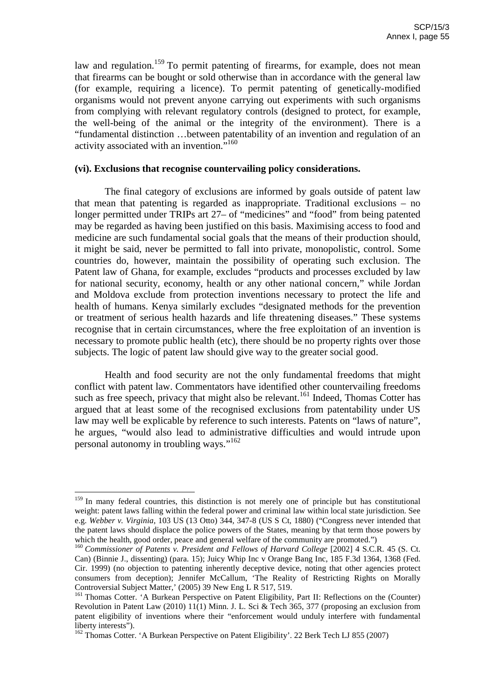law and regulation.<sup>159</sup> To permit patenting of firearms, for example, does not mean that firearms can be bought or sold otherwise than in accordance with the general law (for example, requiring a licence). To permit patenting of genetically-modified organisms would not prevent anyone carrying out experiments with such organisms from complying with relevant regulatory controls (designed to protect, for example, the well-being of the animal or the integrity of the environment). There is a "fundamental distinction …between patentability of an invention and regulation of an activity associated with an invention.<sup>5,160</sup>

# **(vi). Exclusions that recognise countervailing policy considerations.**

The final category of exclusions are informed by goals outside of patent law that mean that patenting is regarded as inappropriate. Traditional exclusions – no longer permitted under TRIPs art 27– of "medicines" and "food" from being patented may be regarded as having been justified on this basis. Maximising access to food and medicine are such fundamental social goals that the means of their production should, it might be said, never be permitted to fall into private, monopolistic, control. Some countries do, however, maintain the possibility of operating such exclusion. The Patent law of Ghana, for example, excludes "products and processes excluded by law for national security, economy, health or any other national concern," while Jordan and Moldova exclude from protection inventions necessary to protect the life and health of humans. Kenya similarly excludes "designated methods for the prevention or treatment of serious health hazards and life threatening diseases." These systems recognise that in certain circumstances, where the free exploitation of an invention is necessary to promote public health (etc), there should be no property rights over those subjects. The logic of patent law should give way to the greater social good.

Health and food security are not the only fundamental freedoms that might conflict with patent law. Commentators have identified other countervailing freedoms such as free speech, privacy that might also be relevant.<sup>161</sup> Indeed, Thomas Cotter has argued that at least some of the recognised exclusions from patentability under US law may well be explicable by reference to such interests. Patents on "laws of nature", he argues, "would also lead to administrative difficulties and would intrude upon personal autonomy in troubling ways."<sup>162</sup>

<sup>&</sup>lt;sup>159</sup> In many federal countries, this distinction is not merely one of principle but has constitutional weight: patent laws falling within the federal power and criminal law within local state jurisdiction. See e.g. *Webber v. Virginia*, 103 US (13 Otto) 344, 347-8 (US S Ct, 1880) ("Congress never intended that the patent laws should displace the police powers of the States, meaning by that term those powers by which the health, good order, peace and general welfare of the community are promoted.")<br><sup>160</sup> Commissioner of Patents v. President and Fellows of Harvard College [2002] 4 S.C.R. 45 (S. Ct.

Can) (Binnie J., dissenting) (para. 15); Juicy Whip Inc v Orange Bang Inc, 185 F.3d 1364, 1368 (Fed. Cir. 1999) (no objection to patenting inherently deceptive device, noting that other agencies protect consumers from deception); Jennifer McCallum, 'The Reality of Restricting Rights on Morally Controversial Subject Matter,' (2005) 39 New Eng L R 517, 519.<br>
<sup>161</sup> Thomas Cotter. 'A Burkean Perspective on Patent Eligibility, Part II: Reflections on the (Counter)

Revolution in Patent Law (2010) 11(1) Minn. J. L. Sci & Tech 365, 377 (proposing an exclusion from patent eligibility of inventions where their "enforcement would unduly interfere with fundamental liberty interests").<br><sup>162</sup> Thomas Cotter. 'A Burkean Perspective on Patent Eligibility'. 22 Berk Tech LJ 855 (2007)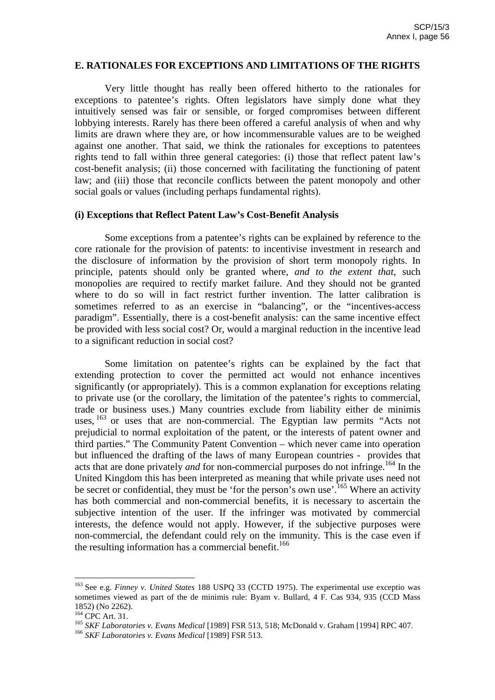#### **E. RATIONALES FOR EXCEPTIONS AND LIMITATIONS OF THE RIGHTS**

Very little thought has really been offered hitherto to the rationales for exceptions to patentee's rights. Often legislators have simply done what they intuitively sensed was fair or sensible, or forged compromises between different lobbying interests. Rarely has there been offered a careful analysis of when and why limits are drawn where they are, or how incommensurable values are to be weighed against one another. That said, we think the rationales for exceptions to patentees rights tend to fall within three general categories: (i) those that reflect patent law's cost-benefit analysis; (ii) those concerned with facilitating the functioning of patent law; and (iii) those that reconcile conflicts between the patent monopoly and other social goals or values (including perhaps fundamental rights).

# **(i) Exceptions that Reflect Patent Law's Cost-Benefit Analysis**

Some exceptions from a patentee's rights can be explained by reference to the core rationale for the provision of patents: to incentivise investment in research and the disclosure of information by the provision of short term monopoly rights. In principle, patents should only be granted where, *and to the extent that*, such monopolies are required to rectify market failure. And they should not be granted where to do so will in fact restrict further invention. The latter calibration is sometimes referred to as an exercise in "balancing", or the "incentives-access paradigm". Essentially, there is a cost-benefit analysis: can the same incentive effect be provided with less social cost? Or, would a marginal reduction in the incentive lead to a significant reduction in social cost?

Some limitation on patentee's rights can be explained by the fact that extending protection to cover the permitted act would not enhance incentives significantly (or appropriately). This is a common explanation for exceptions relating to private use (or the corollary, the limitation of the patentee's rights to commercial, trade or business uses.) Many countries exclude from liability either de minimis uses, <sup>163</sup> or uses that are non-commercial. The Egyptian law permits "Acts not prejudicial to normal exploitation of the patent, or the interests of patent owner and third parties." The Community Patent Convention – which never came into operation but influenced the drafting of the laws of many European countries - provides that acts that are done privately *and* for non-commercial purposes do not infringe. <sup>164</sup> In the United Kingdom this has been interpreted as meaning that while private uses need not be secret or confidential, they must be 'for the person's own use'.<sup>165</sup> Where an activity has both commercial and non-commercial benefits, it is necessary to ascertain the subjective intention of the user. If the infringer was motivated by commercial interests, the defence would not apply. However, if the subjective purposes were non-commercial, the defendant could rely on the immunity. This is the case even if the resulting information has a commercial benefit.<sup>166</sup>

<sup>163</sup> See e.g. *Finney v. United States* 188 USPQ 33 (CCTD 1975). The experimental use exceptio was sometimes viewed as part of the de minimis rule: Byam v. Bullard, 4 F. Cas 934, 935 (CCD Mass 1852) (No 2262).<br><sup>164</sup> CPC Art. 31.<br><sup>165</sup> SKF Laboratories v. Evans Medical [1989] FSR 513, 518; McDonald v. Graham [1994] RPC 407.<br><sup>166</sup> SKF Laboratories v. Evans Medical [1989] FSR 513.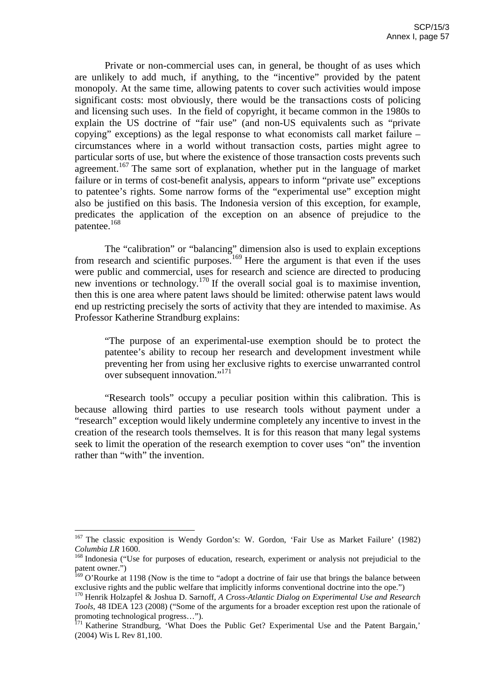Private or non-commercial uses can, in general, be thought of as uses which are unlikely to add much, if anything, to the "incentive" provided by the patent monopoly. At the same time, allowing patents to cover such activities would impose significant costs: most obviously, there would be the transactions costs of policing and licensing such uses. In the field of copyright, it became common in the 1980s to explain the US doctrine of "fair use" (and non-US equivalents such as "private copying" exceptions) as the legal response to what economists call market failure – circumstances where in a world without transaction costs, parties might agree to particular sorts of use, but where the existence of those transaction costs prevents such agreement.<sup>167</sup> The same sort of explanation, whether put in the language of market failure or in terms of cost-benefit analysis, appears to inform "private use" exceptions to patentee's rights. Some narrow forms of the "experimental use" exception might also be justified on this basis. The Indonesia version of this exception, for example, predicates the application of the exception on an absence of prejudice to the patentee.<sup>168</sup>

The "calibration" or "balancing" dimension also is used to explain exceptions from research and scientific purposes.<sup>169</sup> Here the argument is that even if the uses were public and commercial, uses for research and science are directed to producing new inventions or technology.<sup>170</sup> If the overall social goal is to maximise invention, then this is one area where patent laws should be limited: otherwise patent laws would end up restricting precisely the sorts of activity that they are intended to maximise. As Professor Katherine Strandburg explains:

"The purpose of an experimental-use exemption should be to protect the patentee's ability to recoup her research and development investment while preventing her from using her exclusive rights to exercise unwarranted control over subsequent innovation."<sup>171</sup>

"Research tools" occupy a peculiar position within this calibration. This is because allowing third parties to use research tools without payment under a "research" exception would likely undermine completely any incentive to invest in the creation of the research tools themselves. It is for this reason that many legal systems seek to limit the operation of the research exemption to cover uses "on" the invention rather than "with" the invention.

<sup>&</sup>lt;sup>167</sup> The classic exposition is Wendy Gordon's: W. Gordon, 'Fair Use as Market Failure' (1982) Columbia LR 1600.

<sup>&</sup>lt;sup>168</sup> Indonesia ("Use for purposes of education, research, experiment or analysis not prejudicial to the patent owner.")

 $\frac{169}{169}$  O'Rourke at 1198 (Now is the time to "adopt a doctrine of fair use that brings the balance between exclusive rights and the public welfare that implicitly informs conventional doctrine into the ope.")<br><sup>170</sup> Henrik Holzapfel & Joshua D. Sarnoff, A Cross-Atlantic Dialog on Experimental Use and Research

*Tools*, 48 IDEA 123 (2008) ("Some of the arguments for a broader exception rest upon the rationale of promoting technological progress...").<br><sup>171</sup> Katherine Strandburg, 'What Does the Public Get? Experimental Use and the Patent Bargain,'

<sup>(2004)</sup> Wis L Rev 81,100.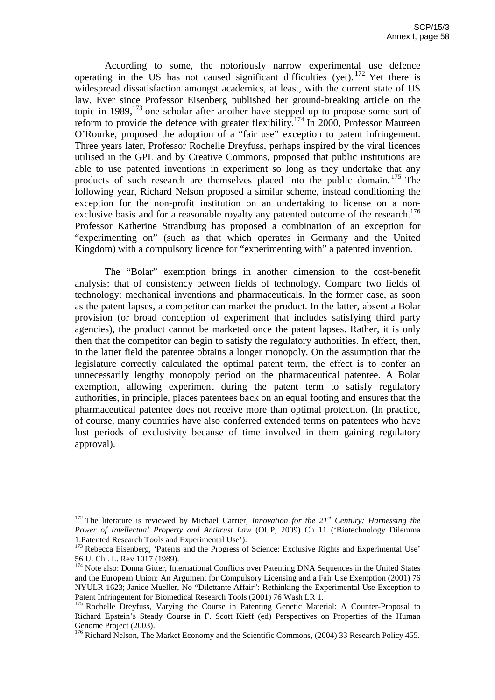According to some, the notoriously narrow experimental use defence operating in the US has not caused significant difficulties (yet).<sup>172</sup> Yet there is widespread dissatisfaction amongst academics, at least, with the current state of US law. Ever since Professor Eisenberg published her ground-breaking article on the topic in 1989, <sup>173</sup> one scholar after another have stepped up to propose some sort of reform to provide the defence with greater flexibility.<sup>174</sup> In 2000, Professor Maureen O'Rourke, proposed the adoption of a "fair use" exception to patent infringement. Three years later, Professor Rochelle Dreyfuss, perhaps inspired by the viral licences utilised in the GPL and by Creative Commons, proposed that public institutions are able to use patented inventions in experiment so long as they undertake that any products of such research are themselves placed into the public domain. <sup>175</sup> The following year, Richard Nelson proposed a similar scheme, instead conditioning the exception for the non-profit institution on an undertaking to license on a nonexclusive basis and for a reasonable royalty any patented outcome of the research.<sup>176</sup> Professor Katherine Strandburg has proposed a combination of an exception for "experimenting on" (such as that which operates in Germany and the United Kingdom) with a compulsory licence for "experimenting with" a patented invention.

The "Bolar" exemption brings in another dimension to the cost-benefit analysis: that of consistency between fields of technology. Compare two fields of technology: mechanical inventions and pharmaceuticals. In the former case, as soon as the patent lapses, a competitor can market the product. In the latter, absent a Bolar provision (or broad conception of experiment that includes satisfying third party agencies), the product cannot be marketed once the patent lapses. Rather, it is only then that the competitor can begin to satisfy the regulatory authorities. In effect, then, in the latter field the patentee obtains a longer monopoly. On the assumption that the legislature correctly calculated the optimal patent term, the effect is to confer an unnecessarily lengthy monopoly period on the pharmaceutical patentee. A Bolar exemption, allowing experiment during the patent term to satisfy regulatory authorities, in principle, places patentees back on an equal footing and ensures that the pharmaceutical patentee does not receive more than optimal protection. (In practice, of course, many countries have also conferred extended terms on patentees who have lost periods of exclusivity because of time involved in them gaining regulatory approval).

<sup>172</sup> The literature is reviewed by Michael Carrier, *Innovation for the 21st Century: Harnessing the Power of Intellectual Property and Antitrust Law* (OUP, 2009) Ch 11 ('Biotechnology Dilemma 1:Patented Research Tools and Experimental Use'). <sup>173</sup> Rebecca Eisenberg, 'Patents and the Progress of Science: Exclusive Rights and Experimental Use'

<sup>56</sup> U. Chi. L. Rev <sup>1017</sup> (1989). <sup>174</sup> Note also: Donna Gitter, International Conflicts over Patenting DNA Sequences in the United States

and the European Union: An Argument for Compulsory Licensing and a Fair Use Exemption (2001) 76 NYULR 1623; Janice Mueller, No "Dilettante Affair": Rethinking the Experimental Use Exception to Patent Infringement for Biomedical Research Tools (2001) 76 Wash LR 1.

<sup>&</sup>lt;sup>175</sup> Rochelle Dreyfuss, Varying the Course in Patenting Genetic Material: A Counter-Proposal to Richard Epstein's Steady Course in F. Scott Kieff (ed) Perspectives on Properties of the Human Genome Project (2003).<br><sup>176</sup> Richard Nelson, The Market Economy and the Scientific Commons, (2004) 33 Research Policy 455.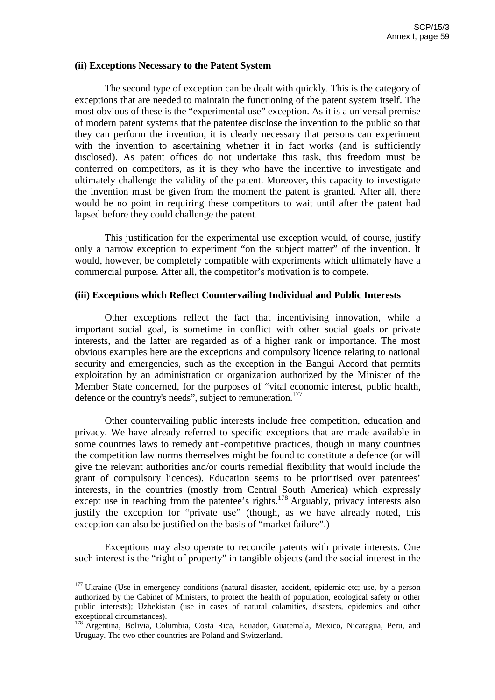### **(ii) Exceptions Necessary to the Patent System**

The second type of exception can be dealt with quickly. This is the category of exceptions that are needed to maintain the functioning of the patent system itself. The most obvious of these is the "experimental use" exception. As it is a universal premise of modern patent systems that the patentee disclose the invention to the public so that they can perform the invention, it is clearly necessary that persons can experiment with the invention to ascertaining whether it in fact works (and is sufficiently disclosed). As patent offices do not undertake this task, this freedom must be conferred on competitors, as it is they who have the incentive to investigate and ultimately challenge the validity of the patent. Moreover, this capacity to investigate the invention must be given from the moment the patent is granted. After all, there would be no point in requiring these competitors to wait until after the patent had lapsed before they could challenge the patent.

This justification for the experimental use exception would, of course, justify only a narrow exception to experiment "on the subject matter" of the invention. It would, however, be completely compatible with experiments which ultimately have a commercial purpose. After all, the competitor's motivation is to compete.

# **(iii) Exceptions which Reflect Countervailing Individual and Public Interests**

Other exceptions reflect the fact that incentivising innovation, while a important social goal, is sometime in conflict with other social goals or private interests, and the latter are regarded as of a higher rank or importance. The most obvious examples here are the exceptions and compulsory licence relating to national security and emergencies, such as the exception in the Bangui Accord that permits exploitation by an administration or organization authorized by the Minister of the Member State concerned, for the purposes of "vital economic interest, public health, defence or the country's needs", subject to remuneration.<sup>177</sup>

Other countervailing public interests include free competition, education and privacy. We have already referred to specific exceptions that are made available in some countries laws to remedy anti-competitive practices, though in many countries the competition law norms themselves might be found to constitute a defence (or will give the relevant authorities and/or courts remedial flexibility that would include the grant of compulsory licences). Education seems to be prioritised over patentees' interests, in the countries (mostly from Central South America) which expressly except use in teaching from the patentee's rights.<sup>178</sup> Arguably, privacy interests also justify the exception for "private use" (though, as we have already noted, this exception can also be justified on the basis of "market failure".)

Exceptions may also operate to reconcile patents with private interests. One such interest is the "right of property" in tangible objects (and the social interest in the

<sup>&</sup>lt;sup>177</sup> Ukraine (Use in emergency conditions (natural disaster, accident, epidemic etc; use, by a person authorized by the Cabinet of Ministers, to protect the health of population, ecological safety or other public interests); Uzbekistan (use in cases of natural calamities, disasters, epidemics and other exceptional circumstances).<br><sup>178</sup> Argentina, Bolivia, Columbia, Costa Rica, Ecuador, Guatemala, Mexico, Nicaragua, Peru, and

Uruguay. The two other countries are Poland and Switzerland.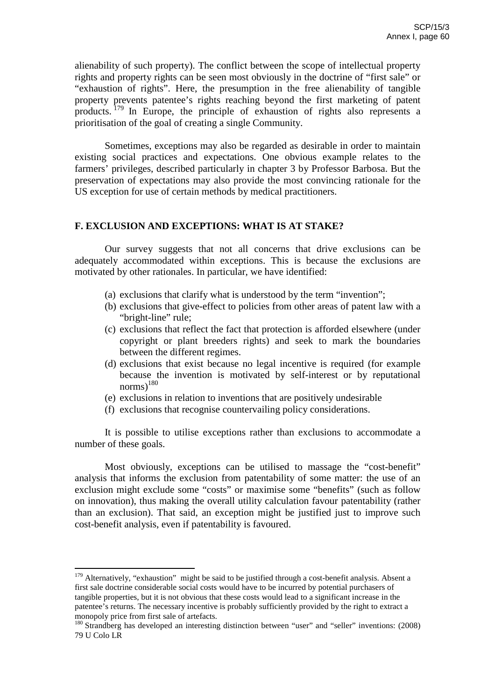alienability of such property). The conflict between the scope of intellectual property rights and property rights can be seen most obviously in the doctrine of "first sale" or "exhaustion of rights". Here, the presumption in the free alienability of tangible property prevents patentee's rights reaching beyond the first marketing of patent products. <sup>179</sup> In Europe, the principle of exhaustion of rights also represents a prioritisation of the goal of creating a single Community.

Sometimes, exceptions may also be regarded as desirable in order to maintain existing social practices and expectations. One obvious example relates to the farmers' privileges, described particularly in chapter 3 by Professor Barbosa. But the preservation of expectations may also provide the most convincing rationale for the US exception for use of certain methods by medical practitioners.

# **F. EXCLUSION AND EXCEPTIONS: WHAT IS AT STAKE?**

Our survey suggests that not all concerns that drive exclusions can be adequately accommodated within exceptions. This is because the exclusions are motivated by other rationales. In particular, we have identified:

- (a) exclusions that clarify what is understood by the term "invention";
- (b) exclusions that give-effect to policies from other areas of patent law with a "bright-line" rule;
- (c) exclusions that reflect the fact that protection is afforded elsewhere (under copyright or plant breeders rights) and seek to mark the boundaries between the different regimes.
- (d) exclusions that exist because no legal incentive is required (for example because the invention is motivated by self-interest or by reputational norms) 180
- (e) exclusions in relation to inventions that are positively undesirable
- (f) exclusions that recognise countervailing policy considerations.

It is possible to utilise exceptions rather than exclusions to accommodate a number of these goals.

Most obviously, exceptions can be utilised to massage the "cost-benefit" analysis that informs the exclusion from patentability of some matter: the use of an exclusion might exclude some "costs" or maximise some "benefits" (such as follow on innovation), thus making the overall utility calculation favour patentability (rather than an exclusion). That said, an exception might be justified just to improve such cost-benefit analysis, even if patentability is favoured.

 $179$  Alternatively, "exhaustion" might be said to be justified through a cost-benefit analysis. Absent a first sale doctrine considerable social costs would have to be incurred by potential purchasers of tangible properties, but it is not obvious that these costs would lead to a significant increase in the patentee's returns. The necessary incentive is probably sufficiently provided by the right to extract a monopoly price from first sale of artefacts.<br><sup>180</sup> Strandberg has developed an interesting distinction between "user" and "seller" inventions: (2008)

<sup>79</sup> U Colo LR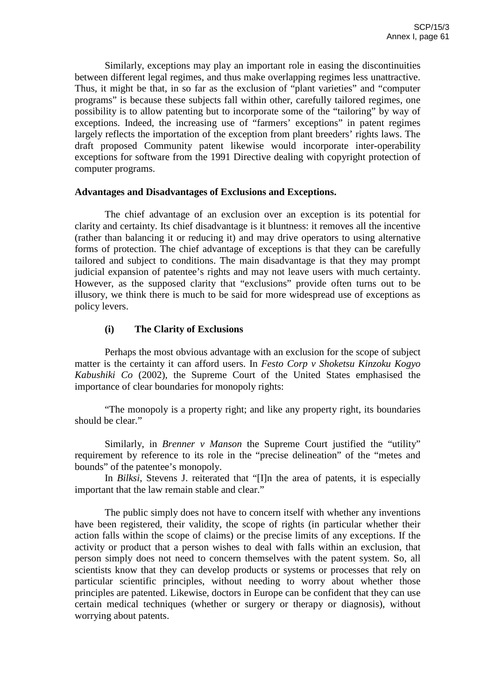Similarly, exceptions may play an important role in easing the discontinuities between different legal regimes, and thus make overlapping regimes less unattractive. Thus, it might be that, in so far as the exclusion of "plant varieties" and "computer programs" is because these subjects fall within other, carefully tailored regimes, one possibility is to allow patenting but to incorporate some of the "tailoring" by way of exceptions. Indeed, the increasing use of "farmers' exceptions" in patent regimes largely reflects the importation of the exception from plant breeders' rights laws. The draft proposed Community patent likewise would incorporate inter-operability exceptions for software from the 1991 Directive dealing with copyright protection of computer programs.

## **Advantages and Disadvantages of Exclusions and Exceptions.**

The chief advantage of an exclusion over an exception is its potential for clarity and certainty. Its chief disadvantage is it bluntness: it removes all the incentive (rather than balancing it or reducing it) and may drive operators to using alternative forms of protection. The chief advantage of exceptions is that they can be carefully tailored and subject to conditions. The main disadvantage is that they may prompt judicial expansion of patentee's rights and may not leave users with much certainty. However, as the supposed clarity that "exclusions" provide often turns out to be illusory, we think there is much to be said for more widespread use of exceptions as policy levers.

# **(i) The Clarity of Exclusions**

Perhaps the most obvious advantage with an exclusion for the scope of subject matter is the certainty it can afford users. In *Festo Corp v Shoketsu Kinzoku Kogyo Kabushiki Co* (2002), the Supreme Court of the United States emphasised the importance of clear boundaries for monopoly rights:

"The monopoly is a property right; and like any property right, its boundaries should be clear."

Similarly, in *Brenner v Manson* the Supreme Court justified the "utility" requirement by reference to its role in the "precise delineation" of the "metes and bounds" of the patentee's monopoly.

In *Bilksi*, Stevens J. reiterated that "[I]n the area of patents, it is especially important that the law remain stable and clear."

The public simply does not have to concern itself with whether any inventions have been registered, their validity, the scope of rights (in particular whether their action falls within the scope of claims) or the precise limits of any exceptions. If the activity or product that a person wishes to deal with falls within an exclusion, that person simply does not need to concern themselves with the patent system. So, all scientists know that they can develop products or systems or processes that rely on particular scientific principles, without needing to worry about whether those principles are patented. Likewise, doctors in Europe can be confident that they can use certain medical techniques (whether or surgery or therapy or diagnosis), without worrying about patents.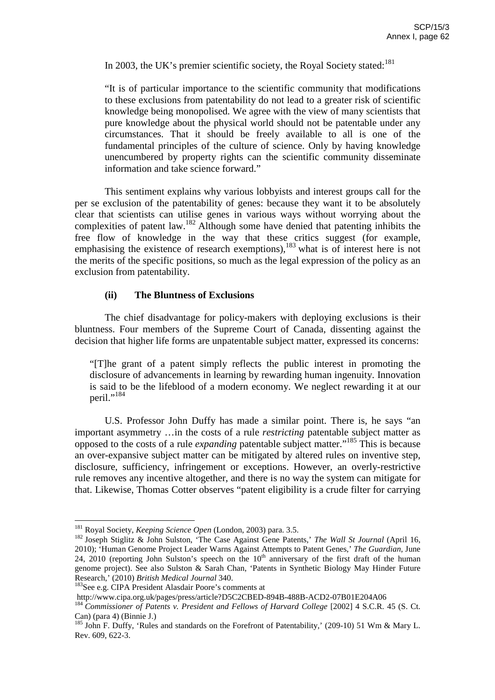In 2003, the UK's premier scientific society, the Royal Society stated:<sup>181</sup>

"It is of particular importance to the scientific community that modifications to these exclusions from patentability do not lead to a greater risk of scientific knowledge being monopolised. We agree with the view of many scientists that pure knowledge about the physical world should not be patentable under any circumstances. That it should be freely available to all is one of the fundamental principles of the culture of science. Only by having knowledge unencumbered by property rights can the scientific community disseminate information and take science forward."

This sentiment explains why various lobbyists and interest groups call for the per se exclusion of the patentability of genes: because they want it to be absolutely clear that scientists can utilise genes in various ways without worrying about the complexities of patent law.<sup>182</sup> Although some have denied that patenting inhibits the free flow of knowledge in the way that these critics suggest (for example, emphasising the existence of research exemptions),<sup>183</sup> what is of interest here is not the merits of the specific positions, so much as the legal expression of the policy as an exclusion from patentability.

# **(ii) The Bluntness of Exclusions**

The chief disadvantage for policy-makers with deploying exclusions is their bluntness. Four members of the Supreme Court of Canada, dissenting against the decision that higher life forms are unpatentable subject matter, expressed its concerns:

"[T]he grant of a patent simply reflects the public interest in promoting the disclosure of advancements in learning by rewarding human ingenuity. Innovation is said to be the lifeblood of a modern economy. We neglect rewarding it at our peril."<sup>184</sup>

U.S. Professor John Duffy has made a similar point. There is, he says "an important asymmetry …in the costs of a rule *restricting* patentable subject matter as opposed to the costs of a rule *expanding* patentable subject matter." <sup>185</sup> This is because an over-expansive subject matter can be mitigated by altered rules on inventive step, disclosure, sufficiency, infringement or exceptions. However, an overly-restrictive rule removes any incentive altogether, and there is no way the system can mitigate for that. Likewise, Thomas Cotter observes "patent eligibility is a crude filter for carrying

 $^{183}$ See e.g. CIPA President Alasdair Poore's comments at http://www.cipa.org.uk/pages/press/article?D5C2CBED-894B-488B-ACD2-07B01E204A06

<sup>&</sup>lt;sup>181</sup> Royal Society, *Keeping Science Open* (London, 2003) para. 3.5.<br><sup>182</sup> Joseph Stiglitz & John Sulston, 'The Case Against Gene Patents,' *The Wall St Journal* (April 16, 2010); 'Human Genome Project Leader Warns Against Attempts to Patent Genes,' *The Guardian*, June 24, 2010 (reporting John Sulston's speech on the  $10<sup>th</sup>$  anniversary of the first draft of the human genome project). See also Sulston & Sarah Chan, 'Patents in Synthetic Biology May Hinder Future Research,' (2010) *British Medical Journal* 340.

<sup>&</sup>lt;sup>184</sup> Commissioner of Patents v. President and Fellows of Harvard College [2002] 4 S.C.R. 45 (S. Ct. Can) (para 4) (Binnie J.)<br><sup>185</sup> John F. Duffy, 'Rules and standards on the Forefront of Patentability,' (209-10) 51 Wm & Mary L.

Rev. 609, 622-3.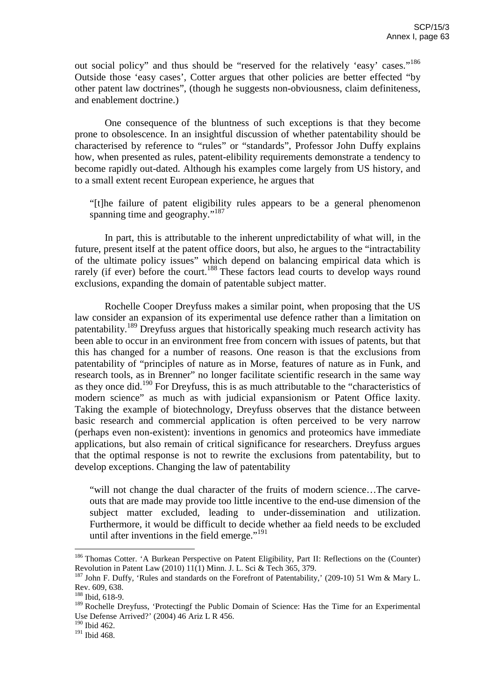out social policy" and thus should be "reserved for the relatively 'easy' cases."<sup>186</sup> Outside those 'easy cases', Cotter argues that other policies are better effected "by other patent law doctrines", (though he suggests non-obviousness, claim definiteness, and enablement doctrine.)

One consequence of the bluntness of such exceptions is that they become prone to obsolescence. In an insightful discussion of whether patentability should be characterised by reference to "rules" or "standards", Professor John Duffy explains how, when presented as rules, patent-elibility requirements demonstrate a tendency to become rapidly out-dated. Although his examples come largely from US history, and to a small extent recent European experience, he argues that

"[t]he failure of patent eligibility rules appears to be a general phenomenon spanning time and geography."<sup>187</sup>

In part, this is attributable to the inherent unpredictability of what will, in the future, present itself at the patent office doors, but also, he argues to the "intractability of the ultimate policy issues" which depend on balancing empirical data which is rarely (if ever) before the court.<sup>188</sup> These factors lead courts to develop ways round exclusions, expanding the domain of patentable subject matter.

Rochelle Cooper Dreyfuss makes a similar point, when proposing that the US law consider an expansion of its experimental use defence rather than a limitation on patentability.<sup>189</sup> Dreyfuss argues that historically speaking much research activity has been able to occur in an environment free from concern with issues of patents, but that this has changed for a number of reasons. One reason is that the exclusions from patentability of "principles of nature as in Morse, features of nature as in Funk, and research tools, as in Brenner" no longer facilitate scientific research in the same way as they once did.<sup>190</sup> For Dreyfuss, this is as much attributable to the "characteristics of modern science" as much as with judicial expansionism or Patent Office laxity. Taking the example of biotechnology, Dreyfuss observes that the distance between basic research and commercial application is often perceived to be very narrow (perhaps even non-existent): inventions in genomics and proteomics have immediate applications, but also remain of critical significance for researchers. Dreyfuss argues that the optimal response is not to rewrite the exclusions from patentability, but to develop exceptions. Changing the law of patentability

"will not change the dual character of the fruits of modern science…The carveouts that are made may provide too little incentive to the end-use dimension of the subject matter excluded, leading to under-dissemination and utilization. Furthermore, it would be difficult to decide whether aa field needs to be excluded until after inventions in the field emerge."<sup>191</sup>

<sup>&</sup>lt;sup>186</sup> Thomas Cotter. 'A Burkean Perspective on Patent Eligibility, Part II: Reflections on the (Counter) Revolution in Patent Law (2010) 11(1) Minn. J. L. Sci & Tech 365, 379.

<sup>&</sup>lt;sup>187</sup> John F. Duffy, 'Rules and standards on the Forefront of Patentability,' (209-10) 51 Wm & Mary L. Rev. 609, 638.

<sup>&</sup>lt;sup>188</sup> Ibid, 618-9. <sup>189</sup> Rochelle Dreyfuss, 'Protectingf the Public Domain of Science: Has the Time for an Experimental Use Defense Arrived?' (2004) <sup>46</sup> Ariz <sup>L</sup> <sup>R</sup> 456. <sup>190</sup> Ibid 462. <sup>191</sup> Ibid 468.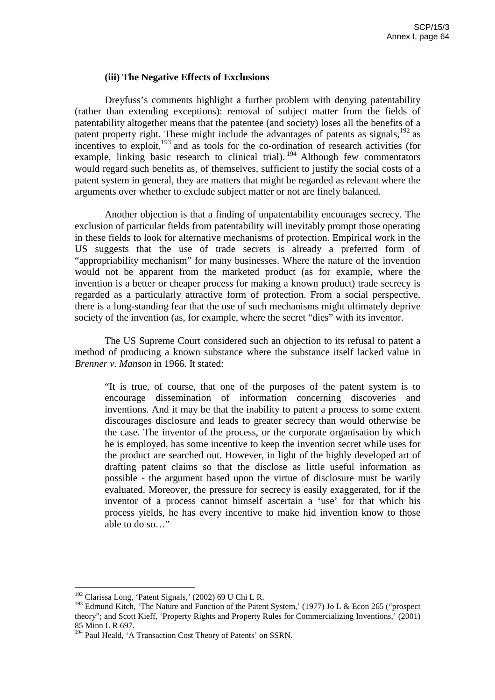### **(iii) The Negative Effects of Exclusions**

Dreyfuss's comments highlight a further problem with denying patentability (rather than extending exceptions): removal of subject matter from the fields of patentability altogether means that the patentee (and society) loses all the benefits of a patent property right. These might include the advantages of patents as signals, <sup>192</sup> as incentives to exploit, <sup>193</sup> and as tools for the co-ordination of research activities (for example, linking basic research to clinical trial).<sup>194</sup> Although few commentators would regard such benefits as, of themselves, sufficient to justify the social costs of a patent system in general, they are matters that might be regarded as relevant where the arguments over whether to exclude subject matter or not are finely balanced.

Another objection is that a finding of unpatentability encourages secrecy. The exclusion of particular fields from patentability will inevitably prompt those operating in these fields to look for alternative mechanisms of protection. Empirical work in the US suggests that the use of trade secrets is already a preferred form of "appropriability mechanism" for many businesses. Where the nature of the invention would not be apparent from the marketed product (as for example, where the invention is a better or cheaper process for making a known product) trade secrecy is regarded as a particularly attractive form of protection. From a social perspective, there is a long-standing fear that the use of such mechanisms might ultimately deprive society of the invention (as, for example, where the secret "dies" with its inventor.

The US Supreme Court considered such an objection to its refusal to patent a method of producing a known substance where the substance itself lacked value in *Brenner v. Manson* in 1966. It stated:

"It is true, of course, that one of the purposes of the patent system is to encourage dissemination of information concerning discoveries and inventions. And it may be that the inability to patent a process to some extent discourages disclosure and leads to greater secrecy than would otherwise be the case. The inventor of the process, or the corporate organisation by which he is employed, has some incentive to keep the invention secret while uses for the product are searched out. However, in light of the highly developed art of drafting patent claims so that the disclose as little useful information as possible - the argument based upon the virtue of disclosure must be warily evaluated. Moreover, the pressure for secrecy is easily exaggerated, for if the inventor of a process cannot himself ascertain a 'use' for that which his process yields, he has every incentive to make hid invention know to those able to do so  $\cdots$ 

<sup>&</sup>lt;sup>192</sup> Clarissa Long, 'Patent Signals,' (2002) 69 U Chi L R.<br><sup>193</sup> Edmund Kitch, 'The Nature and Function of the Patent System,' (1977) Jo L & Econ 265 ("prospect theory"; and Scott Kieff, 'Property Rights and Property Rules for Commercializing Inventions,' (2001)

<sup>85</sup> Minn L R 697.<br><sup>194</sup> Paul Heald, 'A Transaction Cost Theory of Patents' on SSRN.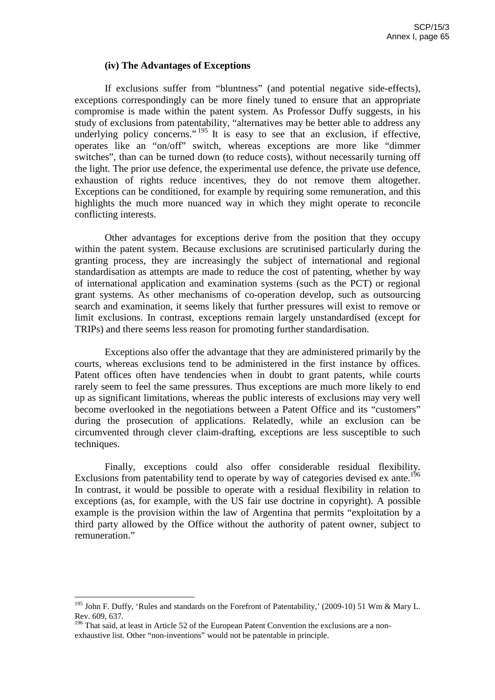### **(iv) The Advantages of Exceptions**

If exclusions suffer from "bluntness" (and potential negative side-effects), exceptions correspondingly can be more finely tuned to ensure that an appropriate compromise is made within the patent system. As Professor Duffy suggests, in his study of exclusions from patentability, "alternatives may be better able to address any underlying policy concerns."  $195$  It is easy to see that an exclusion, if effective, operates like an "on/off" switch, whereas exceptions are more like "dimmer switches", than can be turned down (to reduce costs), without necessarily turning off the light. The prior use defence, the experimental use defence, the private use defence, exhaustion of rights reduce incentives, they do not remove them altogether. Exceptions can be conditioned, for example by requiring some remuneration, and this highlights the much more nuanced way in which they might operate to reconcile conflicting interests.

Other advantages for exceptions derive from the position that they occupy within the patent system. Because exclusions are scrutinised particularly during the granting process, they are increasingly the subject of international and regional standardisation as attempts are made to reduce the cost of patenting, whether by way of international application and examination systems (such as the PCT) or regional grant systems. As other mechanisms of co-operation develop, such as outsourcing search and examination, it seems likely that further pressures will exist to remove or limit exclusions. In contrast, exceptions remain largely unstandardised (except for TRIPs) and there seems less reason for promoting further standardisation.

Exceptions also offer the advantage that they are administered primarily by the courts, whereas exclusions tend to be administered in the first instance by offices. Patent offices often have tendencies when in doubt to grant patents, while courts rarely seem to feel the same pressures. Thus exceptions are much more likely to end up as significant limitations, whereas the public interests of exclusions may very well become overlooked in the negotiations between a Patent Office and its "customers" during the prosecution of applications. Relatedly, while an exclusion can be circumvented through clever claim-drafting, exceptions are less susceptible to such techniques.

Finally, exceptions could also offer considerable residual flexibility. Exclusions from patentability tend to operate by way of categories devised ex ante.<sup>196</sup> In contrast, it would be possible to operate with a residual flexibility in relation to exceptions (as, for example, with the US fair use doctrine in copyright). A possible example is the provision within the law of Argentina that permits "exploitation by a third party allowed by the Office without the authority of patent owner, subject to remuneration"

<sup>&</sup>lt;sup>195</sup> John F. Duffy, 'Rules and standards on the Forefront of Patentability,' (2009-10) 51 Wm & Mary L. Rev. 609, 637.

 $196$  That said, at least in Article 52 of the European Patent Convention the exclusions are a nonexhaustive list. Other "non-inventions" would not be patentable in principle.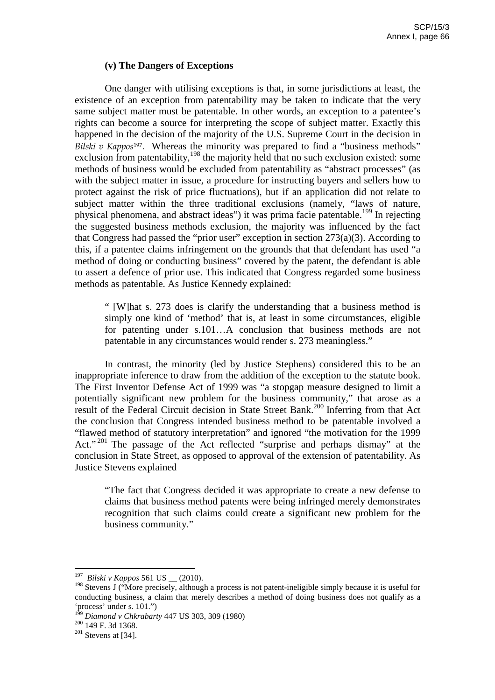#### **(v) The Dangers of Exceptions**

One danger with utilising exceptions is that, in some jurisdictions at least, the existence of an exception from patentability may be taken to indicate that the very same subject matter must be patentable. In other words, an exception to a patentee's rights can become a source for interpreting the scope of subject matter. Exactly this happened in the decision of the majority of the U.S. Supreme Court in the decision in *Bilski v Kappos*<sup>197</sup>. Whereas the minority was prepared to find a "business methods" exclusion from patentability,<sup>198</sup> the majority held that no such exclusion existed: some methods of business would be excluded from patentability as "abstract processes" (as with the subject matter in issue, a procedure for instructing buyers and sellers how to protect against the risk of price fluctuations), but if an application did not relate to subject matter within the three traditional exclusions (namely, "laws of nature, physical phenomena, and abstract ideas") it was prima facie patentable.<sup>199</sup> In rejecting the suggested business methods exclusion, the majority was influenced by the fact that Congress had passed the "prior user" exception in section 273(a)(3). According to this, if a patentee claims infringement on the grounds that that defendant has used "a method of doing or conducting business" covered by the patent, the defendant is able to assert a defence of prior use. This indicated that Congress regarded some business methods as patentable. As Justice Kennedy explained:

" [W]hat s. 273 does is clarify the understanding that a business method is simply one kind of 'method' that is, at least in some circumstances, eligible for patenting under s.101…A conclusion that business methods are not patentable in any circumstances would render s. 273 meaningless."

In contrast, the minority (led by Justice Stephens) considered this to be an inappropriate inference to draw from the addition of the exception to the statute book. The First Inventor Defense Act of 1999 was "a stopgap measure designed to limit a potentially significant new problem for the business community," that arose as a result of the Federal Circuit decision in State Street Bank. <sup>200</sup> Inferring from that Act the conclusion that Congress intended business method to be patentable involved a "flawed method of statutory interpretation" and ignored "the motivation for the 1999 Act."<sup>201</sup> The passage of the Act reflected "surprise and perhaps dismay" at the conclusion in State Street, as opposed to approval of the extension of patentability. As Justice Stevens explained

"The fact that Congress decided it was appropriate to create a new defense to claims that business method patents were being infringed merely demonstrates recognition that such claims could create a significant new problem for the business community."

<sup>&</sup>lt;sup>197</sup> *Bilski v Kappos* 561 US  $\_\_$  (2010).<br><sup>198</sup> Stevens J ("More precisely, although a process is not patent-ineligible simply because it is useful for conducting business, a claim that merely describes a method of doing business does not qualify as a 'process' under s. 101.")

<sup>&</sup>lt;sup>199</sup> *Diamond v Chkrabarty* 447 US 303, 309 (1980)<br><sup>200</sup> 149 F. 3d 1368. <sup>201</sup> Stevens at [34].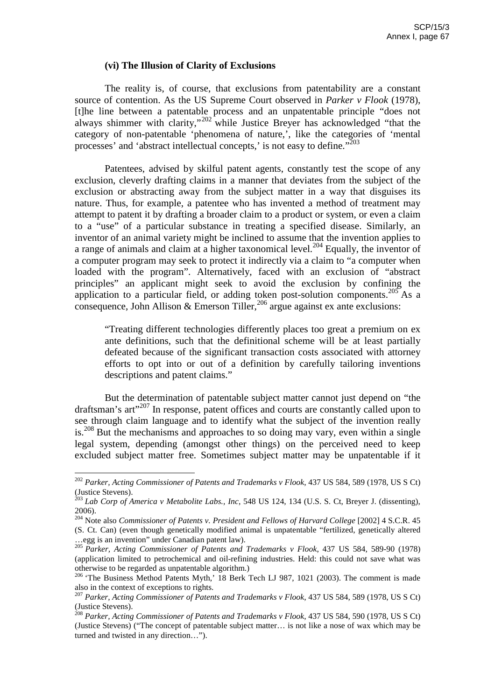## **(vi) The Illusion of Clarity of Exclusions**

The reality is, of course, that exclusions from patentability are a constant source of contention. As the US Supreme Court observed in *Parker v Flook* (1978), [t]he line between a patentable process and an unpatentable principle "does not always shimmer with clarity,"<sup>202</sup> while Justice Breyer has acknowledged "that the category of non-patentable 'phenomena of nature,', like the categories of 'mental processes' and 'abstract intellectual concepts,' is not easy to define."<sup>203</sup>

Patentees, advised by skilful patent agents, constantly test the scope of any exclusion, cleverly drafting claims in a manner that deviates from the subject of the exclusion or abstracting away from the subject matter in a way that disguises its nature. Thus, for example, a patentee who has invented a method of treatment may attempt to patent it by drafting a broader claim to a product or system, or even a claim to a "use" of a particular substance in treating a specified disease. Similarly, an inventor of an animal variety might be inclined to assume that the invention applies to a range of animals and claim at a higher taxonomical level.<sup>204</sup> Equally, the inventor of a computer program may seek to protect it indirectly via a claim to "a computer when loaded with the program". Alternatively, faced with an exclusion of "abstract principles" an applicant might seek to avoid the exclusion by confining the application to a particular field, or adding token post-solution components.<sup>205</sup> As a consequence, John Allison & Emerson Tiller, <sup>206</sup> argue against ex ante exclusions:

"Treating different technologies differently places too great a premium on ex ante definitions, such that the definitional scheme will be at least partially defeated because of the significant transaction costs associated with attorney efforts to opt into or out of a definition by carefully tailoring inventions descriptions and patent claims."

But the determination of patentable subject matter cannot just depend on "the draftsman's art"<sup>207</sup> In response, patent offices and courts are constantly called upon to see through claim language and to identify what the subject of the invention really is.<sup>208</sup> But the mechanisms and approaches to so doing may vary, even within a single legal system, depending (amongst other things) on the perceived need to keep excluded subject matter free. Sometimes subject matter may be unpatentable if it

<sup>202</sup> *Parker, Acting Commissioner of Patents and Trademarks v Flook*, 437 US 584, 589 (1978, US S Ct)

<sup>(</sup>Justice Stevens). <sup>203</sup> *Lab Corp of America <sup>v</sup> Metabolite Labs., Inc*, <sup>548</sup> US 124, <sup>134</sup> (U.S. S. Ct, Breyer J. (dissenting), 2006). <sup>204</sup> Note also *Commissioner of Patents v. President and Fellows of Harvard College* [2002] <sup>4</sup> S.C.R. <sup>45</sup>

<sup>(</sup>S. Ct. Can) (even though genetically modified animal is unpatentable "fertilized, genetically altered …egg is an invention" under Canadian patent law). <sup>205</sup> *Parker, Acting Commissioner of Patents and Trademarks <sup>v</sup> Flook*, <sup>437</sup> US 584, 589-90 (1978)

<sup>(</sup>application limited to petrochemical and oil-refining industries. Held: this could not save what was

<sup>&</sup>lt;sup>206</sup> 'The Business Method Patents Myth,' 18 Berk Tech LJ 987, 1021 (2003). The comment is made also in the context of exceptions to rights.

also in the context of exceptions to rights. <sup>207</sup> *Parker, Acting Commissioner of Patents and Trademarks <sup>v</sup> Flook*, <sup>437</sup> US 584, <sup>589</sup> (1978, US <sup>S</sup> Ct) (Justice Stevens). <sup>208</sup> *Parker, Acting Commissioner of Patents and Trademarks <sup>v</sup> Flook*, <sup>437</sup> US 584, <sup>590</sup> (1978, US <sup>S</sup> Ct)

<sup>(</sup>Justice Stevens) ("The concept of patentable subject matter… is not like a nose of wax which may be turned and twisted in any direction…").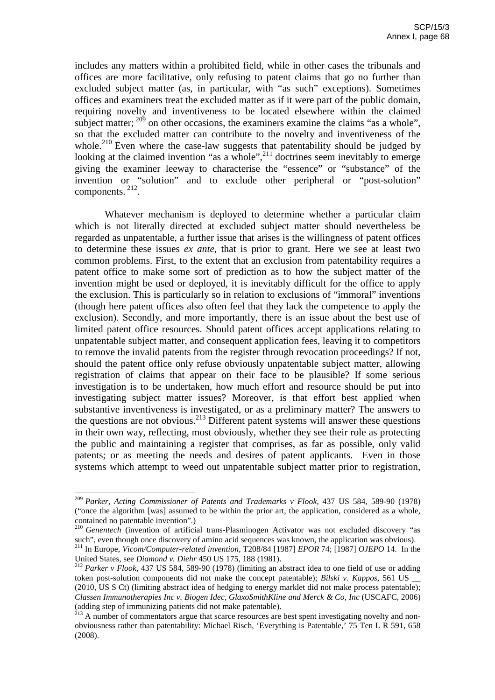includes any matters within a prohibited field, while in other cases the tribunals and offices are more facilitative, only refusing to patent claims that go no further than excluded subject matter (as, in particular, with "as such" exceptions). Sometimes offices and examiners treat the excluded matter as if it were part of the public domain, requiring novelty and inventiveness to be located elsewhere within the claimed subject matter;  $^{209}$  on other occasions, the examiners examine the claims "as a whole", so that the excluded matter can contribute to the novelty and inventiveness of the whole.<sup>210</sup> Even where the case-law suggests that patentability should be judged by looking at the claimed invention "as a whole",<sup>211</sup> doctrines seem inevitably to emerge giving the examiner leeway to characterise the "essence" or "substance" of the invention or "solution" and to exclude other peripheral or "post-solution" components.<sup>212</sup>.

Whatever mechanism is deployed to determine whether a particular claim which is not literally directed at excluded subject matter should nevertheless be regarded as unpatentable, a further issue that arises is the willingness of patent offices to determine these issues *ex ante*, that is prior to grant. Here we see at least two common problems. First, to the extent that an exclusion from patentability requires a patent office to make some sort of prediction as to how the subject matter of the invention might be used or deployed, it is inevitably difficult for the office to apply the exclusion. This is particularly so in relation to exclusions of "immoral" inventions (though here patent offices also often feel that they lack the competence to apply the exclusion). Secondly, and more importantly, there is an issue about the best use of limited patent office resources. Should patent offices accept applications relating to unpatentable subject matter, and consequent application fees, leaving it to competitors to remove the invalid patents from the register through revocation proceedings? If not, should the patent office only refuse obviously unpatentable subject matter, allowing registration of claims that appear on their face to be plausible? If some serious investigation is to be undertaken, how much effort and resource should be put into investigating subject matter issues? Moreover, is that effort best applied when substantive inventiveness is investigated, or as a preliminary matter? The answers to the questions are not obvious.<sup>213</sup> Different patent systems will answer these questions in their own way, reflecting, most obviously, whether they see their role as protecting the public and maintaining a register that comprises, as far as possible, only valid patents; or as meeting the needs and desires of patent applicants. Even in those systems which attempt to weed out unpatentable subject matter prior to registration,

<sup>209</sup> *Parker, Acting Commissioner of Patents and Trademarks v Flook*, 437 US 584, 589-90 (1978) ("once the algorithm [was] assumed to be within the prior art, the application, considered as a whole, contained no patentable invention".)<br><sup>210</sup> *Genentech* (invention of artificial trans-Plasminogen Activator was not excluded discovery "as

such", even though once discovery of amino acid sequences was known, the application was obvious).<br><sup>211</sup> In Europe, *Vicom/Computer-related invention*, T208/84 [1987] *EPOR* 74; [1987] *OJEPO* 14. In the United States, see

<sup>&</sup>lt;sup>212</sup> *Parker v Flook*, 437 US 584, 589-90 (1978) (limiting an abstract idea to one field of use or adding token post-solution components did not make the concept patentable); *Bilski v. Kappos*, 561 US \_\_ (2010, US S Ct) (limiting abstract idea of hedging to energy marklet did not make process patentable); *Classen Immunotherapies Inc v. Biogen Idec, GlaxoSmithKline and Merck & Co, Inc* (USCAFC, 2006) (adding step of immunizing patients did not make patentable). <sup>213</sup> <sup>A</sup> number of commentators argue that scarce resources are best spent investigating novelty and non-

obviousness rather than patentability: Michael Risch, 'Everything is Patentable,' 75 Ten L R 591, 658 (2008).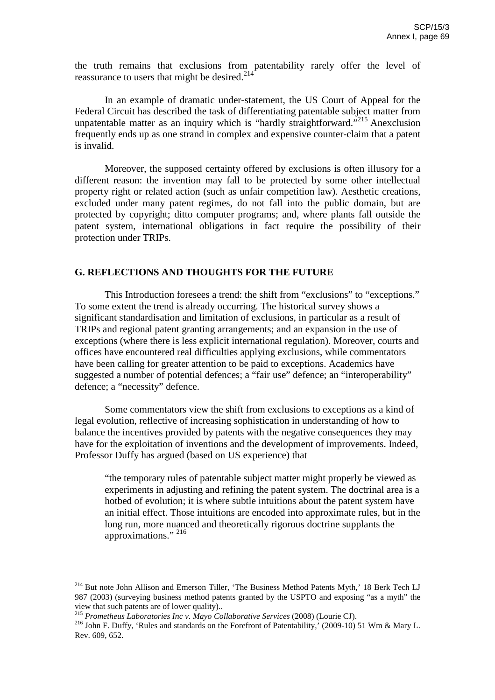the truth remains that exclusions from patentability rarely offer the level of reassurance to users that might be desired.<sup>214</sup>

In an example of dramatic under-statement, the US Court of Appeal for the Federal Circuit has described the task of differentiating patentable subject matter from unpatentable matter as an inquiry which is "hardly straightforward."<sup>215</sup> Anexclusion frequently ends up as one strand in complex and expensive counter-claim that a patent is invalid.

Moreover, the supposed certainty offered by exclusions is often illusory for a different reason: the invention may fall to be protected by some other intellectual property right or related action (such as unfair competition law). Aesthetic creations, excluded under many patent regimes, do not fall into the public domain, but are protected by copyright; ditto computer programs; and, where plants fall outside the patent system, international obligations in fact require the possibility of their protection under TRIPs.

# **G. REFLECTIONS AND THOUGHTS FOR THE FUTURE**

This Introduction foresees a trend: the shift from "exclusions" to "exceptions." To some extent the trend is already occurring. The historical survey shows a significant standardisation and limitation of exclusions, in particular as a result of TRIPs and regional patent granting arrangements; and an expansion in the use of exceptions (where there is less explicit international regulation). Moreover, courts and offices have encountered real difficulties applying exclusions, while commentators have been calling for greater attention to be paid to exceptions. Academics have suggested a number of potential defences; a "fair use" defence; an "interoperability" defence; a "necessity" defence.

Some commentators view the shift from exclusions to exceptions as a kind of legal evolution, reflective of increasing sophistication in understanding of how to balance the incentives provided by patents with the negative consequences they may have for the exploitation of inventions and the development of improvements. Indeed, Professor Duffy has argued (based on US experience) that

"the temporary rules of patentable subject matter might properly be viewed as experiments in adjusting and refining the patent system. The doctrinal area is a hotbed of evolution; it is where subtle intuitions about the patent system have an initial effect. Those intuitions are encoded into approximate rules, but in the long run, more nuanced and theoretically rigorous doctrine supplants the approximations." 216

<sup>&</sup>lt;sup>214</sup> But note John Allison and Emerson Tiller, 'The Business Method Patents Myth,' 18 Berk Tech LJ 987 (2003) (surveying business method patents granted by the USPTO and exposing "as a myth" the view that such patents are of lower quality)..<br>
<sup>215</sup> Prometheus Laboratories Inc v. Mayo Collaborative Services (2008) (Lourie CJ).<br>
<sup>216</sup> John F. Duffy, 'Rules and standards on the Forefront of Patentability,' (2009-10)

Rev. 609, 652.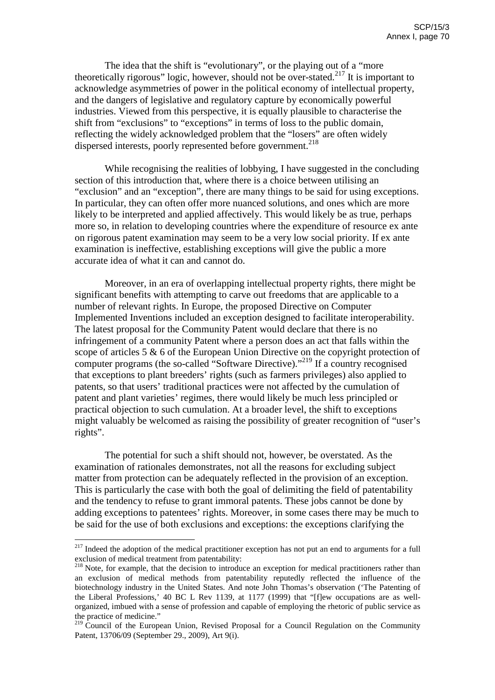The idea that the shift is "evolutionary", or the playing out of a "more theoretically rigorous" logic, however, should not be over-stated.<sup>217</sup> It is important to acknowledge asymmetries of power in the political economy of intellectual property, and the dangers of legislative and regulatory capture by economically powerful industries. Viewed from this perspective, it is equally plausible to characterise the shift from "exclusions" to "exceptions" in terms of loss to the public domain, reflecting the widely acknowledged problem that the "losers" are often widely dispersed interests, poorly represented before government.<sup>218</sup>

While recognising the realities of lobbying, I have suggested in the concluding section of this introduction that, where there is a choice between utilising an "exclusion" and an "exception", there are many things to be said for using exceptions. In particular, they can often offer more nuanced solutions, and ones which are more likely to be interpreted and applied affectively. This would likely be as true, perhaps more so, in relation to developing countries where the expenditure of resource ex ante on rigorous patent examination may seem to be a very low social priority. If ex ante examination is ineffective, establishing exceptions will give the public a more accurate idea of what it can and cannot do.

Moreover, in an era of overlapping intellectual property rights, there might be significant benefits with attempting to carve out freedoms that are applicable to a number of relevant rights. In Europe, the proposed Directive on Computer Implemented Inventions included an exception designed to facilitate interoperability. The latest proposal for the Community Patent would declare that there is no infringement of a community Patent where a person does an act that falls within the scope of articles 5 & 6 of the European Union Directive on the copyright protection of computer programs (the so-called "Software Directive)."<sup>219</sup> If a country recognised that exceptions to plant breeders' rights (such as farmers privileges) also applied to patents, so that users' traditional practices were not affected by the cumulation of patent and plant varieties' regimes, there would likely be much less principled or practical objection to such cumulation. At a broader level, the shift to exceptions might valuably be welcomed as raising the possibility of greater recognition of "user's rights".

The potential for such a shift should not, however, be overstated. As the examination of rationales demonstrates, not all the reasons for excluding subject matter from protection can be adequately reflected in the provision of an exception. This is particularly the case with both the goal of delimiting the field of patentability and the tendency to refuse to grant immoral patents. These jobs cannot be done by adding exceptions to patentees' rights. Moreover, in some cases there may be much to be said for the use of both exclusions and exceptions: the exceptions clarifying the

<sup>&</sup>lt;sup>217</sup> Indeed the adoption of the medical practitioner exception has not put an end to arguments for a full exclusion of medical treatment from patentability:<br><sup>218</sup> Note, for example, that the decision to introduce an exception for medical practitioners rather than

an exclusion of medical methods from patentability reputedly reflected the influence of the biotechnology industry in the United States. And note John Thomas's observation ('The Patenting of the Liberal Professions,' 40 BC L Rev 1139, at 1177 (1999) that "[f]ew occupations are as wellorganized, imbued with a sense of profession and capable of employing the rhetoric of public service as

the practice of medicine."<br><sup>219</sup> Council of the European Union, Revised Proposal for a Council Regulation on the Community Patent, 13706/09 (September 29., 2009), Art 9(i).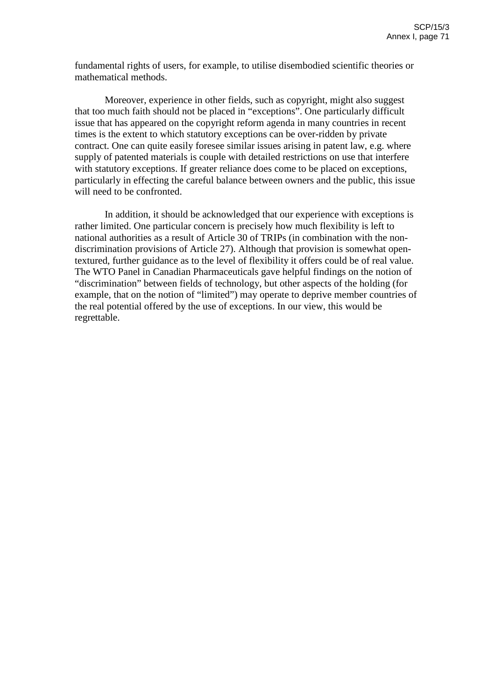fundamental rights of users, for example, to utilise disembodied scientific theories or mathematical methods.

Moreover, experience in other fields, such as copyright, might also suggest that too much faith should not be placed in "exceptions". One particularly difficult issue that has appeared on the copyright reform agenda in many countries in recent times is the extent to which statutory exceptions can be over-ridden by private contract. One can quite easily foresee similar issues arising in patent law, e.g. where supply of patented materials is couple with detailed restrictions on use that interfere with statutory exceptions. If greater reliance does come to be placed on exceptions, particularly in effecting the careful balance between owners and the public, this issue will need to be confronted.

In addition, it should be acknowledged that our experience with exceptions is rather limited. One particular concern is precisely how much flexibility is left to national authorities as a result of Article 30 of TRIPs (in combination with the nondiscrimination provisions of Article 27). Although that provision is somewhat opentextured, further guidance as to the level of flexibility it offers could be of real value. The WTO Panel in Canadian Pharmaceuticals gave helpful findings on the notion of "discrimination" between fields of technology, but other aspects of the holding (for example, that on the notion of "limited") may operate to deprive member countries of the real potential offered by the use of exceptions. In our view, this would be regrettable.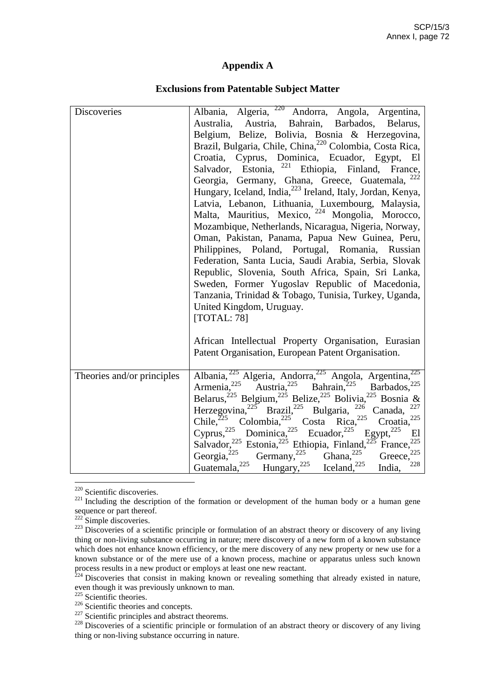# **Appendix A**

### **Exclusions from Patentable Subject Matter**

| Discoveries                | Albania, Algeria, <sup>220</sup> Andorra, Angola, Argentina,                                            |
|----------------------------|---------------------------------------------------------------------------------------------------------|
|                            | Australia, Austria, Bahrain, Barbados, Belarus,                                                         |
|                            | Belgium, Belize, Bolivia, Bosnia & Herzegovina,                                                         |
|                            | Brazil, Bulgaria, Chile, China, <sup>220</sup> Colombia, Costa Rica,                                    |
|                            | Croatia, Cyprus, Dominica, Ecuador, Egypt, El                                                           |
|                            | Salvador, Estonia, <sup>221</sup><br>Ethiopia, Finland, France,                                         |
|                            | Georgia, Germany, Ghana, Greece, Guatemala, <sup>222</sup>                                              |
|                            | Hungary, Iceland, India, <sup>223</sup> Ireland, Italy, Jordan, Kenya,                                  |
|                            | Latvia, Lebanon, Lithuania, Luxembourg, Malaysia,                                                       |
|                            | Malta, Mauritius, Mexico, <sup>224</sup> Mongolia, Morocco,                                             |
|                            | Mozambique, Netherlands, Nicaragua, Nigeria, Norway,                                                    |
|                            | Oman, Pakistan, Panama, Papua New Guinea, Peru,                                                         |
|                            | Philippines, Poland, Portugal, Romania, Russian                                                         |
|                            | Federation, Santa Lucia, Saudi Arabia, Serbia, Slovak                                                   |
|                            | Republic, Slovenia, South Africa, Spain, Sri Lanka,                                                     |
|                            | Sweden, Former Yugoslav Republic of Macedonia,                                                          |
|                            | Tanzania, Trinidad & Tobago, Tunisia, Turkey, Uganda,                                                   |
|                            | United Kingdom, Uruguay.                                                                                |
|                            | [TOTAL: 78]                                                                                             |
|                            |                                                                                                         |
|                            | African Intellectual Property Organisation, Eurasian                                                    |
|                            | Patent Organisation, European Patent Organisation.                                                      |
| Theories and/or principles | Albania, <sup>225</sup> Algeria, Andorra, <sup>225</sup> Angola, Argentina, <sup>225</sup>              |
|                            | Armenia, $225$ Austria, $225$ Bahrain, $225$ Barbados, $225$                                            |
|                            | Belarus, <sup>225</sup> Belgium, <sup>225</sup> Belize, <sup>225</sup> Bolivia, <sup>225</sup> Bosnia & |
|                            | Herzegovina, $225$ Brazil, $225$ Bulgaria, $226$ Canada,<br>227                                         |
|                            | Chile, <sup>225</sup> Colombia, <sup>225</sup> Costa Rica, <sup>225</sup><br>Croatia, <sup>225</sup>    |
|                            | Cyprus, <sup>225</sup> Dominica, <sup>225</sup> Ecuador, <sup>225</sup> Egypt, <sup>225</sup><br>El     |
|                            | Salvador, $^{225}$ Estonia, $^{225}$ Ethiopia, Finland, $^{225}$ France, $^{225}$                       |
|                            | Greece, $225$<br>Georgia, $225$ Germany, $225$<br>Ghana, $225$                                          |
|                            | 228<br>Guatemala, $^{225}$ Hungary, $^{225}$ Iceland, $^{225}$<br>India,                                |

<sup>&</sup>lt;sup>220</sup> Scientific discoveries.<br><sup>221</sup> Including the description of the formation or development of the human body or a human gene<br>sequence or part thereof.<br><sup>222</sup> Simple discoveries.

 $223$  Discoveries of a scientific principle or formulation of an abstract theory or discovery of any living thing or non-living substance occurring in nature; mere discovery of a new form of a known substance which does not enhance known efficiency, or the mere discovery of any new property or new use for a known substance or of the mere use of a known process, machine or apparatus unless such known

process results in a new product or employs at least one new reactant.<br><sup>224</sup> Discoveries that consist in making known or revealing something that already existed in nature, even though it was previously unknown to man.<br><sup>2</sup>

<sup>226</sup> Scientific theories and concepts.<br>
227 Scientific principles and abstract theorems.<br>
228 Discoveries of a scientific principle or formulation of an abstract theory or discovery of any living thing or non-living substance occurring in nature.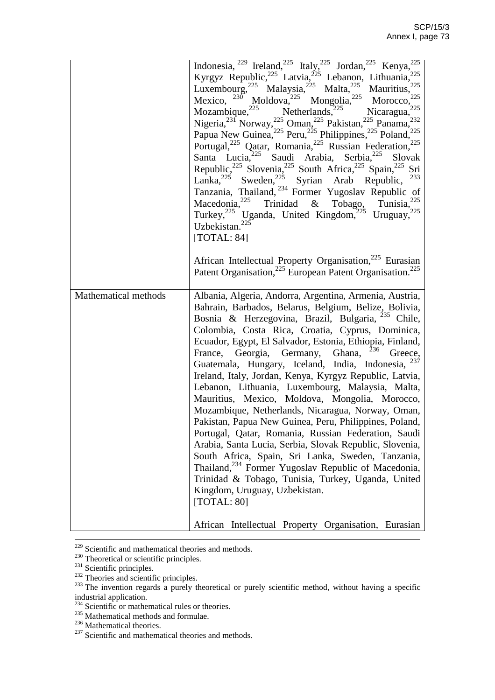|                      | Indonesia, <sup>229</sup> Ireland, <sup>225</sup> Italy, <sup>225</sup> Jordan, <sup>225</sup> Kenya, <sup>225</sup><br>225<br>Kyrgyz Republic, <sup>225</sup> Latvia, <sup>225</sup> Lebanon, Lithuania, <sup>225</sup> Luxembourg, <sup>225</sup> Malaysia, <sup>225</sup> Malta, <sup>225</sup> Mauritius, <sup>225</sup><br>Mexico, $^{230}$ Moldova, $^{225}$ Mongolia, $^{225}$ Morocco, $^{225}$<br>Mozambique, $^{225}$ Netherlands, $^{225}$ Nicaragua, $^{225}$<br>Nigeria, $^{231}$ Norway, $^{225}$ Oman, $^{225}$ Pakistan, $^{225}$ Panama, $^{232}$<br>Papua New Guinea, <sup>225</sup> Peru, <sup>225</sup> Philippines, <sup>225</sup> Poland, <sup>225</sup><br>Portugal, <sup>225</sup> Qatar, Romania, <sup>225</sup> Russian Federation, <sup>225</sup><br>Santa Lucia, <sup>225</sup> Saudi Arabia, Serbia, <sup>225</sup> Slovak<br>Republic, <sup>225</sup> Slovenia, <sup>225</sup> South Africa, <sup>225</sup> Spain, <sup>225</sup> Sri<br>Lanka, <sup>225</sup> Sweden, <sup>225</sup> Syrian Arab Republic,<br>233<br>Tanzania, Thailand, <sup>234</sup> Former Yugoslav Republic of<br>Macedonia, <sup>225</sup> Trinidad & Tobago, Tunisia, <sup>225</sup><br>Turkey, <sup>225</sup> Uganda, United Kingdom, <sup>225</sup> Uruguay, <sup>225</sup><br>Uzbekistan. <sup>225</sup><br>[TOTAL: 84]<br>African Intellectual Property Organisation, <sup>225</sup> Eurasian |
|----------------------|---------------------------------------------------------------------------------------------------------------------------------------------------------------------------------------------------------------------------------------------------------------------------------------------------------------------------------------------------------------------------------------------------------------------------------------------------------------------------------------------------------------------------------------------------------------------------------------------------------------------------------------------------------------------------------------------------------------------------------------------------------------------------------------------------------------------------------------------------------------------------------------------------------------------------------------------------------------------------------------------------------------------------------------------------------------------------------------------------------------------------------------------------------------------------------------------------------------------------------------------------------------------------------------------------------------------------------------------------------------------------------------------------------|
|                      | Patent Organisation, <sup>225</sup> European Patent Organisation. <sup>225</sup>                                                                                                                                                                                                                                                                                                                                                                                                                                                                                                                                                                                                                                                                                                                                                                                                                                                                                                                                                                                                                                                                                                                                                                                                                                                                                                                        |
| Mathematical methods | Albania, Algeria, Andorra, Argentina, Armenia, Austria,<br>Bahrain, Barbados, Belarus, Belgium, Belize, Bolivia,<br>Bosnia & Herzegovina, Brazil, Bulgaria, <sup>235</sup> Chile,<br>Colombia, Costa Rica, Croatia, Cyprus, Dominica,<br>Ecuador, Egypt, El Salvador, Estonia, Ethiopia, Finland,<br>236<br>France, Georgia, Germany, Ghana,<br>Greece,<br>Guatemala, Hungary, Iceland, India, Indonesia, 237<br>Ireland, Italy, Jordan, Kenya, Kyrgyz Republic, Latvia,<br>Lebanon, Lithuania, Luxembourg, Malaysia, Malta,<br>Mauritius, Mexico, Moldova, Mongolia, Morocco,<br>Mozambique, Netherlands, Nicaragua, Norway, Oman,<br>Pakistan, Papua New Guinea, Peru, Philippines, Poland,<br>Portugal, Qatar, Romania, Russian Federation, Saudi<br>Arabia, Santa Lucia, Serbia, Slovak Republic, Slovenia,<br>South Africa, Spain, Sri Lanka, Sweden, Tanzania,<br>Thailand, <sup>234</sup> Former Yugoslav Republic of Macedonia,<br>Trinidad & Tobago, Tunisia, Turkey, Uganda, United<br>Kingdom, Uruguay, Uzbekistan.<br>[TOTAL: 80]<br>African Intellectual Property Organisation, Eurasian                                                                                                                                                                                                                                                                                                   |

<sup>&</sup>lt;sup>229</sup> Scientific and mathematical theories and methods.<br><sup>230</sup> Theoretical or scientific principles.<br><sup>231</sup> Scientific principles.<br><sup>232</sup> Theories and scientific principles.<br><sup>232</sup> The invention regards a purely theoretical or industrial application.<br><sup>234</sup> Scientific or mathematical rules or theories.<br><sup>235</sup> Mathematical methods and formulae.<br><sup>236</sup> Scientific and mathematical theories and methods.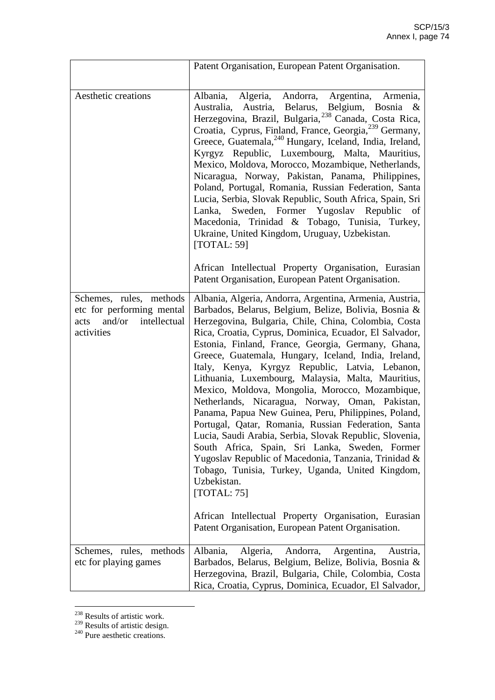|                                                                                                      | Patent Organisation, European Patent Organisation.                                                                                                                                                                                                                                                                                                                                                                                                                                                                                                                                                                                                                                                                                                                                                                                                                                                                                                                                                                                                  |
|------------------------------------------------------------------------------------------------------|-----------------------------------------------------------------------------------------------------------------------------------------------------------------------------------------------------------------------------------------------------------------------------------------------------------------------------------------------------------------------------------------------------------------------------------------------------------------------------------------------------------------------------------------------------------------------------------------------------------------------------------------------------------------------------------------------------------------------------------------------------------------------------------------------------------------------------------------------------------------------------------------------------------------------------------------------------------------------------------------------------------------------------------------------------|
| Aesthetic creations                                                                                  | Algeria, Andorra, Argentina, Armenia,<br>Albania,<br>Australia, Austria, Belarus, Belgium, Bosnia &<br>Herzegovina, Brazil, Bulgaria, <sup>238</sup> Canada, Costa Rica,<br>Croatia, Cyprus, Finland, France, Georgia, <sup>239</sup> Germany,<br>Greece, Guatemala, <sup>240</sup> Hungary, Iceland, India, Ireland,<br>Kyrgyz Republic, Luxembourg, Malta, Mauritius,<br>Mexico, Moldova, Morocco, Mozambique, Netherlands,<br>Nicaragua, Norway, Pakistan, Panama, Philippines,<br>Poland, Portugal, Romania, Russian Federation, Santa<br>Lucia, Serbia, Slovak Republic, South Africa, Spain, Sri<br>Sweden, Former Yugoslav Republic<br>Lanka,<br>of<br>Macedonia, Trinidad & Tobago, Tunisia, Turkey,<br>Ukraine, United Kingdom, Uruguay, Uzbekistan.<br>[TOTAL: 59]<br>African Intellectual Property Organisation, Eurasian<br>Patent Organisation, European Patent Organisation.                                                                                                                                                          |
| Schemes, rules, methods<br>etc for performing mental<br>and/or<br>intellectual<br>acts<br>activities | Albania, Algeria, Andorra, Argentina, Armenia, Austria,<br>Barbados, Belarus, Belgium, Belize, Bolivia, Bosnia &<br>Herzegovina, Bulgaria, Chile, China, Colombia, Costa<br>Rica, Croatia, Cyprus, Dominica, Ecuador, El Salvador,<br>Estonia, Finland, France, Georgia, Germany, Ghana,<br>Greece, Guatemala, Hungary, Iceland, India, Ireland,<br>Italy, Kenya, Kyrgyz Republic, Latvia, Lebanon,<br>Lithuania, Luxembourg, Malaysia, Malta, Mauritius,<br>Mexico, Moldova, Mongolia, Morocco, Mozambique,<br>Netherlands, Nicaragua, Norway, Oman, Pakistan,<br>Panama, Papua New Guinea, Peru, Philippines, Poland,<br>Portugal, Qatar, Romania, Russian Federation, Santa<br>Lucia, Saudi Arabia, Serbia, Slovak Republic, Slovenia,<br>South Africa, Spain, Sri Lanka, Sweden, Former<br>Yugoslav Republic of Macedonia, Tanzania, Trinidad &<br>Tobago, Tunisia, Turkey, Uganda, United Kingdom,<br>Uzbekistan.<br>[TOTAL: 75]<br>African Intellectual Property Organisation, Eurasian<br>Patent Organisation, European Patent Organisation. |
| Schemes, rules, methods<br>etc for playing games                                                     | Algeria,<br>Andorra,<br>Albania,<br>Argentina,<br>Austria,<br>Barbados, Belarus, Belgium, Belize, Bolivia, Bosnia &<br>Herzegovina, Brazil, Bulgaria, Chile, Colombia, Costa<br>Rica, Croatia, Cyprus, Dominica, Ecuador, El Salvador,                                                                                                                                                                                                                                                                                                                                                                                                                                                                                                                                                                                                                                                                                                                                                                                                              |

 $\frac{^{238}}{^{239}}$  Results of artistic work.<br><sup>239</sup> Results of artistic design.<br><sup>240</sup> Pure aesthetic creations.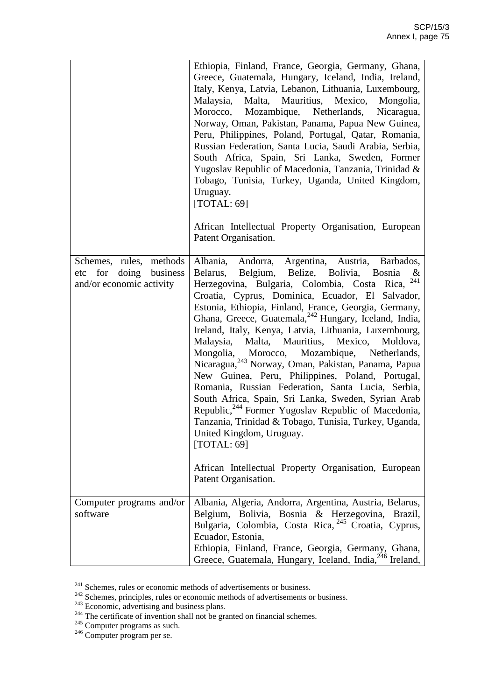|                                                                               | Ethiopia, Finland, France, Georgia, Germany, Ghana,<br>Greece, Guatemala, Hungary, Iceland, India, Ireland,<br>Italy, Kenya, Latvia, Lebanon, Lithuania, Luxembourg,<br>Malta, Mauritius, Mexico, Mongolia,<br>Malaysia,<br>Morocco,<br>Mozambique, Netherlands, Nicaragua,<br>Norway, Oman, Pakistan, Panama, Papua New Guinea,<br>Peru, Philippines, Poland, Portugal, Qatar, Romania,<br>Russian Federation, Santa Lucia, Saudi Arabia, Serbia,<br>South Africa, Spain, Sri Lanka, Sweden, Former<br>Yugoslav Republic of Macedonia, Tanzania, Trinidad &<br>Tobago, Tunisia, Turkey, Uganda, United Kingdom,<br>Uruguay.<br>[TOTAL: 69]<br>African Intellectual Property Organisation, European<br>Patent Organisation.                                                                                                                                                                                                                                                                  |
|-------------------------------------------------------------------------------|----------------------------------------------------------------------------------------------------------------------------------------------------------------------------------------------------------------------------------------------------------------------------------------------------------------------------------------------------------------------------------------------------------------------------------------------------------------------------------------------------------------------------------------------------------------------------------------------------------------------------------------------------------------------------------------------------------------------------------------------------------------------------------------------------------------------------------------------------------------------------------------------------------------------------------------------------------------------------------------------|
| Schemes, rules, methods<br>etc for doing business<br>and/or economic activity | Albania, Andorra, Argentina, Austria, Barbados,<br>Belarus, Belgium, Belize, Bolivia, Bosnia<br>$\&$<br>Herzegovina, Bulgaria, Colombia, Costa Rica, 241<br>Croatia, Cyprus, Dominica, Ecuador, El Salvador,<br>Estonia, Ethiopia, Finland, France, Georgia, Germany,<br>Ghana, Greece, Guatemala, <sup>242</sup> Hungary, Iceland, India,<br>Ireland, Italy, Kenya, Latvia, Lithuania, Luxembourg,<br>Malaysia, Malta, Mauritius, Mexico, Moldova,<br>Mongolia, Morocco, Mozambique, Netherlands,<br>Nicaragua, <sup>243</sup> Norway, Oman, Pakistan, Panama, Papua<br>New Guinea, Peru, Philippines, Poland, Portugal,<br>Romania, Russian Federation, Santa Lucia, Serbia,<br>South Africa, Spain, Sri Lanka, Sweden, Syrian Arab<br>Republic, <sup>244</sup> Former Yugoslav Republic of Macedonia,<br>Tanzania, Trinidad & Tobago, Tunisia, Turkey, Uganda,<br>United Kingdom, Uruguay.<br>[TOTAL: 69]<br>African Intellectual Property Organisation, European<br>Patent Organisation. |
| Computer programs and/or<br>software                                          | Albania, Algeria, Andorra, Argentina, Austria, Belarus,<br>Belgium, Bolivia, Bosnia & Herzegovina, Brazil,<br>Bulgaria, Colombia, Costa Rica, 245 Croatia, Cyprus,<br>Ecuador, Estonia,<br>Ethiopia, Finland, France, Georgia, Germany, Ghana,<br>Greece, Guatemala, Hungary, Iceland, India, <sup>246</sup> Ireland,                                                                                                                                                                                                                                                                                                                                                                                                                                                                                                                                                                                                                                                                        |

<sup>&</sup>lt;sup>241</sup> Schemes, rules or economic methods of advertisements or business.<br><sup>242</sup> Schemes, principles, rules or economic methods of advertisements or business.<br><sup>243</sup> Economic, advertising and business plans.<br><sup>244</sup> The certifi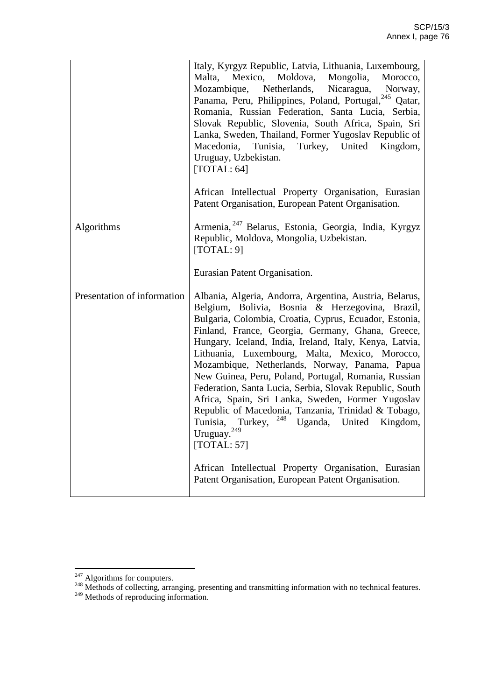|                             | Italy, Kyrgyz Republic, Latvia, Lithuania, Luxembourg,<br>Malta,<br>Mexico, Moldova,<br>Mongolia, Morocco,<br>Netherlands,<br>Nicaragua, Norway,<br>Mozambique,<br>Panama, Peru, Philippines, Poland, Portugal, <sup>245</sup> Qatar,<br>Romania, Russian Federation, Santa Lucia, Serbia,<br>Slovak Republic, Slovenia, South Africa, Spain, Sri<br>Lanka, Sweden, Thailand, Former Yugoslav Republic of<br>Macedonia, Tunisia, Turkey, United Kingdom,<br>Uruguay, Uzbekistan.<br>[TOTAL: 64]<br>African Intellectual Property Organisation, Eurasian<br>Patent Organisation, European Patent Organisation.                                                                                                                                                                                                                                 |
|-----------------------------|-----------------------------------------------------------------------------------------------------------------------------------------------------------------------------------------------------------------------------------------------------------------------------------------------------------------------------------------------------------------------------------------------------------------------------------------------------------------------------------------------------------------------------------------------------------------------------------------------------------------------------------------------------------------------------------------------------------------------------------------------------------------------------------------------------------------------------------------------|
| Algorithms                  | Armenia, 247 Belarus, Estonia, Georgia, India, Kyrgyz<br>Republic, Moldova, Mongolia, Uzbekistan.<br>[TOTAL: 9]<br>Eurasian Patent Organisation.                                                                                                                                                                                                                                                                                                                                                                                                                                                                                                                                                                                                                                                                                              |
| Presentation of information | Albania, Algeria, Andorra, Argentina, Austria, Belarus,<br>Belgium, Bolivia, Bosnia & Herzegovina, Brazil,<br>Bulgaria, Colombia, Croatia, Cyprus, Ecuador, Estonia,<br>Finland, France, Georgia, Germany, Ghana, Greece,<br>Hungary, Iceland, India, Ireland, Italy, Kenya, Latvia,<br>Lithuania, Luxembourg, Malta, Mexico, Morocco,<br>Mozambique, Netherlands, Norway, Panama, Papua<br>New Guinea, Peru, Poland, Portugal, Romania, Russian<br>Federation, Santa Lucia, Serbia, Slovak Republic, South<br>Africa, Spain, Sri Lanka, Sweden, Former Yugoslav<br>Republic of Macedonia, Tanzania, Trinidad & Tobago,<br><sup>248</sup> Uganda, United Kingdom,<br>Tunisia, Turkey,<br>Uruguay. <sup>249</sup><br>[TOTAL: 57]<br>African Intellectual Property Organisation, Eurasian<br>Patent Organisation, European Patent Organisation. |

<sup>&</sup>lt;sup>247</sup> Algorithms for computers.<br><sup>248</sup> Methods of collecting, arranging, presenting and transmitting information with no technical features.<br><sup>249</sup> Methods of reproducing information.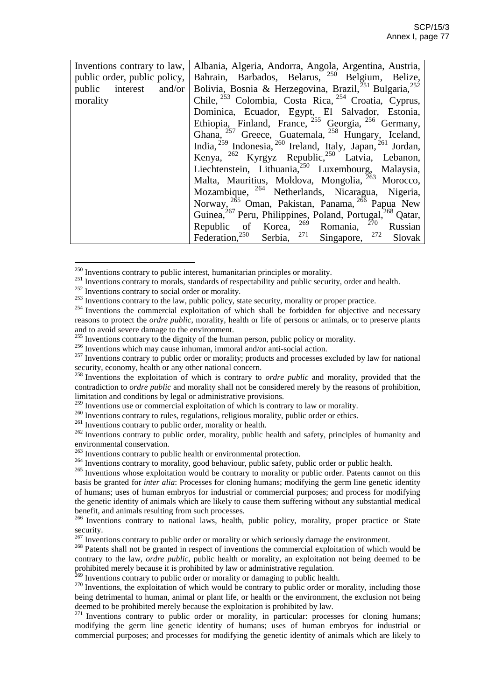|                              | Inventions contrary to law,   Albania, Algeria, Andorra, Angola, Argentina, Austria,                                                                   |
|------------------------------|--------------------------------------------------------------------------------------------------------------------------------------------------------|
| public order, public policy, | Bahrain, Barbados, Belarus, <sup>250</sup> Belgium, Belize,                                                                                            |
| public interest and/or       | Bolivia, Bosnia & Herzegovina, Brazil, <sup>251</sup> Bulgaria, <sup>252</sup>                                                                         |
| morality                     | Chile, <sup>253</sup> Colombia, Costa Rica, <sup>254</sup> Croatia, Cyprus,                                                                            |
|                              | Dominica, Ecuador, Egypt, El Salvador, Estonia,                                                                                                        |
|                              | Ethiopia, Finland, France, <sup>255</sup> Georgia, <sup>256</sup> Germany,                                                                             |
|                              | Ghana, <sup>257</sup> Greece, Guatemala, <sup>258</sup> Hungary, Iceland,                                                                              |
|                              | India, $^{259}$ Indonesia, $^{260}$ Ireland, Italy, Japan, $^{261}$ Jordan,                                                                            |
|                              | Kenya, <sup>262</sup> Kyrgyz Republic, <sup>250</sup> Latvia, Lebanon,                                                                                 |
|                              | Liechtenstein, Lithuania, <sup>250</sup> Luxembourg, Malaysia,                                                                                         |
|                              | Malta, Mauritius, Moldova, Mongolia, <sup>263</sup> Morocco,                                                                                           |
|                              | Mozambique, <sup>264</sup> Netherlands, Nicaragua, Nigeria,                                                                                            |
|                              | Norway, <sup>265</sup> Oman, Pakistan, Panama, <sup>266</sup> Papua New                                                                                |
|                              | Guinea, <sup>267</sup> Peru, Philippines, Poland, Portugal, <sup>268</sup> Qatar,<br>Republic of Korea, <sup>269</sup> Romania, <sup>270</sup> Russian |
|                              |                                                                                                                                                        |
|                              | Federation, $250$ Serbia, $271$ Singapore, $272$ Slovak                                                                                                |

<sup>259</sup> Inventions use or commercial exploitation of which is contrary to law or morality.<br><sup>260</sup> Inventions contrary to rules, regulations, religious morality, public order or ethics.<br><sup>261</sup> Inventions contrary to public ord environmental conservation.<br>
<sup>263</sup> Inventions contrary to public health or environmental protection.<br>
<sup>264</sup> Inventions contrary to morality, good behaviour, public safety, public order or public health.<br>
<sup>265</sup> Inventions w

<sup>&</sup>lt;sup>250</sup> Inventions contrary to public interest, humanitarian principles or morality.<br><sup>251</sup> Inventions contrary to morals, standards of respectability and public security, order and health.<br><sup>252</sup> Inventions contrary to socia reasons to protect the *ordre public*, morality, health or life of persons or animals, or to preserve plants

and to avoid severe damage to the environment.<br>
<sup>255</sup> Inventions contrary to the dignity of the human person, public policy or morality.<br>
<sup>256</sup> Inventions which may cause inhuman, immoral and/or anti-social action.<br>
<sup>257</sup>

<sup>&</sup>lt;sup>258</sup> Inventions the exploitation of which is contrary to *ordre public* and morality, provided that the contradiction to *ordre public* and morality shall not be considered merely by the reasons of prohibition, limitation and conditions by legal or administrative provisions.

basis be granted for *inter alia*: Processes for cloning humans; modifying the germ line genetic identity of humans; uses of human embryos for industrial or commercial purposes; and process for modifying the genetic identity of animals which are likely to cause them suffering without any substantial medical benefit, and animals resulting from such processes.<br><sup>266</sup> Inventions contrary to national laws, health, public policy, morality, proper practice or State

security.<br><sup>267</sup> Inventions contrary to public order or morality or which seriously damage the environment.<br><sup>268</sup> Patents shall not be granted in respect of inventions the commercial exploitation of which would be

contrary to the law, *ordre public*, public health or morality, an exploitation not being deemed to be prohibited merely because it is prohibited by law or administrative regulation.

 $\frac{569}{270}$  Inventions contrary to public order or morality or damaging to public health.<br><sup>270</sup> Inventions, the exploitation of which would be contrary to public order or morality, including those being detrimental to human, animal or plant life, or health or the environment, the exclusion not being deemed to be prohibited merely because the exploitation is prohibited by law.

 $\frac{271}{271}$  Inventions contrary to public order or morality, in particular: processes for cloning humans; modifying the germ line genetic identity of humans; uses of human embryos for industrial or commercial purposes; and processes for modifying the genetic identity of animals which are likely to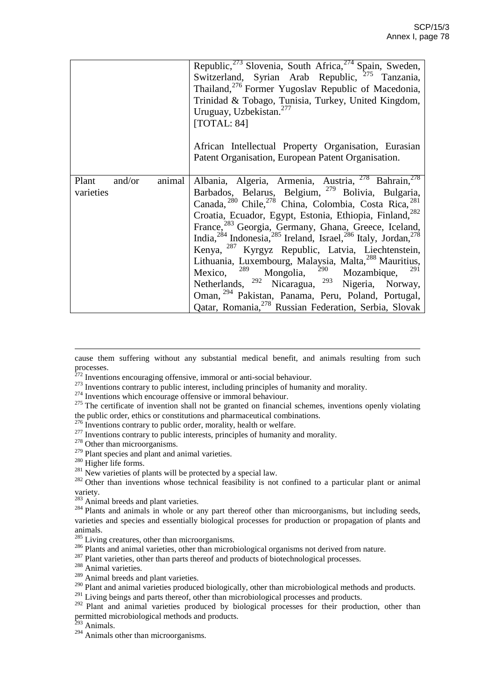|                                        | Republic, <sup>273</sup> Slovenia, South Africa, <sup>274</sup> Spain, Sweden,<br>Switzerland, Syrian Arab Republic, <sup>275</sup> Tanzania,<br>Thailand, <sup>276</sup> Former Yugoslav Republic of Macedonia,<br>Trinidad & Tobago, Tunisia, Turkey, United Kingdom,<br>Uruguay, Uzbekistan. <sup>277</sup><br>[TOTAL: 84]<br>African Intellectual Property Organisation, Eurasian<br>Patent Organisation, European Patent Organisation.                                                                                                                                                                                                                                                                                                                                                                                                                                         |
|----------------------------------------|-------------------------------------------------------------------------------------------------------------------------------------------------------------------------------------------------------------------------------------------------------------------------------------------------------------------------------------------------------------------------------------------------------------------------------------------------------------------------------------------------------------------------------------------------------------------------------------------------------------------------------------------------------------------------------------------------------------------------------------------------------------------------------------------------------------------------------------------------------------------------------------|
| Plant<br>and/or<br>animal<br>varieties | Albania, Algeria, Armenia, Austria, <sup>278</sup> Bahrain, <sup>278</sup><br>Barbados, Belarus, Belgium, <sup>279</sup> Bolivia, Bulgaria,<br>Canada, <sup>280</sup> Chile, <sup>278</sup> China, Colombia, Costa Rica, <sup>281</sup><br>Croatia, Ecuador, Egypt, Estonia, Ethiopia, Finland, <sup>282</sup><br>France, <sup>283</sup> Georgia, Germany, Ghana, Greece, Iceland,<br>India, $^{284}$ Indonesia, $^{285}$ Ireland, Israel, $^{286}$ Italy, Jordan, $^{278}$<br>Kenya, <sup>287</sup> Kyrgyz Republic, Latvia, Liechtenstein,<br>Lithuania, Luxembourg, Malaysia, Malta, <sup>288</sup> Mauritius,<br>Mexico, <sup>289</sup> Mongolia, <sup>290</sup> Mozambique, <sup>291</sup><br>Netherlands, $292$ Nicaragua, $293$ Nigeria, Norway,<br>Oman, <sup>294</sup> Pakistan, Panama, Peru, Poland, Portugal,<br>Qatar, Romania, 278 Russian Federation, Serbia, Slovak |

cause them suffering without any substantial medical benefit, and animals resulting from such processes.<br>
<sup>272</sup> Inventions encouraging offensive, immoral or anti-social behaviour.<br>
<sup>273</sup> Inventions contrary to public interest, including principles of humanity and morality.<br>
<sup>274</sup> Inventions which encourage offensi

the public order, ethics or constitutions and pharmaceutical combinations.<br>
The public order, ethics or constitutions and pharmaceutical combinations.<br>
276 Inventions contrary to public order, morality, health or welfare.<br>

<sup>284</sup> Plants and animals in whole or any part thereof other than microorganisms, but including seeds, varieties and species and essentially biological processes for production or propagation of plants and animals.<br><sup>285</sup> Living creatures, other than microorganisms.

<sup>286</sup> Plants and animal varieties, other than microbiological organisms not derived from nature.<br><sup>287</sup> Plant varieties, other than parts thereof and products of biotechnological processes.<br><sup>289</sup> Animal varieties.<br><sup>298</sup> Ani

permitted microbiological methods and products.<br><sup>293</sup> Animals.<br><sup>294</sup> Animals other than microorganisms.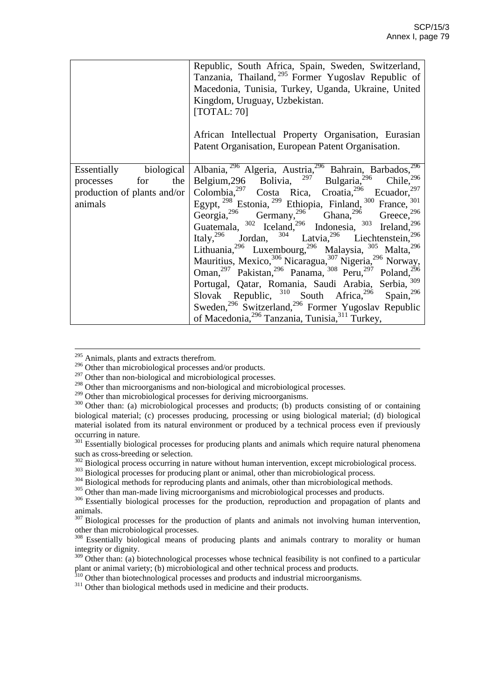|                                                                                             | Republic, South Africa, Spain, Sweden, Switzerland,<br>Tanzania, Thailand, <sup>295</sup> Former Yugoslav Republic of<br>Macedonia, Tunisia, Turkey, Uganda, Ukraine, United<br>Kingdom, Uruguay, Uzbekistan.<br>[TOTAL: 70]<br>African Intellectual Property Organisation, Eurasian<br>Patent Organisation, European Patent Organisation.                                                                                                                                                                                                                                                                                                                                                                                                                                                                                                                                                                                                                                                                                                                                                                                                                          |
|---------------------------------------------------------------------------------------------|---------------------------------------------------------------------------------------------------------------------------------------------------------------------------------------------------------------------------------------------------------------------------------------------------------------------------------------------------------------------------------------------------------------------------------------------------------------------------------------------------------------------------------------------------------------------------------------------------------------------------------------------------------------------------------------------------------------------------------------------------------------------------------------------------------------------------------------------------------------------------------------------------------------------------------------------------------------------------------------------------------------------------------------------------------------------------------------------------------------------------------------------------------------------|
| Essentially biological<br>for<br>the<br>processes<br>production of plants and/or<br>animals | Albania, <sup>296</sup> Algeria, Austria, <sup>296</sup> Bahrain, Barbados, <sup>296</sup><br>Chile, 296<br>Belgium, 296 Bolivia, $^{297}$ Bulgaria, $^{296}$<br>Colombia, <sup>297</sup> Costa Rica, Croatia, <sup>296</sup> Ecuador, <sup>297</sup><br>Egypt, <sup>298</sup> Estonia, <sup>299</sup> Ethiopia, Finland, <sup>300</sup> France, <sup>301</sup><br>Georgia, $^{296}$ Germany, $^{296}$ Ghana, $^{296}$ Greece, $^{296}$<br>Guatemala, 302 Iceland, 296 Indonesia, 303 Ireland, 296<br>Italy, $^{296}$ Jordan, $^{304}$ Latvia, $^{296}$ Liechtenstein, $^{296}$<br>Lithuania, 296 Luxembourg, 296 Malaysia, 305 Malta, 296<br>Mauritius, Mexico, <sup>306</sup> Nicaragua, <sup>307</sup> Nigeria, <sup>296</sup> Norway,<br>Oman, <sup>297</sup> Pakistan, <sup>296</sup> Panama, <sup>308</sup> Peru, <sup>297</sup> Poland, <sup>296</sup><br>Portugal, Qatar, Romania, Saudi Arabia, Serbia, 309<br>Slovak Republic, <sup>310</sup> South Africa, <sup>296</sup> Spain, <sup>296</sup><br>Sweden, <sup>296</sup> Switzerland, <sup>296</sup> Former Yugoslav Republic<br>of Macedonia, <sup>296</sup> Tanzania, Tunisia, <sup>311</sup> Turkey, |

<sup>&</sup>lt;sup>295</sup> Animals, plants and extracts therefrom.<br><sup>296</sup> Other than microbiological processes and/or products.<br><sup>297</sup> Other than non-biological and microbiological processes.<br><sup>298</sup> Other than microorganisms and non-biological a biological material; (c) processes producing, processing or using biological material; (d) biological material isolated from its natural environment or produced by a technical process even if previously

occurring in nature.<br><sup>301</sup> Essentially biological processes for producing plants and animals which require natural phenomena<br>such as cross-breeding or selection.

<sup>&</sup>lt;sup>302</sup> Biological process occurring in nature without human intervention, except microbiological process.<br><sup>303</sup> Biological processes for producing plant or animal, other than microbiological process.<br><sup>304</sup> Biological metho

animals.<br><sup>307</sup> Biological processes for the production of plants and animals not involving human intervention,

other than microbiological processes.<br><sup>308</sup> Essentially biological means of producing plants and animals contrary to morality or human<br>integrity or dignity.

 $\frac{309}{90}$  Other than: (a) biotechnological processes whose technical feasibility is not confined to a particular plant or animal variety; (b) microbiological and other technical process and products.<br><sup>310</sup> Other than biotechnological processes and products and industrial microorganisms.<br><sup>311</sup> Other than biological methods used in med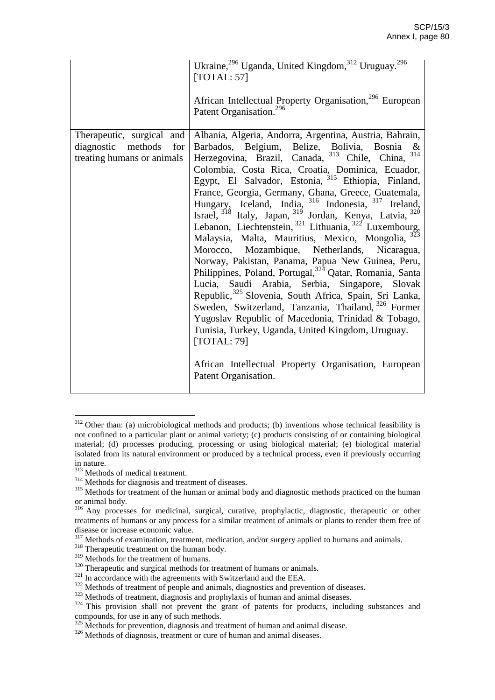|                                                                                   | Ukraine, <sup>296</sup> Uganda, United Kingdom, <sup>312</sup> Uruguay. <sup>296</sup><br>[TOTAL: 57]<br>African Intellectual Property Organisation, <sup>296</sup> European<br>Patent Organisation. <sup>296</sup>                                                                                                                                                                                                                                                                                                                                                                                                                                                                                                                                                                                                                                                                                                                                                                                                                                                                                                                   |
|-----------------------------------------------------------------------------------|---------------------------------------------------------------------------------------------------------------------------------------------------------------------------------------------------------------------------------------------------------------------------------------------------------------------------------------------------------------------------------------------------------------------------------------------------------------------------------------------------------------------------------------------------------------------------------------------------------------------------------------------------------------------------------------------------------------------------------------------------------------------------------------------------------------------------------------------------------------------------------------------------------------------------------------------------------------------------------------------------------------------------------------------------------------------------------------------------------------------------------------|
| Therapeutic, surgical and<br>diagnostic methods for<br>treating humans or animals | Albania, Algeria, Andorra, Argentina, Austria, Bahrain,<br>Barbados, Belgium, Belize, Bolivia, Bosnia &<br>Herzegovina, Brazil, Canada, 313 Chile, China, 314<br>Colombia, Costa Rica, Croatia, Dominica, Ecuador,<br>Egypt, El Salvador, Estonia, 315 Ethiopia, Finland,<br>France, Georgia, Germany, Ghana, Greece, Guatemala,<br>Hungary, Iceland, India, 316 Indonesia, 317 Ireland, Israel, 318 Italy, Japan, 319 Jordan, Kenya, Latvia, 320<br>Lebanon, Liechtenstein, 321 Lithuania, 322 Luxembourg,<br>Malaysia, Malta, Mauritius, Mexico, Mongolia, 323<br>Morocco, Mozambique, Netherlands, Nicaragua,<br>Norway, Pakistan, Panama, Papua New Guinea, Peru,<br>Philippines, Poland, Portugal, <sup>324</sup> Qatar, Romania, Santa<br>Lucia, Saudi Arabia, Serbia, Singapore, Slovak<br>Republic, <sup>325</sup> Slovenia, South Africa, Spain, Sri Lanka,<br>Sweden, Switzerland, Tanzania, Thailand, 326 Former<br>Yugoslav Republic of Macedonia, Trinidad & Tobago,<br>Tunisia, Turkey, Uganda, United Kingdom, Uruguay.<br>[TOTAL: 79]<br>African Intellectual Property Organisation, European<br>Patent Organisation. |

 $312$  Other than: (a) microbiological methods and products; (b) inventions whose technical feasibility is not confined to a particular plant or animal variety; (c) products consisting of or containing biological material; (d) processes producing, processing or using biological material; (e) biological material isolated from its natural environment or produced by a technical process, even if previously occurring in nature.<br>
<sup>313</sup> Methods of medical treatment.<br>
<sup>314</sup> Methods for diagnosis and treatment of diseases.<br>
<sup>315</sup> Methods for treatment of the human or animal body and diagnostic methods practiced on the human

or animal body. <sup>316</sup> Any processes for medicinal, surgical, curative, prophylactic, diagnostic, therapeutic or other

treatments of humans or any process for a similar treatment of animals or plants to render them free of disease or increase economic value.<br>
<sup>317</sup> Methods of examination, treatment, medication, and/or surgery applied to humans and animals.<br>
<sup>318</sup> Therapeutic treatment on the human body.<br>
<sup>319</sup> Methods for the treatment of hu

compounds, for use in any of such methods.<br><sup>325</sup> Methods for prevention, diagnosis and treatment of human and animal disease.<br><sup>326</sup> Methods of diagnosis, treatment or cure of human and animal diseases.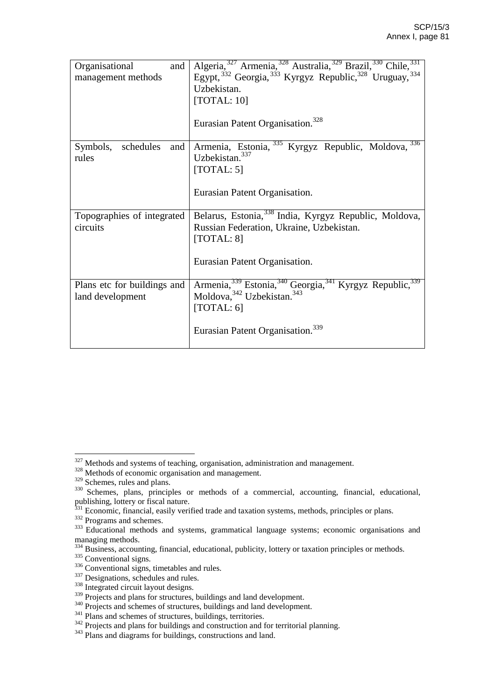| Organisational<br>and       | Algeria, <sup>327</sup> Armenia, <sup>328</sup> Australia, <sup>329</sup> Brazil, <sup>330</sup> Chile, <sup>331</sup> |
|-----------------------------|------------------------------------------------------------------------------------------------------------------------|
| management methods          | Egypt, <sup>332</sup> Georgia, <sup>333</sup> Kyrgyz Republic, <sup>328</sup> Uruguay, <sup>334</sup>                  |
|                             | Uzbekistan.                                                                                                            |
|                             | [TOTAL: 10]                                                                                                            |
|                             | Eurasian Patent Organisation. <sup>328</sup>                                                                           |
| Symbols, schedules<br>and   | 336<br>Armenia, Estonia, 335 Kyrgyz Republic, Moldova,                                                                 |
| rules                       | Uzbekistan. <sup>337</sup>                                                                                             |
|                             | [TOTAL: 5]                                                                                                             |
|                             | Eurasian Patent Organisation.                                                                                          |
| Topographies of integrated  | Belarus, Estonia, 338 India, Kyrgyz Republic, Moldova,                                                                 |
| circuits                    | Russian Federation, Ukraine, Uzbekistan.                                                                               |
|                             | [TOTAL: 8]                                                                                                             |
|                             |                                                                                                                        |
|                             | Eurasian Patent Organisation.                                                                                          |
|                             |                                                                                                                        |
| Plans etc for buildings and | Armenia, 339 Estonia, 340 Georgia, 341 Kyrgyz Republic, 339                                                            |
| land development            | Moldova, 342 Uzbekistan. 343                                                                                           |
|                             | [TOTAL: 6]                                                                                                             |
|                             | Eurasian Patent Organisation. <sup>339</sup>                                                                           |

 $^{327}$  Methods and systems of teaching, organisation, administration and management.<br> $^{328}$  Methods of economic organisation and management.<br> $^{329}$  Schemes, rules and plans.

<sup>330</sup> Schemes, rules and plans.<br>
330 Schemes, plans, principles or methods of a commercial, accounting, financial, educational,<br>
331 Economic, financial, easily verified trade and taxation systems, methods, principles or pla

<sup>335</sup> Conventional signs.<br>
336 Conventional signs.<br>
336 Conventional signs.<br>
336 Conventional signs.<br>
337 Designations, schedules and rules.<br>
338 Integrated circuit layout designs.<br>
339 Projects and plans for structures, bui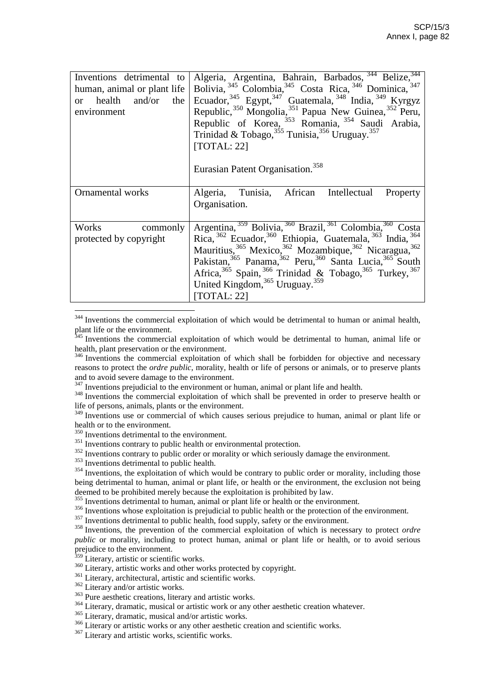| Inventions detrimental to<br>human, animal or plant life<br>or health and/or the<br>environment | Algeria, Argentina, Bahrain, Barbados, 344 Belize, 344<br>Bolivia, 345 Colombia, 345 Costa Rica, 346 Dominica, 347<br>Ecuador, $345$ Egypt, $347$ Guatemala, $348$ India, $349$ Kyrgyz<br>Republic, <sup>350</sup> Mongolia, <sup>351</sup> Papua New Guinea, <sup>352</sup> Peru,<br>Republic of Korea, <sup>353</sup> Romania, <sup>354</sup> Saudi Arabia,<br>Trinidad & Tobago, 355 Tunisia, 356 Uruguay. 357<br>[TOTAL: 22]<br>Eurasian Patent Organisation. <sup>358</sup> |
|-------------------------------------------------------------------------------------------------|----------------------------------------------------------------------------------------------------------------------------------------------------------------------------------------------------------------------------------------------------------------------------------------------------------------------------------------------------------------------------------------------------------------------------------------------------------------------------------|
| <b>Ornamental</b> works                                                                         | Algeria, Tunisia, African Intellectual Property<br>Organisation.                                                                                                                                                                                                                                                                                                                                                                                                                 |
| Works commonly                                                                                  | Argentina, 359 Bolivia, 360 Brazil, 361 Colombia, 360 Costa                                                                                                                                                                                                                                                                                                                                                                                                                      |
| protected by copyright                                                                          | Rica, 362 Ecuador, 360 Ethiopia, Guatemala, 363 India, 364                                                                                                                                                                                                                                                                                                                                                                                                                       |
|                                                                                                 | Mauritius, 365 Mexico, 362 Mozambique, 362 Nicaragua, 362                                                                                                                                                                                                                                                                                                                                                                                                                        |
|                                                                                                 | Pakistan, <sup>365</sup> Panama, <sup>362</sup> Peru, <sup>360</sup> Santa Lucia, <sup>365</sup> South                                                                                                                                                                                                                                                                                                                                                                           |
|                                                                                                 | Africa, 365 Spain, 366 Trinidad & Tobago, 365 Turkey, 367                                                                                                                                                                                                                                                                                                                                                                                                                        |
|                                                                                                 | United Kingdom, 365 Uruguay. 359                                                                                                                                                                                                                                                                                                                                                                                                                                                 |
|                                                                                                 | [TOTAL: 22]                                                                                                                                                                                                                                                                                                                                                                                                                                                                      |

<sup>344</sup> Inventions the commercial exploitation of which would be detrimental to human or animal health, plant life or the environment.

 $345$  Inventions the commercial exploitation of which would be detrimental to human, animal life or health, plant preservation or the environment.

 $\frac{346}{100}$  Inventions the commercial exploitation of which shall be forbidden for objective and necessary reasons to protect the *ordre public*, morality, health or life of persons or animals, or to preserve plants and to avoid severe damage to the environment.

 $347$  Inventions prejudicial to the environment or human, animal or plant life and health.<br> $348$  Inventions the commercial exploitation of which shall be prevented in order to preserve health or life of persons, animals,

149 Inventions use or commercial of which causes serious prejudice to human, animal or plant life or health or to the environment.

<sup>350</sup> Inventions detrimental to the environment.<br><sup>351</sup> Inventions contrary to public health or environmental protection.<br><sup>352</sup> Inventions contrary to public order or morality or which seriously damage the environment.<br><sup>35</sup>

being detrimental to human, animal or plant life, or health or the environment, the exclusion not being deemed to be prohibited merely because the exploitation is prohibited by law.<br><sup>355</sup> Inventions detrimental to human, animal or plant life or health or the environment.<br><sup>356</sup> Inventions whose exploitation is prejudicial to

*public* or morality, including to protect human, animal or plant life or health, or to avoid serious prejudice to the environment.<br><sup>359</sup> Literary, artistic or scientific works.

<sup>360</sup> Literary, artistic works and other works protected by copyright.<br><sup>361</sup> Literary, architectural, artistic and scientific works.<br><sup>362</sup> Literary and/or artistic works.<br><sup>362</sup> Literary, dramatic, musical or artistic work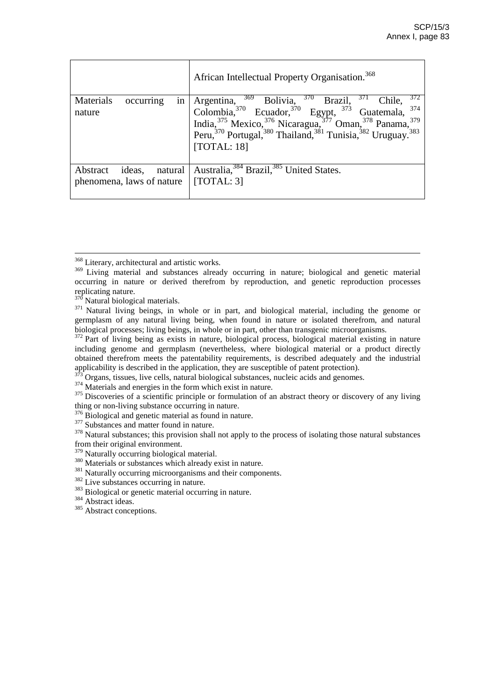|                                                            | African Intellectual Property Organisation. <sup>368</sup>                                                                                                                                                                                                                                                                                                                                                      |
|------------------------------------------------------------|-----------------------------------------------------------------------------------------------------------------------------------------------------------------------------------------------------------------------------------------------------------------------------------------------------------------------------------------------------------------------------------------------------------------|
| Materials<br>occurring<br>in<br>nature                     | 372<br>Argentina, <sup>369</sup> Bolivia, <sup>370</sup> Brazil, <sup>371</sup><br>Chile,<br>Colombia, <sup>370</sup> Ecuador, <sup>370</sup> Egypt, <sup>373</sup> Guatemala, <sup>374</sup><br>India, <sup>375</sup> Mexico, <sup>376</sup> Nicaragua, <sup>377</sup> Oman, <sup>378</sup> Panama, <sup>379</sup><br>Peru, $370$ Portugal, $380$ Thailand, $381$ Tunisia, $382$ Uruguay. $383$<br>[TOTAL: 18] |
| Abstract<br>ideas,<br>natural<br>phenomena, laws of nature | Australia, <sup>384</sup> Brazil, <sup>385</sup> United States.<br>[TOTAL: 3]                                                                                                                                                                                                                                                                                                                                   |

<sup>375</sup> Organs, tissues, live cells, natural biological substances, nucleic acids and genomes.<br><sup>374</sup> Materials and energies in the form which exist in nature.<br><sup>375</sup> Discoveries of a scientific principle or formulation of an

377 Substances and matter found in nature.<br><sup>378</sup> Natural substances; this provision shall not apply to the process of isolating those natural substances from their original environment.<br>
<sup>379</sup> Naturally occurring biological material.<br>
<sup>380</sup> Materials or substances which already exist in nature.<br>
<sup>381</sup> Naturally occurring microorganisms and their components.<br>
<sup>382</sup> Live sub

<sup>&</sup>lt;sup>368</sup> Literary, architectural and artistic works.<br><sup>369</sup> Living material and substances already occurring in nature; biological and genetic material occurring in nature or derived therefrom by reproduction, and genetic reproduction processes<br>replicating nature.<br> $\frac{370 \text{ Natural likelihood model}}{210}$ 

 $\frac{370}{371}$  Natural biological materials.<br> $\frac{371}{100}$  Natural living beings, in whole or in part, and biological material, including the genome or germplasm of any natural living being, when found in nature or isolated therefrom, and natural biological processes; living beings, in whole or in part, other than transgenic microorganisms.<br><sup>372</sup> Part of living being as exists in nature, biological process, biological material existing in nature

including genome and germplasm (nevertheless, where biological material or a product directly obtained therefrom meets the patentability requirements, is described adequately and the industrial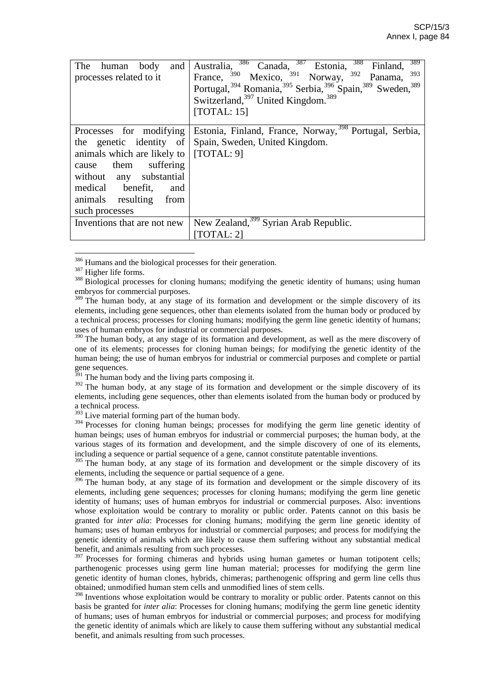| The<br>human body<br>and  <br>processes related to it                                                                                                                                                                         | 389<br>$386$ Canada, $387$ Estonia,<br>388<br>Finland,<br>Australia,<br>$^{390}$ Mexico, $^{391}$ Norway,<br>392<br>393<br>Panama,<br>France,<br>Portugal, <sup>394</sup> Romania, <sup>395</sup> Serbia, <sup>396</sup> Spain, <sup>389</sup> Sweden, <sup>389</sup><br>Switzerland, <sup>397</sup> United Kingdom. <sup>389</sup><br>[TOTAL: 15] |
|-------------------------------------------------------------------------------------------------------------------------------------------------------------------------------------------------------------------------------|----------------------------------------------------------------------------------------------------------------------------------------------------------------------------------------------------------------------------------------------------------------------------------------------------------------------------------------------------|
| Processes for modifying<br>the genetic identity of<br>animals which are likely to $ $ [TOTAL: 9]<br>cause them suffering<br>without any substantial<br>medical benefit,<br>and<br>animals resulting<br>from<br>such processes | Estonia, Finland, France, Norway, <sup>398</sup> Portugal, Serbia,<br>Spain, Sweden, United Kingdom.                                                                                                                                                                                                                                               |
| Inventions that are not new                                                                                                                                                                                                   | New Zealand, <sup>399</sup> Syrian Arab Republic.<br>[TOTAL: 2]                                                                                                                                                                                                                                                                                    |

human beings; uses of human embryos for industrial or commercial purposes; the human body, at the various stages of its formation and development, and the simple discovery of one of its elements, including a sequence or partial sequence of a gene, cannot constitute patentable inventions.

<sup>395</sup> The human body, at any stage of its formation and development or the simple discovery of its elements, including the sequence or partial sequence of a gene.<br><sup>396</sup> The human body, at any stage of its formation and development or the simple discovery of its

elements, including gene sequences; processes for cloning humans; modifying the germ line genetic identity of humans; uses of human embryos for industrial or commercial purposes. Also: inventions whose exploitation would be contrary to morality or public order. Patents cannot on this basis be granted for *inter alia*: Processes for cloning humans; modifying the germ line genetic identity of humans; uses of human embryos for industrial or commercial purposes; and process for modifying the genetic identity of animals which are likely to cause them suffering without any substantial medical benefit, and animals resulting from such processes.<br><sup>397</sup> Processes for forming chimeras and hybrids using human gametes or human totipotent cells;

parthenogenic processes using germ line human material; processes for modifying the germ line genetic identity of human clones, hybrids, chimeras; parthenogenic offspring and germ line cells thus obtained; unmodified human stem cells and unmodified lines of stem cells.

 $398$  Inventions whose exploitation would be contrary to morality or public order. Patents cannot on this basis be granted for *inter alia*: Processes for cloning humans; modifying the germ line genetic identity of humans; uses of human embryos for industrial or commercial purposes; and process for modifying the genetic identity of animals which are likely to cause them suffering without any substantial medical benefit, and animals resulting from such processes.

<sup>&</sup>lt;sup>386</sup> Humans and the biological processes for their generation.<br><sup>387</sup> Higher life forms.<br><sup>388</sup> Biological processes for cloning humans; modifying the genetic identity of humans; using human<br>embryos for commercial purposes

 $^{389}$  The human body, at any stage of its formation and development or the simple discovery of its elements, including gene sequences, other than elements isolated from the human body or produced by a technical process; processes for cloning humans; modifying the germ line genetic identity of humans;

 $390$  The human body, at any stage of its formation and development, as well as the mere discovery of one of its elements; processes for cloning human beings; for modifying the genetic identity of the human being; the use of human embryos for industrial or commercial purposes and complete or partial

 $\frac{391}{391}$  The human body and the living parts composing it.<br> $\frac{392}{392}$  The human body, at any stage of its formation and development or the simple discovery of its elements, including gene sequences, other than elements isolated from the human body or produced by a technical process.<br><sup>393</sup> Live material forming part of the human body.<br><sup>394</sup> Processes for cloning human beings; processes for modifying the germ line genetic identity of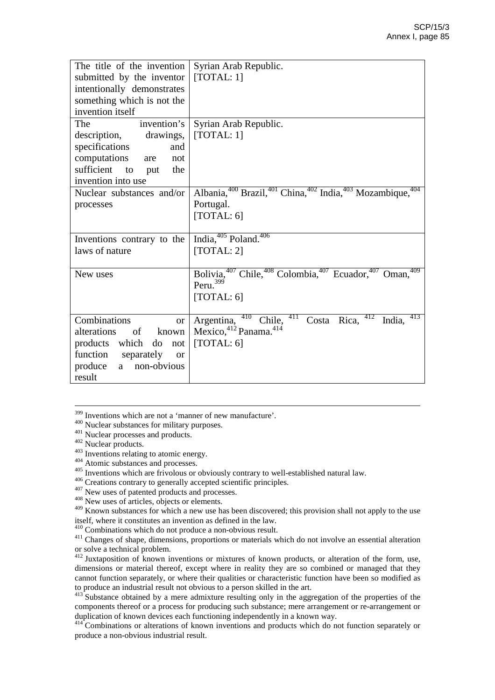| The title of the invention           | Syrian Arab Republic.                                                                                                 |
|--------------------------------------|-----------------------------------------------------------------------------------------------------------------------|
| submitted by the inventor            | [TOTAL: 1]                                                                                                            |
| intentionally demonstrates           |                                                                                                                       |
| something which is not the           |                                                                                                                       |
| invention itself                     |                                                                                                                       |
| invention's<br>The                   | Syrian Arab Republic.                                                                                                 |
| description,<br>drawings,            | [TOTAL: 1]                                                                                                            |
| specifications<br>and                |                                                                                                                       |
| computations<br>are<br>not           |                                                                                                                       |
| sufficient to<br>the<br>put          |                                                                                                                       |
| invention into use                   |                                                                                                                       |
| Nuclear substances and/or            | Albania, <sup>400</sup> Brazil, <sup>401</sup> China, <sup>402</sup> India, <sup>403</sup> Mozambique, <sup>404</sup> |
| processes                            | Portugal.                                                                                                             |
|                                      | [TOTAL: 6]                                                                                                            |
|                                      |                                                                                                                       |
| Inventions contrary to the           | India, 405 Poland. 406                                                                                                |
| laws of nature                       | [TOTAL: 2]                                                                                                            |
|                                      |                                                                                                                       |
| New uses                             | Bolivia, <sup>407</sup> Chile, <sup>408</sup> Colombia, <sup>407</sup> Ecuador, <sup>407</sup> Oman, <sup>409</sup>   |
|                                      | Peru. <sup>399</sup>                                                                                                  |
|                                      | [TOTAL: 6]                                                                                                            |
|                                      | 411<br>412                                                                                                            |
| Combinations<br><b>or</b>            | 410<br>413<br>Costa Rica,<br>Argentina,<br>Chile.<br>India,                                                           |
| of known<br>alterations              | Mexico, 412 Panama. 414                                                                                               |
| products which do not                | [TOTAL: 6]                                                                                                            |
| function separately<br><sub>or</sub> |                                                                                                                       |
| produce<br>non-obvious<br>a          |                                                                                                                       |
| result                               |                                                                                                                       |

<sup>&</sup>lt;sup>399</sup> Inventions which are not a 'manner of new manufacture'.<br>
<sup>400</sup> Nuclear substances for military purposes.<br>
<sup>401</sup> Nuclear processes and products.<br>
<sup>402</sup> Nuclear products.<br>
<sup>402</sup> Inventions relating to atomic energy.<br>

<sup>&</sup>lt;sup>411</sup> Changes of shape, dimensions, proportions or materials which do not involve an essential alteration or solve a technical problem.<br><sup>412</sup> Juxtaposition of known inventions or mixtures of known products, or alteration of the form, use,

dimensions or material thereof, except where in reality they are so combined or managed that they cannot function separately, or where their qualities or characteristic function have been so modified as to produce an industrial result not obvious to a person skilled in the art.

 $t_{13}$  Substance obtained by a mere admixture resulting only in the aggregation of the properties of the components thereof or a process for producing such substance; mere arrangement or re-arrangement or duplication of known devices each functioning independently in a known way.

duplication of the latterations of known inventions and products which do not function separately or produce a non-obvious industrial result.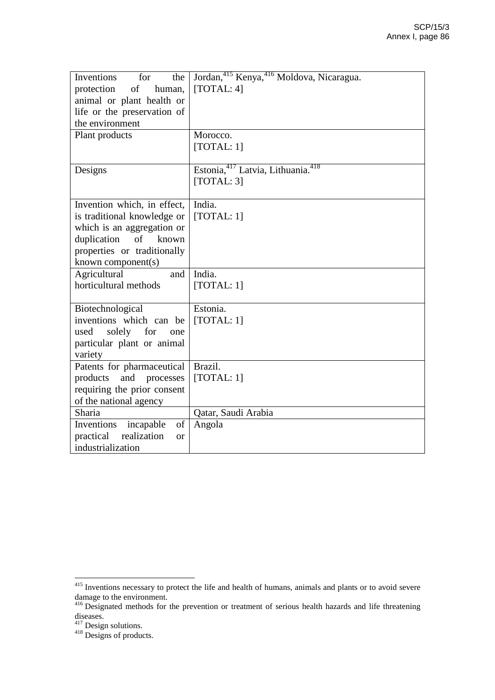| Inventions<br>for<br>the              | Jordan, <sup>415</sup> Kenya, <sup>416</sup> Moldova, Nicaragua. |
|---------------------------------------|------------------------------------------------------------------|
| protection<br>of<br>human,            | [TOTAL: 4]                                                       |
| animal or plant health or             |                                                                  |
| life or the preservation of           |                                                                  |
| the environment                       |                                                                  |
| Plant products                        | Morocco.                                                         |
|                                       | [TOTAL: 1]                                                       |
|                                       |                                                                  |
| Designs                               | Estonia, <sup>417</sup> Latvia, Lithuania. <sup>418</sup>        |
|                                       | [TOTAL: 3]                                                       |
|                                       |                                                                  |
| Invention which, in effect,           | India.                                                           |
| is traditional knowledge or           | [TOTAL: 1]                                                       |
| which is an aggregation or            |                                                                  |
| duplication<br>of<br>known            |                                                                  |
| properties or traditionally           |                                                                  |
| known component(s)                    |                                                                  |
| Agricultural<br>and                   | India.                                                           |
| horticultural methods                 | [TOTAL: 1]                                                       |
|                                       |                                                                  |
| Biotechnological                      | Estonia.                                                         |
| inventions which can be               | [TOTAL: 1]                                                       |
| used<br>solely for<br>one             |                                                                  |
| particular plant or animal            |                                                                  |
| variety                               |                                                                  |
| Patents for pharmaceutical            | Brazil.                                                          |
| products and processes                | [TOTAL: 1]                                                       |
| requiring the prior consent           |                                                                  |
| of the national agency                |                                                                  |
| Sharia                                | Qatar, Saudi Arabia                                              |
| of<br>incapable<br>Inventions         | Angola                                                           |
| realization<br>practical<br><b>or</b> |                                                                  |
| industrialization                     |                                                                  |

<sup>&</sup>lt;sup>415</sup> Inventions necessary to protect the life and health of humans, animals and plants or to avoid severe damage to the environment.<br><sup>416</sup> Designated methods for the prevention or treatment of serious health hazards and life threatening

diseases.<br><sup>417</sup> Design solutions.<br><sup>418</sup> Designs of products.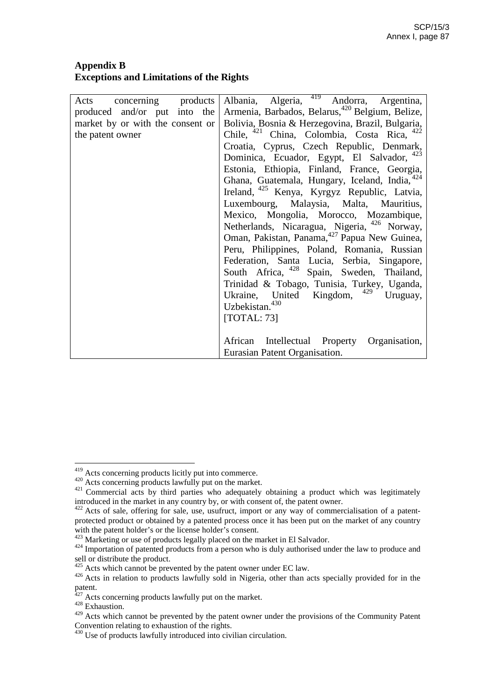## **Appendix B Exceptions and Limitations of the Rights**

|                                  | Albania, Algeria, <sup>419</sup> Andorra, Argentina,              |
|----------------------------------|-------------------------------------------------------------------|
| concerning products<br>Acts      |                                                                   |
| produced and/or put into the     | Armenia, Barbados, Belarus, <sup>420</sup> Belgium, Belize,       |
| market by or with the consent or | Bolivia, Bosnia & Herzegovina, Brazil, Bulgaria,                  |
| the patent owner                 | Chile, <sup>421</sup> China, Colombia, Costa Rica, <sup>422</sup> |
|                                  | Croatia, Cyprus, Czech Republic, Denmark,                         |
|                                  | Dominica, Ecuador, Egypt, El Salvador, <sup>423</sup>             |
|                                  | Estonia, Ethiopia, Finland, France, Georgia,                      |
|                                  | Ghana, Guatemala, Hungary, Iceland, India, <sup>424</sup>         |
|                                  | Ireland, <sup>425</sup> Kenya, Kyrgyz Republic, Latvia,           |
|                                  | Luxembourg, Malaysia, Malta, Mauritius,                           |
|                                  | Mexico, Mongolia, Morocco, Mozambique,                            |
|                                  | Netherlands, Nicaragua, Nigeria, <sup>426</sup> Norway,           |
|                                  | Oman, Pakistan, Panama, <sup>427</sup> Papua New Guinea,          |
|                                  | Peru, Philippines, Poland, Romania, Russian                       |
|                                  | Federation, Santa Lucia, Serbia, Singapore,                       |
|                                  | South Africa, <sup>428</sup> Spain, Sweden, Thailand,             |
|                                  | Trinidad & Tobago, Tunisia, Turkey, Uganda,                       |
|                                  | Ukraine, United Kingdom, <sup>429</sup> Uruguay,                  |
|                                  | Uzbekistan. <sup>430</sup>                                        |
|                                  | [TOTAL: 73]                                                       |
|                                  |                                                                   |
|                                  | African Intellectual Property<br>Organisation,                    |
|                                  | Eurasian Patent Organisation.                                     |

<sup>&</sup>lt;sup>419</sup> Acts concerning products licitly put into commerce.<br><sup>420</sup> Acts concerning products lawfully put on the market.<br><sup>421</sup> Commercial acts by third parties who adequately obtaining a product which was legitimately introduced in the market in any country by, or with consent of, the patent owner.<br><sup>422</sup> Acts of sale, offering for sale, use, usufruct, import or any way of commercialisation of a patent-

protected product or obtained by a patented process once it has been put on the market of any country with the patent holder's or the license holder's consent.<br>
<sup>423</sup> Marketing or use of products legally placed on the market in El Salvador.<br>
<sup>424</sup> Importation of patented products from a person who is duly authorised under

sell or distribute the product.<br>
<sup>425</sup> Acts which cannot be prevented by the patent owner under EC law.<br>
<sup>426</sup> Acts in relation to products lawfully sold in Nigeria, other than acts specially provided for in the<br>
<sup>427</sup> Ac

<sup>&</sup>lt;sup>427</sup> Acts concerning products lawfully put on the market.<br><sup>428</sup> Exhaustion.<br><sup>429</sup> Acts which cannot be prevented by the patent owner under the provisions of the Community Patent Convention relating to exhaustion of the rights.<br><sup>430</sup> Use of products lawfully introduced into civilian circulation.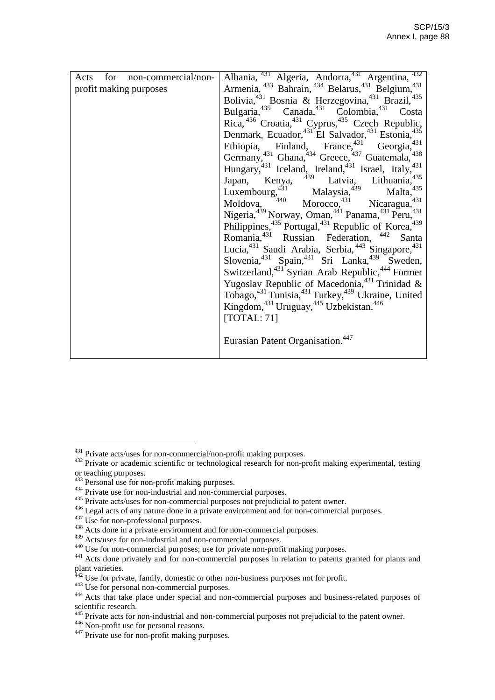| Acts for non-commercial/non- | Albania, <sup>431</sup> Algeria, Andorra, <sup>431</sup> Argentina, <sup>432</sup>                                                                     |
|------------------------------|--------------------------------------------------------------------------------------------------------------------------------------------------------|
| profit making purposes       | Armenia, 433 Bahrain, 434 Belarus, 431 Belgium, 431                                                                                                    |
|                              | Bolivia, <sup>431</sup> Bosnia & Herzegovina, <sup>431</sup> Brazil, <sup>435</sup>                                                                    |
|                              | Bulgaria, 435 Canada, 431 Colombia, 431 Costa                                                                                                          |
|                              | Rica, <sup>436</sup> Croatia, <sup>431</sup> Cyprus, <sup>435</sup> Czech Republic,                                                                    |
|                              | Denmark, Ecuador, <sup>431</sup> El Salvador, <sup>431</sup> Estonia, <sup>435</sup>                                                                   |
|                              | Ethiopia, Finland, France, $431$ Georgia, $431$                                                                                                        |
|                              | Germany, <sup>431</sup> Ghana, <sup>434</sup> Greece, <sup>437</sup> Guatemala, <sup>438</sup>                                                         |
|                              | Hungary, <sup>431</sup> Iceland, Ireland, <sup>431</sup> Israel, Italy, <sup>431</sup>                                                                 |
|                              | $^{439}$ Latvia, Lithuania, $^{435}$<br>Japan, Kenya,                                                                                                  |
|                              | Luxembourg, <sup>431</sup> Malaysia, <sup>439</sup> Malta, <sup>435</sup><br>Moldova, <sup>440</sup> Morocco, <sup>431</sup> Nicaragua, <sup>431</sup> |
|                              |                                                                                                                                                        |
|                              | Nigeria, <sup>439</sup> Norway, Oman, <sup>441</sup> Panama, <sup>431</sup> Peru, <sup>431</sup>                                                       |
|                              | Philippines, <sup>435</sup> Portugal, <sup>431</sup> Republic of Korea, <sup>439</sup>                                                                 |
|                              | Romania, <sup>431</sup> Russian Federation, <sup>442</sup> Santa                                                                                       |
|                              | Lucia, <sup>431</sup> Saudi Arabia, Serbia, <sup>443</sup> Singapore, <sup>431</sup>                                                                   |
|                              | Slovenia, $431$ Spain, $431$ Sri Lanka, $439$ Sweden,<br>Switzerland, <sup>431</sup> Syrian Arab Republic, <sup>444</sup> Former                       |
|                              |                                                                                                                                                        |
|                              | Yugoslav Republic of Macedonia, <sup>431</sup> Trinidad &<br>Tobago, <sup>431</sup> Tunisia, <sup>431</sup> Turkey, <sup>439</sup> Ukraine, United     |
|                              | Kingdom, <sup>431</sup> Uruguay, <sup>445</sup> Uzbekistan. <sup>446</sup>                                                                             |
|                              | [TOTAL: 71]                                                                                                                                            |
|                              |                                                                                                                                                        |
|                              | Eurasian Patent Organisation. <sup>447</sup>                                                                                                           |

<sup>&</sup>lt;sup>431</sup> Private acts/uses for non-commercial/non-profit making purposes.<br><sup>432</sup> Private or academic scientific or technological research for non-profit making experimental, testing<br> $\frac{433}{133}$  Personal use for non-profit m

<sup>&</sup>lt;sup>434</sup> Private use for non-industrial and non-commercial purposes.<br><sup>435</sup> Private acts/uses for non-commercial purposes not prejudicial to patent owner.<br><sup>436</sup> Legal acts of any nature done in a private environment and for no plant varieties.<br>
<sup>442</sup> Use for private, family, domestic or other non-business purposes not for profit.<br>
<sup>443</sup> Use for personal non-commercial purposes.<br>
<sup>444</sup> Acts that take place under special and non-commercial purpose

scientific research.<br>
<sup>445</sup> Private acts for non-industrial and non-commercial purposes not prejudicial to the patent owner.<br>
<sup>446</sup> Non-profit use for personal reasons.<br>
<sup>447</sup> Private use for non-profit making purposes.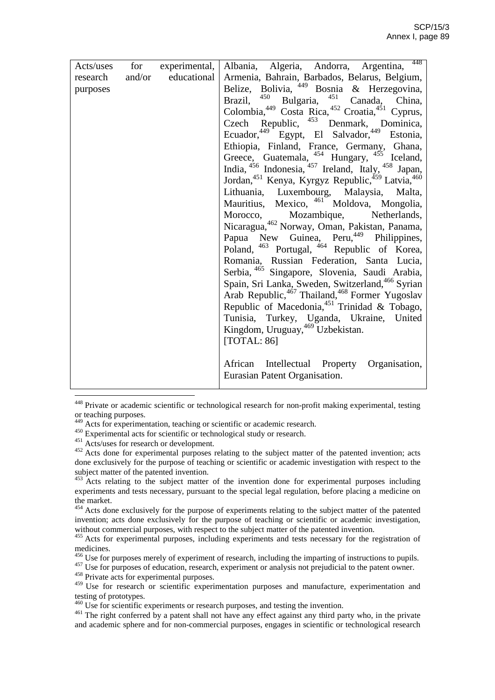| Acts/uses |        | for experimental, | Albania, Algeria, Andorra, Argentina, 448                                            |
|-----------|--------|-------------------|--------------------------------------------------------------------------------------|
| research  | and/or | educational       | Armenia, Bahrain, Barbados, Belarus, Belgium,                                        |
| purposes  |        |                   | Belize, Bolivia, <sup>449</sup> Bosnia & Herzegovina,                                |
|           |        |                   | Brazil, <sup>450</sup> Bulgaria, <sup>451</sup> Canada, China,                       |
|           |        |                   | Colombia, <sup>449</sup> Costa Rica, <sup>452</sup> Croatia, <sup>451</sup> Cyprus,  |
|           |        |                   | Czech Republic, <sup>453</sup> Denmark, Dominica,                                    |
|           |        |                   | Ecuador, <sup>449</sup> Egypt, El Salvador, <sup>449</sup> Estonia,                  |
|           |        |                   |                                                                                      |
|           |        |                   | Ethiopia, Finland, France, Germany, Ghana,                                           |
|           |        |                   | Greece, Guatemala, <sup>454</sup> Hungary, <sup>455</sup> Iceland,                   |
|           |        |                   | India, 456 Indonesia, 457 Ireland, Italy, 458 Japan,                                 |
|           |        |                   | Jordan, <sup>451</sup> Kenya, Kyrgyz Republic, <sup>459</sup> Latvia, <sup>460</sup> |
|           |        |                   | Lithuania, Luxembourg, Malaysia, Malta,                                              |
|           |        |                   | Mauritius, Mexico, <sup>461</sup> Moldova, Mongolia,                                 |
|           |        |                   | Morocco, Mozambique, Netherlands,                                                    |
|           |        |                   | Nicaragua, <sup>462</sup> Norway, Oman, Pakistan, Panama,                            |
|           |        |                   | Papua New Guinea, Peru, <sup>449</sup> Philippines,                                  |
|           |        |                   | Poland, <sup>463</sup> Portugal, <sup>464</sup> Republic of Korea,                   |
|           |        |                   | Romania, Russian Federation, Santa Lucia,                                            |
|           |        |                   | Serbia, <sup>465</sup> Singapore, Slovenia, Saudi Arabia,                            |
|           |        |                   | Spain, Sri Lanka, Sweden, Switzerland, 466 Syrian                                    |
|           |        |                   | Arab Republic, <sup>467</sup> Thailand, <sup>468</sup> Former Yugoslav               |
|           |        |                   | Republic of Macedonia, $451$ Trinidad & Tobago,                                      |
|           |        |                   | Tunisia, Turkey, Uganda, Ukraine, United                                             |
|           |        |                   | Kingdom, Uruguay, <sup>469</sup> Uzbekistan.                                         |
|           |        |                   | [TOTAL: 86]                                                                          |
|           |        |                   |                                                                                      |
|           |        |                   | African Intellectual Property Organisation,                                          |
|           |        |                   | Eurasian Patent Organisation.                                                        |
|           |        |                   |                                                                                      |

<sup>448</sup> Private or academic scientific or technological research for non-profit making experimental, testing or teaching purposes.<br>
<sup>449</sup> Acts for experimentation, teaching or scientific or academic research.<br>
<sup>450</sup> Experimental acts for scientific or technological study or research.<br>
<sup>451</sup> Acts/uses for research or development.<br>

done exclusively for the purpose of teaching or scientific or academic investigation with respect to the subject matter of the patented invention.<br><sup>453</sup> Acts relating to the subject matter of the invention done for experimental purposes including

experiments and tests necessary, pursuant to the special legal regulation, before placing a medicine on the market.<br><sup>454</sup> Acts done exclusively for the purpose of experiments relating to the subject matter of the patented

invention; acts done exclusively for the purpose of teaching or scientific or academic investigation, without commercial purposes, with respect to the subject matter of the patented invention.<br><sup>455</sup> Acts for experimental purposes, including experiments and tests necessary for the registration of

medicines.<br>
<sup>456</sup> Use for purposes merely of experiment of research, including the imparting of instructions to pupils.<br>
<sup>457</sup> Use for purposes of education, research, experiment or analysis not prejudicial to the patent o

testing of prototypes.<br>
460 Use for scientific experiments or research purposes, and testing the invention.<br>
461 The right conferred by a patent shall not have any effect against any third party who, in the private and academic sphere and for non-commercial purposes, engages in scientific or technological research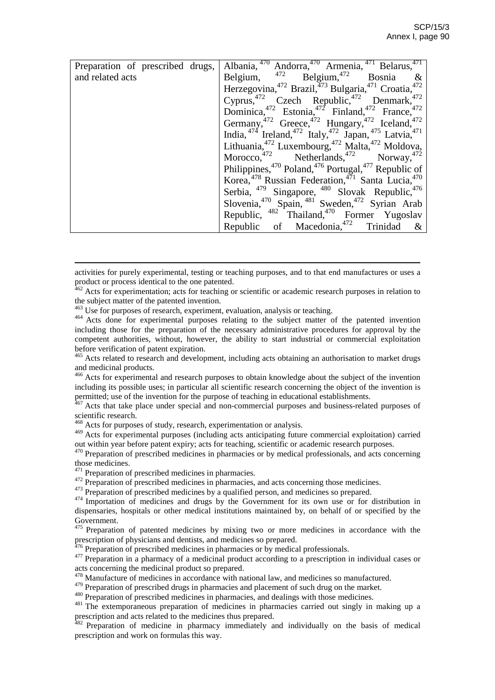| Preparation of prescribed drugs, | Albania, <sup>470</sup> Andorra, <sup>470</sup> Armenia, <sup>471</sup> Belarus, <sup>471</sup> |
|----------------------------------|-------------------------------------------------------------------------------------------------|
| and related acts                 | Belgium, $472$ Belgium, $472$ Bosnia<br>$\&$                                                    |
|                                  | Herzegovina, $472$ Brazil, $473$ Bulgaria, $471$ Croatia, $472$                                 |
|                                  | Cyprus, <sup>472</sup> Czech Republic, <sup>472</sup> Denmark, <sup>472</sup>                   |
|                                  | Dominica, $472$ Estonia, $472$ Finland, $472$ France, $472$                                     |
|                                  | Germany, <sup>472</sup> Greece, <sup>472</sup> Hungary, <sup>472</sup> Iceland, <sup>472</sup>  |
|                                  | India, $474$ Ireland, $472$ Italy, $472$ Japan, $475$ Latvia, $471$                             |
|                                  | Lithuania, <sup>472</sup> Luxembourg, <sup>472</sup> Malta, <sup>472</sup> Moldova,             |
|                                  | Morocco, $472$ Netherlands, $472$ Norway, $472$                                                 |
|                                  | Philippines, $470$ Poland, $476$ Portugal, $477$ Republic of                                    |
|                                  | Korea, $478$ Russian Federation, $471$ Santa Lucia, $470$                                       |
|                                  | Serbia, $479$ Singapore, $480$ Slovak Republic, $476$                                           |
|                                  | Slovenia, <sup>470</sup> Spain, <sup>481</sup> Sweden, <sup>472</sup> Syrian Arab               |
|                                  | Republic, $482$ Thailand, $470$ Former Yugoslav                                                 |
|                                  | Republic of Macedonia, $472$ Trinidad<br>$\&$                                                   |

activities for purely experimental, testing or teaching purposes, and to that end manufactures or uses a

and medicinal products. <sup>466</sup> Acts for experimental and research purposes to obtain knowledge about the subject of the invention

including its possible uses; in particular all scientific research concerning the object of the invention is

permitted; use of the invention for the purpose of teaching in educational establishments.<br>
<sup>467</sup> Acts that take place under special and non-commercial purposes and business-related purposes of<br>
scientific research.<br>
<sup>468</sup>

above archives of study, research, experimental purposes (including acts anticipating future commercial exploitation) carried

out within year before patent expiry; acts for teaching, scientific or academic research purposes.<br><sup>470</sup> Preparation of prescribed medicines in pharmacies or by medical professionals, and acts concerning those medicines.<br><sup></sup>

<sup>472</sup> Preparation of prescribed medicines in pharmacies, and acts concerning those medicines.<br><sup>473</sup> Preparation of prescribed medicines by a qualified person, and medicines so prepared.<br><sup>474</sup> Importation of medicines and

dispensaries, hospitals or other medical institutions maintained by, on behalf of or specified by the

Government.<br><sup>475</sup> Preparation of patented medicines by mixing two or more medicines in accordance with the

prescription of physicians and dentists, and medicines so prepared.<br><sup>476</sup> Preparation of prescribed medicines in pharmacies or by medical professionals.<br><sup>477</sup> Preparation in a pharmacy of a medicinal product according to a

<sup>478</sup> Manufacture of medicines in accordance with national law, and medicines so manufactured.<br><sup>479</sup> Preparation of prescribed drugs in pharmacies and placement of such drug on the market.<br><sup>480</sup> Preparation of prescribed prescription and acts related to the medicines thus prepared.<br><sup>482</sup> Preparation of medicine in pharmacy immediately and individually on the basis of medical

prescription and work on formulas this way.

product or process identical to the one patented.<br>
<sup>462</sup> Acts for experimentation; acts for teaching or scientific or academic research purposes in relation to<br>
the subject matter of the patented invention.

the subject matter of the purposes of research, experiment, evaluation, analysis or teaching.<br> $464$  Acts done for experimental purposes relating to the subject matter of the patented invention including those for the preparation of the necessary administrative procedures for approval by the competent authorities, without, however, the ability to start industrial or commercial exploitation before verification of patent expiration.<br><sup>465</sup> Acts related to research and development, including acts obtaining an authorisation to market drugs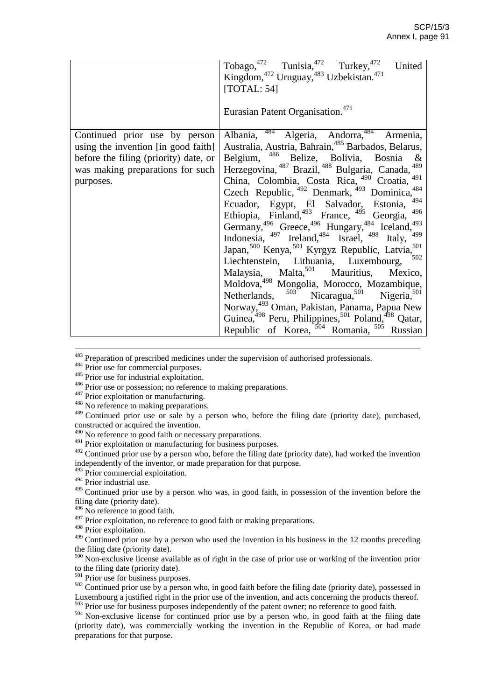|                                                                                                                                                                | Tobago, $472$ Tunisia, $472$<br>Turkey, $472$<br>United<br>Kingdom, <sup>472</sup> Uruguay, <sup>483</sup> Uzbekistan. <sup>471</sup><br>[TOTAL: 54]<br>Eurasian Patent Organisation. <sup>471</sup>                                                                                                                                                                                                                                                                                                                                                                                                                                                                                                                                                                                                                                                                                                                                                                                                                                                                                                                                                                                                                                                      |
|----------------------------------------------------------------------------------------------------------------------------------------------------------------|-----------------------------------------------------------------------------------------------------------------------------------------------------------------------------------------------------------------------------------------------------------------------------------------------------------------------------------------------------------------------------------------------------------------------------------------------------------------------------------------------------------------------------------------------------------------------------------------------------------------------------------------------------------------------------------------------------------------------------------------------------------------------------------------------------------------------------------------------------------------------------------------------------------------------------------------------------------------------------------------------------------------------------------------------------------------------------------------------------------------------------------------------------------------------------------------------------------------------------------------------------------|
| Continued prior use by person<br>using the invention [in good faith]<br>before the filing (priority) date, or<br>was making preparations for such<br>purposes. | <sup>484</sup> Algeria, Andorra, <sup>484</sup> Armenia,<br>Albania, $484$<br>Australia, Austria, Bahrain, <sup>485</sup> Barbados, Belarus,<br>486<br>Belgium,<br>Belize, Bolivia, Bosnia &<br>Herzegovina, <sup>487</sup> Brazil, <sup>488</sup> Bulgaria, Canada, <sup>489</sup><br>491<br>China, Colombia, Costa Rica, 490 Croatia,<br>484<br>Czech Republic, <sup>492</sup> Denmark, <sup>493</sup> Dominica,<br>494<br>Ecuador, Egypt, El Salvador, Estonia,<br>496<br>Ethiopia, Finland, <sup>493</sup> France, <sup>495</sup> Georgia,<br>Germany, <sup>496</sup> Greece, <sup>496</sup> Hungary, <sup>484</sup> Iceland, <sup>493</sup><br>499<br>Indonesia, <sup>497</sup> Ireland, <sup>484</sup> Israel, <sup>498</sup> Italy,<br>Japan, <sup>500</sup> Kenya, <sup>501</sup> Kyrgyz Republic, Latvia, <sup>501</sup><br>502<br>Liechtenstein, Lithuania, Luxembourg,<br>Malaysia, Malta, <sup>501</sup> Mauritius, Mexico,<br>Moldova, 498 Mongolia, Morocco, Mozambique,<br>Netherlands, $503^{\circ}$ Nicaragua, $501$ Nigeria, $501$<br>Norway, <sup>493</sup> Oman, Pakistan, Panama, Papua New<br>Guinea, <sup>498</sup> Peru, Philippines, <sup>501</sup> Poland, <sup>498</sup> Qatar,<br>Republic of Korea, 504 Romania, 505 Russian |

<sup>483</sup> Preparation of prescribed medicines under the supervision of authorised professionals.<br><sup>484</sup> Prior use for commercial purposes.<br><sup>485</sup> Prior use for industrial exploitation.<br><sup>486</sup> Prior use or possession; no referenc

<sup>491</sup> Prior exploitation or manufacturing for business purposes.<br><sup>492</sup> Continued prior use by a person who, before the filing date (priority date), had worked the invention

and the inventor of the inventor, or made preparation for that purpose.<br>
<sup>493</sup> Prior commercial exploitation.<br>
<sup>494</sup> Prior industrial use.<br>
<sup>495</sup> Continued prior use by a person who was, in good faith, in possession of the

<sup>497</sup> Prior exploitation, no reference to good faith or making preparations.<br><sup>498</sup> Prior exploitation.<br><sup>498</sup> Continued prior use by a person who used the invention in his business in the 12 months preceding<br>the filing dat

 $500$  Non-exclusive license available as of right in the case of prior use or working of the invention prior to the filing date (priority date).

<sup>501</sup> Prior use for business purposes.<br><sup>502</sup> Continued prior use by a person who, in good faith before the filing date (priority date), possessed in Luxembourg a justified right in the prior use of the invention, and acts

 $\frac{503}{504}$  Prior use for business purposes independently of the patent owner; no reference to good faith.<br> $\frac{504}{504}$  Non-exclusive license for continued prior use by a person who, in good faith at the filing date (priority date), was commercially working the invention in the Republic of Korea, or had made preparations for that purpose.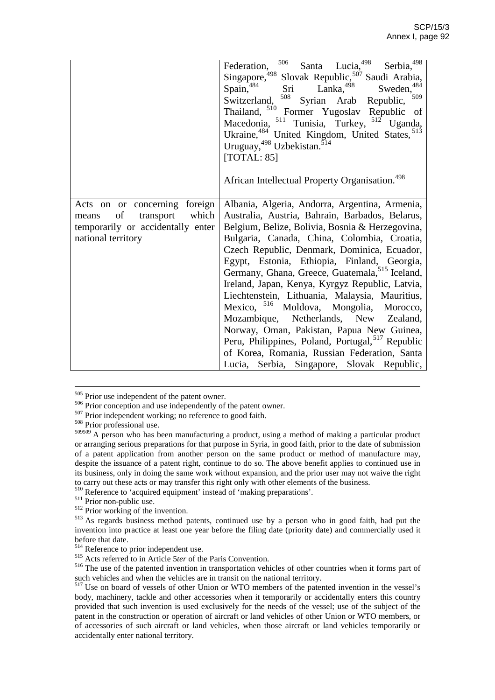|                                                                                                                               | 506<br>Santa Lucia, 498<br>Serbia, 498<br>Federation,<br>Singapore, <sup>498</sup> Slovak Republic, <sup>507</sup> Saudi Arabia,<br>$\overline{\text{Spin}}_{24}^{484}$<br>Sweden, 484<br>Lanka <sub>498</sub><br>Sri<br>509<br>508<br>Syrian Arab Republic,<br>Switzerland,<br>Thailand, <sup>510</sup> Former Yugoslav Republic of<br>Macedonia, <sup>511</sup> Tunisia, Turkey, <sup>512</sup> Uganda,<br>Ukraine, <sup>484</sup> United Kingdom, United States, <sup>513</sup><br>Uruguay, $498$ Uzbekistan. $514$<br>[TOTAL: 85]<br>African Intellectual Property Organisation. <sup>498</sup>                                                                                                                                                      |
|-------------------------------------------------------------------------------------------------------------------------------|----------------------------------------------------------------------------------------------------------------------------------------------------------------------------------------------------------------------------------------------------------------------------------------------------------------------------------------------------------------------------------------------------------------------------------------------------------------------------------------------------------------------------------------------------------------------------------------------------------------------------------------------------------------------------------------------------------------------------------------------------------|
| Acts on or concerning foreign<br>which<br>of<br>transport<br>means<br>temporarily or accidentally enter<br>national territory | Albania, Algeria, Andorra, Argentina, Armenia,<br>Australia, Austria, Bahrain, Barbados, Belarus,<br>Belgium, Belize, Bolivia, Bosnia & Herzegovina,<br>Bulgaria, Canada, China, Colombia, Croatia,<br>Czech Republic, Denmark, Dominica, Ecuador,<br>Egypt, Estonia, Ethiopia, Finland, Georgia,<br>Germany, Ghana, Greece, Guatemala, 515 Iceland,<br>Ireland, Japan, Kenya, Kyrgyz Republic, Latvia,<br>Liechtenstein, Lithuania, Malaysia, Mauritius,<br>Mexico, 516 Moldova, Mongolia, Morocco,<br>Mozambique, Netherlands, New Zealand,<br>Norway, Oman, Pakistan, Papua New Guinea,<br>Peru, Philippines, Poland, Portugal, <sup>517</sup> Republic<br>of Korea, Romania, Russian Federation, Santa<br>Lucia, Serbia, Singapore, Slovak Republic, |

- 
- 

<sup>&</sup>lt;sup>505</sup> Prior use independent of the patent owner.<br><sup>506</sup> Prior conception and use independently of the patent owner.<br><sup>507</sup> Prior independent working; no reference to good faith.<br><sup>508</sup> Prior professional use.<br><sup>509509</sup> A pers or arranging serious preparations for that purpose in Syria, in good faith, prior to the date of submission of a patent application from another person on the same product or method of manufacture may, despite the issuance of a patent right, continue to do so. The above benefit applies to continued use in its business, only in doing the same work without expansion, and the prior user may not waive the right to carry out these acts or may transfer this right only with other elements of the business.

<sup>&</sup>lt;sup>510</sup> Reference to 'acquired equipment' instead of 'making preparations'.<br><sup>511</sup> Prior non-public use.<br><sup>512</sup> Prior working of the invention.<br><sup>513</sup> As regards business method patents, continued use by a person who in good f invention into practice at least one year before the filing date (priority date) and commercially used it before that date.<br><sup>514</sup> Reference to prior independent use.

<sup>&</sup>lt;sup>515</sup> Acts referred to in Article 5*ter* of the Paris Convention.<br><sup>516</sup> The use of the patented invention in transportation vehicles of other countries when it forms part of such vehicles and when the vehicles are in transit on the national territory.<br><sup>517</sup> Use on board of vessels of other Union or WTO members of the patented invention in the vessel's

body, machinery, tackle and other accessories when it temporarily or accidentally enters this country provided that such invention is used exclusively for the needs of the vessel; use of the subject of the patent in the construction or operation of aircraft or land vehicles of other Union or WTO members, or of accessories of such aircraft or land vehicles, when those aircraft or land vehicles temporarily or accidentally enter national territory.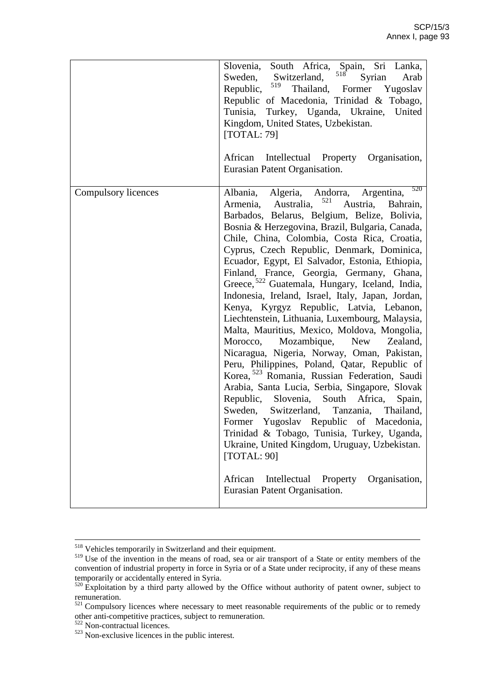|                     | Slovenia, South Africa, Spain, Sri Lanka,<br>518<br>Sweden, Switzerland,<br>Syrian<br>Arab<br><sup>519</sup> Thailand, Former Yugoslav<br>Republic,<br>Republic of Macedonia, Trinidad & Tobago,<br>Tunisia, Turkey, Uganda, Ukraine, United<br>Kingdom, United States, Uzbekistan.<br>[TOTAL: 79]<br>Intellectual Property Organisation,<br>African<br>Eurasian Patent Organisation.                                                                                                                                                                                                                                                                                                                                                                                                                                                                                                                                                                                                                                                                                                                                                                                                                                                                               |
|---------------------|---------------------------------------------------------------------------------------------------------------------------------------------------------------------------------------------------------------------------------------------------------------------------------------------------------------------------------------------------------------------------------------------------------------------------------------------------------------------------------------------------------------------------------------------------------------------------------------------------------------------------------------------------------------------------------------------------------------------------------------------------------------------------------------------------------------------------------------------------------------------------------------------------------------------------------------------------------------------------------------------------------------------------------------------------------------------------------------------------------------------------------------------------------------------------------------------------------------------------------------------------------------------|
| Compulsory licences | 520<br>Algeria, Andorra, Argentina,<br>Albania,<br>521<br>Austria, Bahrain,<br>Armenia, Australia,<br>Barbados, Belarus, Belgium, Belize, Bolivia,<br>Bosnia & Herzegovina, Brazil, Bulgaria, Canada,<br>Chile, China, Colombia, Costa Rica, Croatia,<br>Cyprus, Czech Republic, Denmark, Dominica,<br>Ecuador, Egypt, El Salvador, Estonia, Ethiopia,<br>Finland, France, Georgia, Germany, Ghana,<br>Greece, <sup>522</sup> Guatemala, Hungary, Iceland, India,<br>Indonesia, Ireland, Israel, Italy, Japan, Jordan,<br>Kenya, Kyrgyz Republic, Latvia, Lebanon,<br>Liechtenstein, Lithuania, Luxembourg, Malaysia,<br>Malta, Mauritius, Mexico, Moldova, Mongolia,<br>Morocco, Mozambique, New<br>Zealand,<br>Nicaragua, Nigeria, Norway, Oman, Pakistan,<br>Peru, Philippines, Poland, Qatar, Republic of<br>Korea, 523 Romania, Russian Federation, Saudi<br>Arabia, Santa Lucia, Serbia, Singapore, Slovak<br>Republic, Slovenia, South Africa,<br>Spain,<br>Sweden,<br>Switzerland,<br>Tanzania, Thailand,<br>Former Yugoslav Republic of Macedonia,<br>Trinidad & Tobago, Tunisia, Turkey, Uganda,<br>Ukraine, United Kingdom, Uruguay, Uzbekistan.<br>[TOTAL: 90]<br>Intellectual<br>Organisation,<br>African<br>Property<br>Eurasian Patent Organisation. |

 $518$  Vehicles temporarily in Switzerland and their equipment.<br> $519$  Use of the invention in the means of road, sea or air transport of a State or entity members of the convention of industrial property in force in Syria or of a State under reciprocity, if any of these means temporarily or accidentally entered in Syria.<br>520 Exploitation by a third party allowed by the Office without authority of patent owner, subject to

remuneration.<br><sup>521</sup> Compulsory licences where necessary to meet reasonable requirements of the public or to remedy other anti-competitive practices, subject to remuneration.<br><sup>522</sup> Non-contractual licences.<br><sup>523</sup> Non-exclusive licences in the public interest.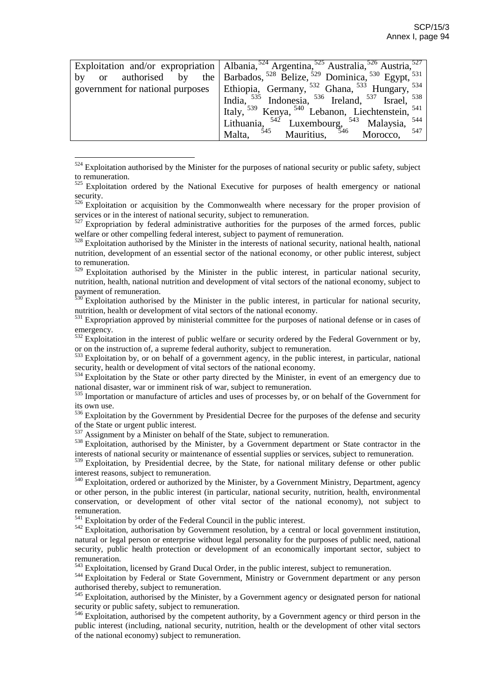|    | Exploitation and/or expropriation Albania, <sup>524</sup> Argentina, <sup>525</sup> Australia, <sup>526</sup> Austria, <sup>527</sup> |
|----|---------------------------------------------------------------------------------------------------------------------------------------|
| by | or authorised by the Barbados, $^{528}$ Belize, $^{529}$ Dominica, $^{530}$ Egypt, $^{531}$                                           |
|    | government for national purposes   Ethiopia, Germany, <sup>532</sup> Ghana, <sup>533</sup> Hungary, <sup>534</sup>                    |
|    | India, $535$ Indonesia, $536$ Ireland, $537$ Israel, $538$                                                                            |
|    | Italy, $539$ Kenya, $540$ Lebanon, Liechtenstein, $541$                                                                               |
|    | - 544<br>Lithuania, $542$ Luxembourg, $543$ Malaysia,                                                                                 |
|    | 547<br>546<br>545<br>Mauritius,<br>Morocco,<br>Malta,                                                                                 |

 $524$  Exploitation authorised by the Minister for the purposes of national security or public safety, subject to remuneration.

 $527$  Expropriation by federal administrative authorities for the purposes of the armed forces, public welfare or other compelling federal interest, subject to payment of remuneration.

 $p^{30}$  Exploitation authorised by the Minister in the public interest, in particular for national security, nutrition, health or development of vital sectors of the national economy.<br>
<sup>531</sup> Expropriation approved by ministerial committee for the purposes of national defense or in cases of

emergency.<br>
<sup>532</sup> Exploitation in the interest of public welfare or security ordered by the Federal Government or by,

or on the instruction of, a supreme federal authority, subject to remuneration.<br>
<sup>533</sup> Exploitation by, or on behalf of a government agency, in the public interest, in particular, national<br>
security, health or development

 $534$  Exploitation by the State or other party directed by the Minister, in event of an emergency due to national disaster, war or imminent risk of war, subject to remuneration.

 $\frac{535 \text{ Im} + \frac{1}{256 \text{ Im}}}{535 \text{ Im} + \frac{1}{256 \text{ Im}}}$  or  $\frac{1}{256 \text{ Im} + \frac{1}{256 \text{ Im}}}$  importation or manufacture of articles and uses of processes by, or on behalf of the Government for

its own use.<br><sup>536</sup> Exploitation by the Government by Presidential Decree for the purposes of the defense and security<br>of the State or urgent public interest.

<sup>537</sup> Assignment by a Minister on behalf of the State, subject to remuneration.<br><sup>538</sup> Exploitation, authorised by the Minister, by a Government department or State contractor in the<br>interests of national security or mainte

 $\frac{539}{2}$  Exploitation, by Presidential decree, by the State, for national military defense or other public interest reasons, subject to remuneration.<br>
<sup>540</sup> Exploitation, ordered or authorized by the Minister, by a Government Ministry, Department, agency

or other person, in the public interest (in particular, national security, nutrition, health, environmental conservation, or development of other vital sector of the national economy), not subject to remuneration.<br><sup>541</sup> Exploitation by order of the Federal Council in the public interest.<br><sup>542</sup> Exploitation, authorisation by Government resolution, by a central or local government institution,

natural or legal person or enterprise without legal personality for the purposes of public need, national security, public health protection or development of an economically important sector, subject to remuneration.

 $543$  Exploitation, licensed by Grand Ducal Order, in the public interest, subject to remuneration.<br> $544$  Exploitation by Federal or State Government, Ministry or Government department or any person authorised thereby, su

 $545$  Exploitation, authorised by the Minister, by a Government agency or designated person for national security or public safety, subject to remuneration.

 $\frac{546}{546}$  Exploitation, authorised by the competent authority, by a Government agency or third person in the public interest (including, national security, nutrition, health or the development of other vital sectors of the national economy) subject to remuneration.

 $525$  Exploitation ordered by the National Executive for purposes of health emergency or national

security.<br> $526$  Exploitation or acquisition by the Commonwealth where necessary for the proper provision of services or in the interest of national security, subject to remuneration.

 $528$  Exploitation authorised by the Minister in the interests of national security, national health, national nutrition, development of an essential sector of the national economy, or other public interest, subject

 $\frac{529}{229}$  Exploitation authorised by the Minister in the public interest, in particular national security, nutrition, health, national nutrition and development of vital sectors of the national economy, subject to payment of remuneration.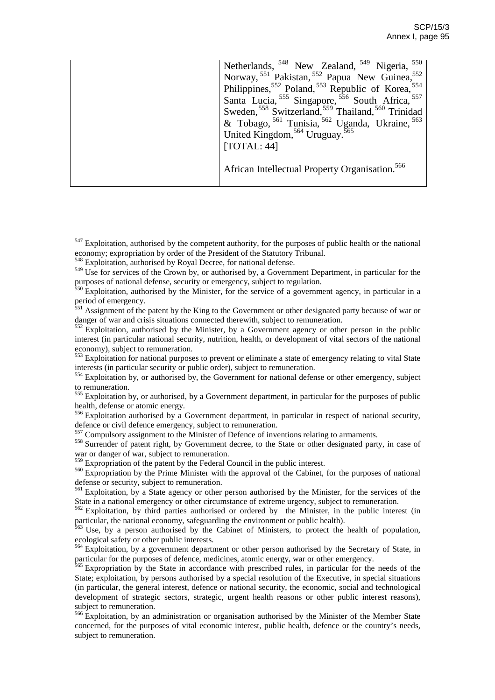| 550<br>Netherlands, <sup>548</sup> New Zealand, <sup>549</sup> Nigeria,<br>Norway, <sup>551</sup> Pakistan, <sup>552</sup> Papua New Guinea, <sup>552</sup><br>Philippines, $552$ Poland, $553$ Republic of Korea, $554$<br>Santa Lucia, 555 Singapore, 556 South Africa, 557<br>Sweden, <sup>558</sup> Switzerland, <sup>559</sup> Thailand, <sup>560</sup> Trinidad<br>& Tobago, <sup>561</sup> Tunisia, <sup>562</sup> Uganda, Ukraine, <sup>563</sup><br>United Kingdom, 564 Uruguay. 565<br>[TOTAL: 44] |
|--------------------------------------------------------------------------------------------------------------------------------------------------------------------------------------------------------------------------------------------------------------------------------------------------------------------------------------------------------------------------------------------------------------------------------------------------------------------------------------------------------------|
| African Intellectual Property Organisation. <sup>566</sup>                                                                                                                                                                                                                                                                                                                                                                                                                                                   |

s57 Compulsory assignment to the Minister of Defence of inventions relating to armaments.<br>
<sup>557</sup> Compulsory assignment to the Minister of Defence of inventions relating to armaments.<br>
<sup>558</sup> Surrender of patent right, by Go

 $^{559}$  Expropriation of the patent by the Federal Council in the public interest.<br> $^{560}$  Expropriation by the Prime Minister with the approval of the Cabinet, for the purposes of national defense or security, subject to

particular, the national economy, safeguarding the environment or public health).<br><sup>563</sup> Use, by a person authorised by the Cabinet of Ministers, to protect the health of population,<br>ecological safety or other public intere

<sup>564</sup> Exploitation, by a government department or other person authorised by the Secretary of State, in particular for the purposes of defence, medicines, atomic energy, war or other emergency.<br><sup>565</sup> Expropriation by the State in accordance with prescribed rules, in particular for the needs of the

State; exploitation, by persons authorised by a special resolution of the Executive, in special situations (in particular, the general interest, defence or national security, the economic, social and technological development of strategic sectors, strategic, urgent health reasons or other public interest reasons), subject to remuneration.<br><sup>566</sup> Exploitation, by an administration or organisation authorised by the Minister of the Member State

concerned, for the purposes of vital economic interest, public health, defence or the country's needs, subject to remuneration.

 $547$  Exploitation, authorised by the competent authority, for the purposes of public health or the national economy; expropriation by order of the President of the Statutory Tribunal.

 $548$  Exploitation, authorised by Royal Decree, for national defense.<br> $549$  Use for services of the Crown by, or authorised by, a Government Department, in particular for the purposes of national defense, security or emergency, subject to regulation.<br>
<sup>550</sup> Exploitation, authorised by the Minister, for the service of a government agency, in particular in a

period of emergency.<br><sup>551</sup> Assignment of the patent by the King to the Government or other designated party because of war or

danger of war and crisis situations connected therewith, subject to remuneration.<br><sup>552</sup> Exploitation, authorised by the Minister, by a Government agency or other person in the public

interest (in particular national security, nutrition, health, or development of vital sectors of the national

<sup>&</sup>lt;sup>553</sup> Exploitation for national purposes to prevent or eliminate a state of emergency relating to vital State interests (in particular security or public order), subject to remuneration.

 $554$  Exploitation by, or authorised by, the Government for national defense or other emergency, subject to remuneration.

to remuneration. 555 Exploitation by, or authorised, by a Government department, in particular for the purposes of public health, defense or atomic energy.

health, defense or atomic energy.<br>
556 Exploitation authorised by a Government department, in particular in respect of national security,<br>
defence or civil defence emergency, subject to remuneration.

 $\frac{661}{100}$  Exploitation, by a State agency or other person authorised by the Minister, for the services of the State in a national emergency or other circumstance of extreme urgency, subject to remuneration.<br><sup>562</sup> Exploitation, by third parties authorised or ordered by the Minister, in the public interest (in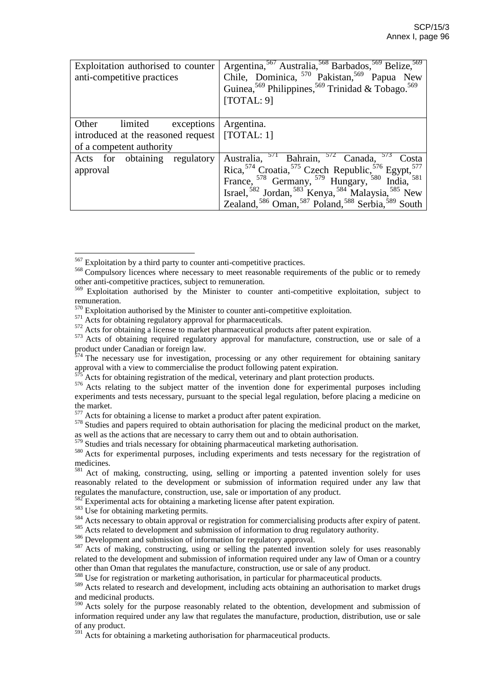| Exploitation authorised to counter<br>anti-competitive practices     | Argentina, <sup>567</sup> Australia, <sup>568</sup> Barbados, <sup>569</sup> Belize, <sup>569</sup><br>Chile, Dominica, <sup>570</sup> Pakistan, <sup>569</sup> Papua New<br>Guinea, $569$ Philippines, $569$ Trinidad & Tobago. $569$<br>[TOTAL: 9]                                                                                                                                                                                       |
|----------------------------------------------------------------------|--------------------------------------------------------------------------------------------------------------------------------------------------------------------------------------------------------------------------------------------------------------------------------------------------------------------------------------------------------------------------------------------------------------------------------------------|
| Other<br>limited<br>exceptions<br>introduced at the reasoned request | Argentina.<br>[TOTAL: 1]                                                                                                                                                                                                                                                                                                                                                                                                                   |
| of a competent authority                                             |                                                                                                                                                                                                                                                                                                                                                                                                                                            |
| Acts for obtaining regulatory<br>approval                            | Australia, <sup>571</sup> Bahrain, <sup>572</sup> Canada,<br>573<br>Costa<br>Rica, <sup>574</sup> Croatia, <sup>575</sup> Czech Republic, <sup>576</sup> Egypt, <sup>577</sup><br>France, <sup>578</sup> Germany, <sup>579</sup> Hungary, <sup>580</sup> India, <sup>581</sup><br>Israel, <sup>582</sup> Jordan, <sup>583</sup> Kenya, <sup>584</sup> Malaysia, <sup>585</sup> New<br>Zealand, 586 Oman, 587 Poland, 588 Serbia, 589 South |

<sup>&</sup>lt;sup>567</sup> Exploitation by a third party to counter anti-competitive practices.<br><sup>568</sup> Compulsory licences where necessary to meet reasonable requirements of the public or to remedy<br>other anti-competitive practices, subject to r

<sup>&</sup>lt;sup>569</sup> Exploitation authorised by the Minister to counter anti-competitive exploitation, subject to remuneration.

<sup>&</sup>lt;sup>570</sup> Exploitation authorised by the Minister to counter anti-competitive exploitation.<br><sup>571</sup> Acts for obtaining regulatory approval for pharmaceuticals.<br><sup>572</sup> Acts for obtaining a license to market pharmaceutical product

product under Canadian or foreign law.<br><sup>574</sup> The necessary use for investigation, processing or any other requirement for obtaining sanitary<br>approval with a view to commercialise the product following patent expiration.

 $575^{\circ}$  Acts for obtaining registration of the medical, veterinary and plant protection products.<br><sup>576</sup> Acts relating to the subject matter of the invention done for experimental purposes including experiments and tests necessary, pursuant to the special legal regulation, before placing a medicine on the market.<br><sup>577</sup> Acts for obtaining a license to market a product after patent expiration.<br><sup>578</sup> Studies and papers required to obtain authorisation for placing the medicinal product on the market,

as well as the actions that are necessary to carry them out and to obtain authorisation.<br>  $579$  Studies and trials necessary for obtaining pharmaceutical marketing authorisation.<br>  $580$  Acts for experimental purposes, inc

medicines.<br><sup>581</sup> Act of making, constructing, using, selling or importing a patented invention solely for uses reasonably related to the development or submission of information required under any law that regulates the manufacture, construction, use, sale or importation of any product.

<sup>&</sup>lt;sup>582</sup> Experimental acts for obtaining a marketing license after patent expiration.<br><sup>583</sup> Use for obtaining marketing permits.<br><sup>584</sup> Acts necessary to obtain approval or registration for commercialising products after expi

related to the development and submission of information required under any law of Oman or a country other than Oman that regulates the manufacture, construction, use or sale of any product.

 $588$  Use for registration or marketing authorisation, in particular for pharmaceutical products.<br> $589$  Acts related to research and development, including acts obtaining an authorisation to market drugs and medicinal products.<br><sup>590</sup> Acts solely for the purpose reasonably related to the obtention, development and submission of

information required under any law that regulates the manufacture, production, distribution, use or sale of any product. <sup>591</sup> Acts for obtaining <sup>a</sup> marketing authorisation for pharmaceutical products.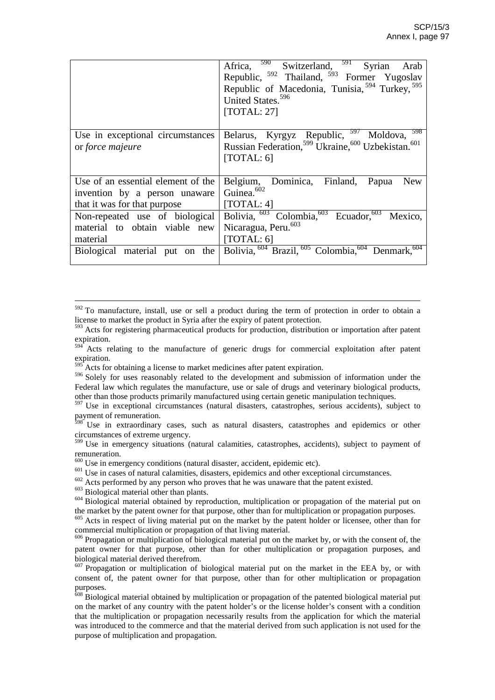|                                    | Africa, $590$<br>Switzerland, <sup>591</sup> Syrian Arab<br>Republic, <sup>592</sup> Thailand, <sup>593</sup> Former Yugoslav<br>Republic of Macedonia, Tunisia, 594 Turkey, 595<br>United States. <sup>596</sup><br>[TOTAL: 27] |
|------------------------------------|----------------------------------------------------------------------------------------------------------------------------------------------------------------------------------------------------------------------------------|
| Use in exceptional circumstances   | 598<br>Belarus, Kyrgyz Republic, <sup>597</sup> Moldova,                                                                                                                                                                         |
| or force majeure                   | Russian Federation, <sup>599</sup> Ukraine, <sup>600</sup> Uzbekistan. <sup>601</sup>                                                                                                                                            |
|                                    | [TOTAL: 6]                                                                                                                                                                                                                       |
| Use of an essential element of the | Belgium, Dominica, Finland, Papua<br><b>New</b>                                                                                                                                                                                  |
| invention by a person unaware      | Guinea. <sup>602</sup>                                                                                                                                                                                                           |
| that it was for that purpose       | [TOTAL: 4]                                                                                                                                                                                                                       |
| Non-repeated use of biological     | Bolivia, $\frac{603}{ }$ Colombia, $\frac{603}{ }$<br>Ecuador, $603$ Mexico,                                                                                                                                                     |
| material to obtain viable new      | Nicaragua, Peru. <sup>603</sup>                                                                                                                                                                                                  |
| material                           | [TOTAL: $6$ ]                                                                                                                                                                                                                    |
| Biological material put on the     | Bolivia, <sup>604</sup> Brazil, <sup>605</sup> Colombia, <sup>604</sup> Denmark, <sup>604</sup>                                                                                                                                  |

expiration.<br><sup>595</sup> Acts for obtaining a license to market medicines after patent expiration.<br><sup>596</sup> Solely for uses reasonably related to the development and submission of information under the

Federal law which regulates the manufacture, use or sale of drugs and veterinary biological products, other than those products primarily manufactured using certain genetic manipulation techniques.

 $\frac{1}{297}$  Use in exceptional circumstances (natural disasters, catastrophes, serious accidents), subject to payment of remuneration.<br><sup>598</sup> Use in extraordinary cases, such as natural disasters, catastrophes and epidemics or other

circumstances of extreme urgency.<br><sup>599</sup> Use in emergency situations (natural calamities, catastrophes, accidents), subject to payment of<br>remuneration.

<sup>600</sup> Use in emergency conditions (natural disaster, accident, epidemic etc).<br><sup>601</sup> Use in cases of natural calamities, disasters, epidemics and other exceptional circumstances.<br><sup>602</sup> Acts performed by any person who prov

 $\frac{605}{605}$  Acts in respect of living material put on the market by the patent holder or licensee, other than for commercial multiplication or propagation of that living material.<br><sup>606</sup> Propagation or multiplication of biological material put on the market by, or with the consent of, the

patent owner for that purpose, other than for other multiplication or propagation purposes, and biological material derived therefrom.

 $\frac{607}{2}$  Propagation or multiplication of biological material put on the market in the EEA by, or with consent of, the patent owner for that purpose, other than for other multiplication or propagation purposes.<br><sup>608</sup> Biological material obtained by multiplication or propagation of the patented biological material put

on the market of any country with the patent holder's or the license holder's consent with a condition that the multiplication or propagation necessarily results from the application for which the material was introduced to the commerce and that the material derived from such application is not used for the purpose of multiplication and propagation.

<sup>&</sup>lt;sup>592</sup> To manufacture, install, use or sell a product during the term of protection in order to obtain a license to market the product in Syria after the expiry of patent protection.<br><sup>593</sup> Acts for registering pharmaceutical products for production, distribution or importation after patent

expiration.<br><sup>594</sup> Acts relating to the manufacture of generic drugs for commercial exploitation after patent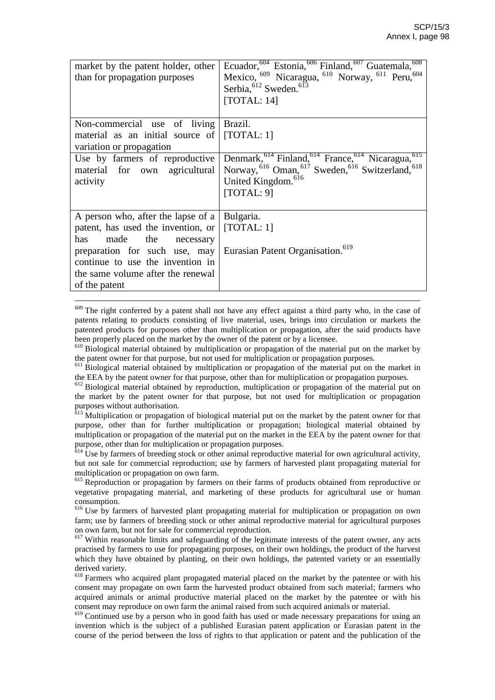| market by the patent holder, other<br>than for propagation purposes | Ecuador, <sup>604</sup> Estonia, <sup>606</sup> Finland, <sup>607</sup> Guatemala, <sup>608</sup><br>Mexico, <sup>609</sup> Nicaragua, <sup>610</sup> Norway, <sup>611</sup> Peru, <sup>604</sup><br>Serbia, <sup>612</sup> Sweden. <sup>613</sup><br>[TOTAL: 14] |
|---------------------------------------------------------------------|-------------------------------------------------------------------------------------------------------------------------------------------------------------------------------------------------------------------------------------------------------------------|
| Non-commercial use of living                                        | Brazil.                                                                                                                                                                                                                                                           |
| material as an initial source of                                    | [TOTAL: 1]                                                                                                                                                                                                                                                        |
| variation or propagation                                            |                                                                                                                                                                                                                                                                   |
| Use by farmers of reproductive                                      | Denmark, <sup>614</sup> Finland, <sup>614</sup> France, <sup>614</sup> Nicaragua, <sup>615</sup>                                                                                                                                                                  |
| material for own agricultural                                       | Norway, <sup>616</sup> Oman, <sup>617</sup> Sweden, <sup>616</sup> Switzerland, <sup>618</sup>                                                                                                                                                                    |
| activity                                                            | United Kingdom. <sup>616</sup>                                                                                                                                                                                                                                    |
|                                                                     | [TOTAL: 9]                                                                                                                                                                                                                                                        |
|                                                                     |                                                                                                                                                                                                                                                                   |
| A person who, after the lapse of a                                  | Bulgaria.                                                                                                                                                                                                                                                         |
| patent, has used the invention, or                                  | [TOTAL: 1]                                                                                                                                                                                                                                                        |
| made<br>the<br>has<br>necessary                                     |                                                                                                                                                                                                                                                                   |
| preparation for such use, may                                       | Eurasian Patent Organisation. <sup>619</sup>                                                                                                                                                                                                                      |
| continue to use the invention in                                    |                                                                                                                                                                                                                                                                   |
| the same volume after the renewal                                   |                                                                                                                                                                                                                                                                   |
| of the patent                                                       |                                                                                                                                                                                                                                                                   |

 $609$  The right conferred by a patent shall not have any effect against a third party who, in the case of patents relating to products consisting of live material, uses, brings into circulation or markets the patented products for purposes other than multiplication or propagation, after the said products have been properly placed on the market by the owner of the patent or by a licensee.

 $610$  Biological material obtained by multiplication or propagation of the material put on the market by the patent owner for that purpose, but not used for multiplication or propagation purposes.

 $t<sup>611</sup>$  Biological material obtained by multiplication or propagation of the material put on the market in the EEA by the patent owner for that purpose, other than for multiplication or propagation purposes.

<sup>612</sup> Biological material obtained by reproduction, multiplication or propagation of the material put on the market by the patent owner for that purpose, but not used for multiplication or propagation purposes without authorisation.<br><sup>613</sup> Multiplication or propagation of biological material put on the market by the patent owner for that

purpose, other than for further multiplication or propagation; biological material obtained by multiplication or propagation of the material put on the market in the EEA by the patent owner for that purpose, other than for multiplication or propagation purposes.<br><sup>614</sup> Use by farmers of breeding stock or other animal reproductive material for own agricultural activity,

but not sale for commercial reproduction; use by farmers of harvested plant propagating material for multiplication or propagation on own farm.<br><sup>615</sup> Reproduction or propagation by farmers on their farms of products obtained from reproductive or

vegetative propagating material, and marketing of these products for agricultural use or human consumption.<br><sup>616</sup> Use by farmers of harvested plant propagating material for multiplication or propagation on own

farm; use by farmers of breeding stock or other animal reproductive material for agricultural purposes

 $617$  Within reasonable limits and safeguarding of the legitimate interests of the patent owner, any acts practised by farmers to use for propagating purposes, on their own holdings, the product of the harvest which they have obtained by planting, on their own holdings, the patented variety or an essentially derived variety.<br><sup>618</sup> Farmers who acquired plant propagated material placed on the market by the patentee or with his

consent may propagate on own farm the harvested product obtained from such material; farmers who acquired animals or animal productive material placed on the market by the patentee or with his consent may reproduce on own farm the animal raised from such acquired animals or material.

 $\frac{619}{2}$  Continued use by a person who in good faith has used or made necessary preparations for using an invention which is the subject of a published Eurasian patent application or Eurasian patent in the course of the period between the loss of rights to that application or patent and the publication of the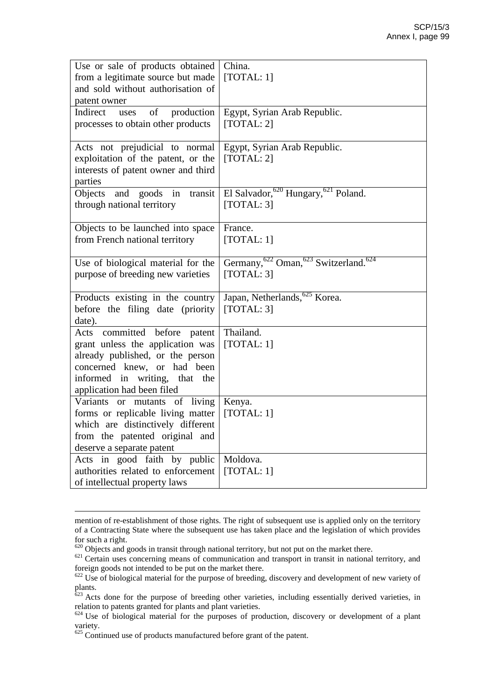| Use or sale of products obtained<br>from a legitimate source but made<br>and sold without authorisation of<br>patent owner                                                                            | China.<br>[TOTAL: 1]                                                                   |
|-------------------------------------------------------------------------------------------------------------------------------------------------------------------------------------------------------|----------------------------------------------------------------------------------------|
| of<br>production<br>Indirect<br>uses<br>processes to obtain other products                                                                                                                            | Egypt, Syrian Arab Republic.<br>[TOTAL: 2]                                             |
| Acts not prejudicial to normal<br>exploitation of the patent, or the<br>interests of patent owner and third<br>parties                                                                                | Egypt, Syrian Arab Republic.<br>[TOTAL: 2]                                             |
| goods in<br>and<br>transit<br>Objects<br>through national territory                                                                                                                                   | El Salvador, $620$ Hungary, $621$ Poland.<br>[TOTAL: 3]                                |
| Objects to be launched into space<br>from French national territory                                                                                                                                   | France.<br>[TOTAL: 1]                                                                  |
| Use of biological material for the<br>purpose of breeding new varieties                                                                                                                               | Germany, <sup>622</sup> Oman, <sup>623</sup> Switzerland. <sup>624</sup><br>[TOTAL: 3] |
| Products existing in the country<br>before the filing date (priority<br>date).                                                                                                                        | Japan, Netherlands, <sup>625</sup> Korea.<br>[TOTAL: 3]                                |
| Acts committed before<br>patent<br>grant unless the application was<br>already published, or the person<br>concerned knew, or had been<br>informed in writing, that the<br>application had been filed | Thailand.<br>[TOTAL: 1]                                                                |
| Variants or mutants of living<br>forms or replicable living matter<br>which are distinctively different<br>from the patented original and<br>deserve a separate patent                                | Kenya.<br>[TOTAL: 1]                                                                   |
| Acts in good faith by public<br>authorities related to enforcement<br>of intellectual property laws                                                                                                   | Moldova.<br>[TOTAL: 1]                                                                 |

mention of re-establishment of those rights. The right of subsequent use is applied only on the territory of a Contracting State where the subsequent use has taken place and the legislation of which provides

for such a right.<br><sup>620</sup> Objects and goods in transit through national territory, but not put on the market there.<br><sup>621</sup> Certain uses concerning means of communication and transport in transit in national territory, and<br>fo

 $\frac{622}{100}$  Use of biological material for the purpose of breeding, discovery and development of new variety of plants.<br><sup>623</sup> Acts done for the purpose of breeding other varieties, including essentially derived varieties, in

relation to patents granted for plants and plant varieties.<br><sup>624</sup> Use of biological material for the purposes of production, discovery or development of a plant

variety.<br><sup>625</sup> Continued use of products manufactured before grant of the patent.